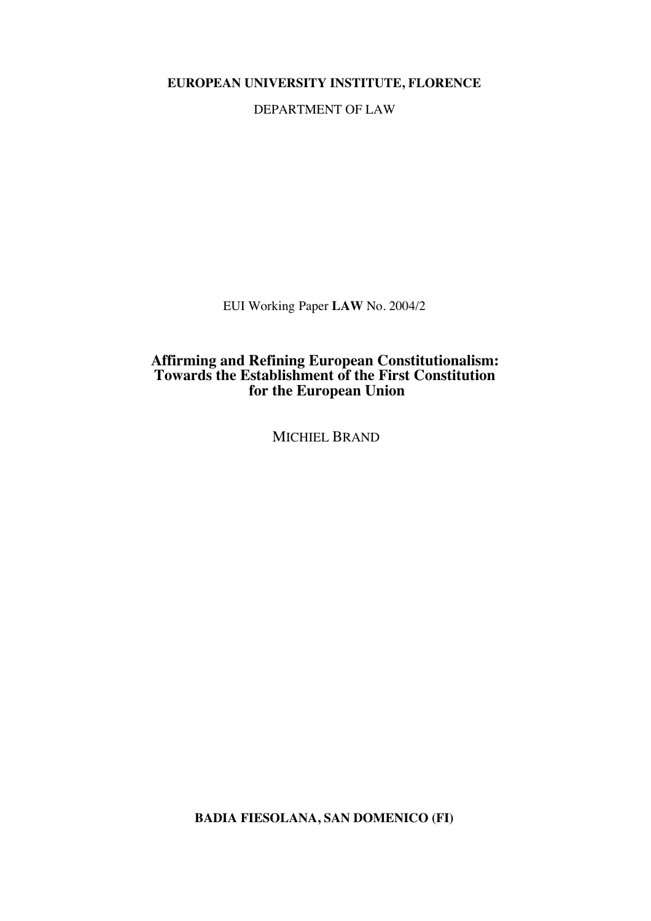**EUROPEAN UNIVERSITY INSTITUTE, FLORENCE**

DEPARTMENT OF LAW

EUI Working Paper **LAW** No. 2004/2

# **Affirming and Refining European Constitutionalism: Towards the Establishment of the First Constitution for the European Union**

MICHIEL BRAND

**BADIA FIESOLANA, SAN DOMENICO (FI)**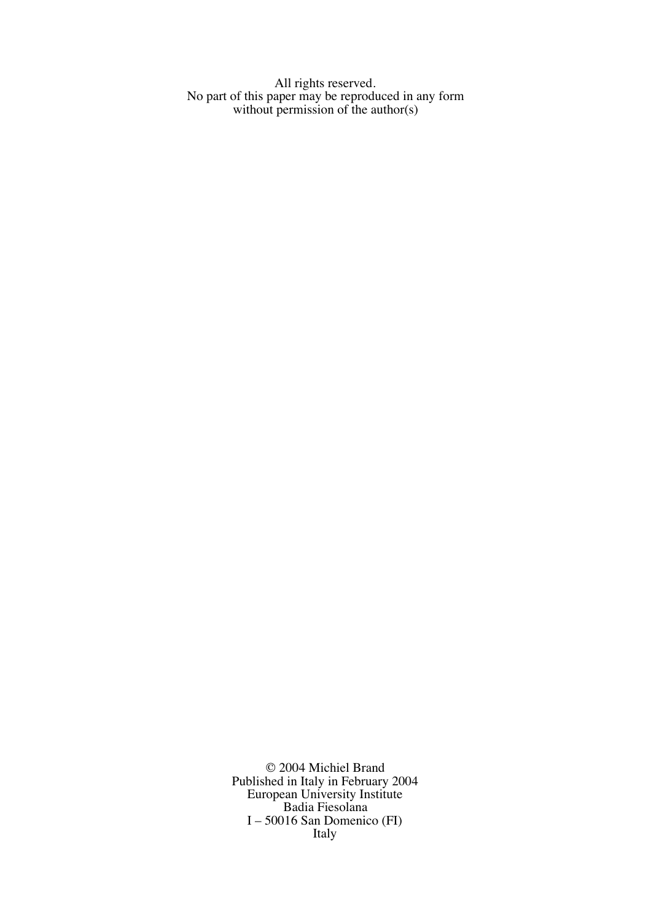All rights reserved. No part of this paper may be reproduced in any form without permission of the author(s)

> © 2004 Michiel Brand Published in Italy in February 2004 European University Institute Badia Fiesolana I – 50016 San Domenico (FI) Italy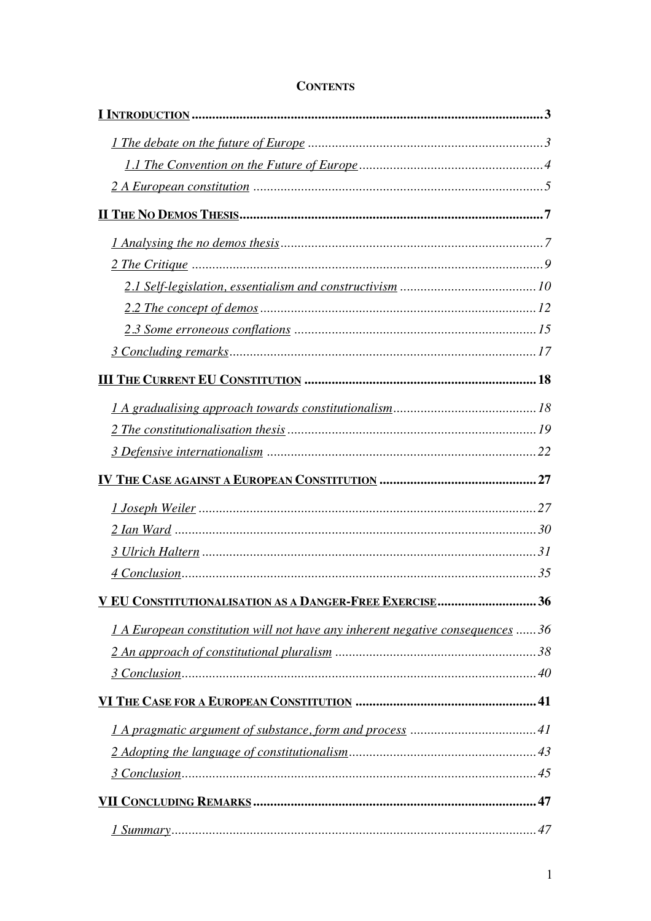| 1 A European constitution will not have any inherent negative consequences  36 |    |
|--------------------------------------------------------------------------------|----|
|                                                                                |    |
|                                                                                |    |
|                                                                                |    |
|                                                                                |    |
|                                                                                |    |
|                                                                                |    |
|                                                                                |    |
| $1$ Summary                                                                    | 47 |

# **CONTENTS**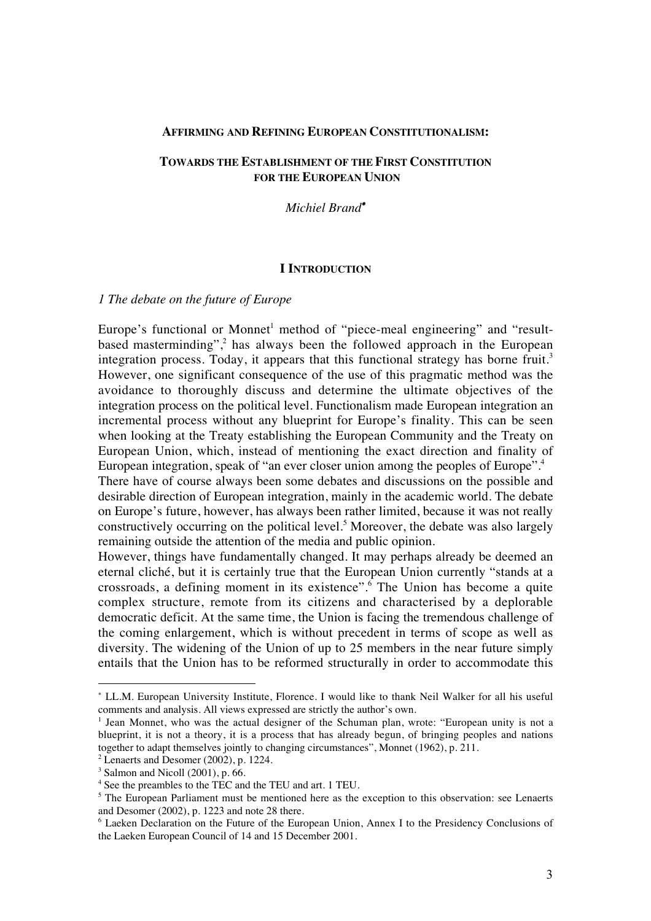#### **AFFIRMING AND REFINING EUROPEAN CONSTITUTIONALISM:**

### **TOWARDS THE ESTABLISHMENT OF THE FIRST CONSTITUTION FOR THE EUROPEAN UNION**

*Michiel Brand*<sup>∗</sup>

### **I INTRODUCTION**

#### *1 The debate on the future of Europe*

Europe's functional or Monnet<sup>1</sup> method of "piece-meal engineering" and "resultbased masterminding", $\frac{2}{3}$  has always been the followed approach in the European integration process. Today, it appears that this functional strategy has borne fruit.<sup>3</sup> However, one significant consequence of the use of this pragmatic method was the avoidance to thoroughly discuss and determine the ultimate objectives of the integration process on the political level. Functionalism made European integration an incremental process without any blueprint for Europe's finality. This can be seen when looking at the Treaty establishing the European Community and the Treaty on European Union, which, instead of mentioning the exact direction and finality of European integration, speak of "an ever closer union among the peoples of Europe".<sup>4</sup> There have of course always been some debates and discussions on the possible and

desirable direction of European integration, mainly in the academic world. The debate on Europe's future, however, has always been rather limited, because it was not really constructively occurring on the political level.<sup>5</sup> Moreover, the debate was also largely remaining outside the attention of the media and public opinion.

However, things have fundamentally changed. It may perhaps already be deemed an eternal cliché, but it is certainly true that the European Union currently "stands at a crossroads, a defining moment in its existence".6 The Union has become a quite complex structure, remote from its citizens and characterised by a deplorable democratic deficit. At the same time, the Union is facing the tremendous challenge of the coming enlargement, which is without precedent in terms of scope as well as diversity. The widening of the Union of up to 25 members in the near future simply entails that the Union has to be reformed structurally in order to accommodate this

<sup>∗</sup> LL.M. European University Institute, Florence. I would like to thank Neil Walker for all his useful comments and analysis. All views expressed are strictly the author's own.

<sup>1</sup> Jean Monnet, who was the actual designer of the Schuman plan, wrote: "European unity is not a blueprint, it is not a theory, it is a process that has already begun, of bringing peoples and nations together to adapt themselves jointly to changing circumstances", Monnet (1962), p. 211.

 $2$  Lenaerts and Desomer (2002), p. 1224.

 $3$  Salmon and Nicoll (2001), p. 66.

<sup>4</sup> See the preambles to the TEC and the TEU and art. 1 TEU.

<sup>&</sup>lt;sup>5</sup> The European Parliament must be mentioned here as the exception to this observation: see Lenaerts and Desomer (2002), p. 1223 and note 28 there.

<sup>6</sup> Laeken Declaration on the Future of the European Union, Annex I to the Presidency Conclusions of the Laeken European Council of 14 and 15 December 2001.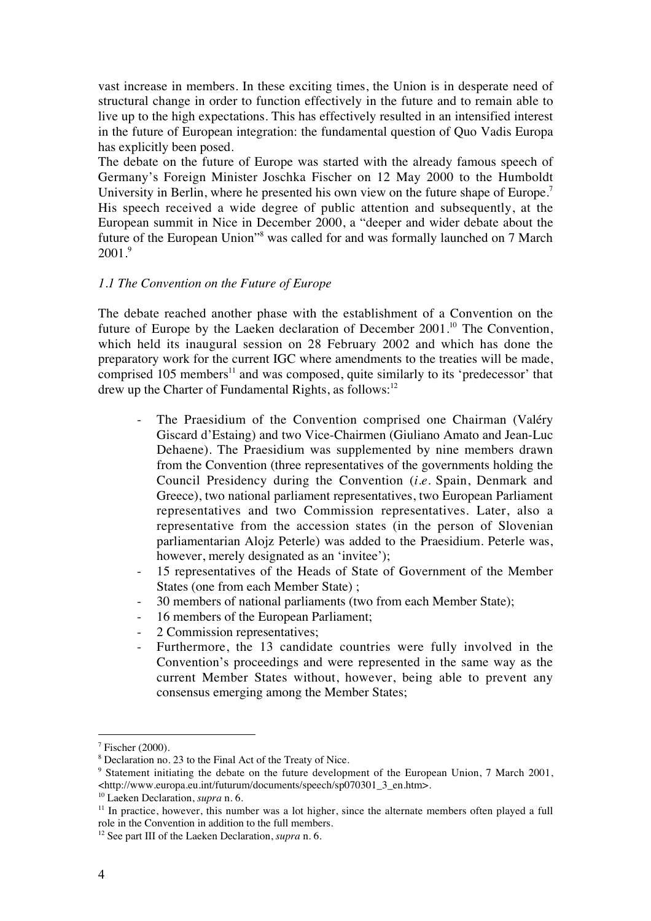vast increase in members. In these exciting times, the Union is in desperate need of structural change in order to function effectively in the future and to remain able to live up to the high expectations. This has effectively resulted in an intensified interest in the future of European integration: the fundamental question of Quo Vadis Europa has explicitly been posed.

The debate on the future of Europe was started with the already famous speech of Germany's Foreign Minister Joschka Fischer on 12 May 2000 to the Humboldt University in Berlin, where he presented his own view on the future shape of Europe.<sup>7</sup> His speech received a wide degree of public attention and subsequently, at the European summit in Nice in December 2000, a "deeper and wider debate about the future of the European Union"8 was called for and was formally launched on 7 March  $2001.<sup>9</sup>$ 

#### *1.1 The Convention on the Future of Europe*

The debate reached another phase with the establishment of a Convention on the future of Europe by the Laeken declaration of December  $2001$ .<sup>10</sup> The Convention, which held its inaugural session on 28 February 2002 and which has done the preparatory work for the current IGC where amendments to the treaties will be made, comprised 105 members<sup>11</sup> and was composed, quite similarly to its 'predecessor' that drew up the Charter of Fundamental Rights, as follows:<sup>12</sup>

- The Praesidium of the Convention comprised one Chairman (Valéry Giscard d'Estaing) and two Vice-Chairmen (Giuliano Amato and Jean-Luc Dehaene). The Praesidium was supplemented by nine members drawn from the Convention (three representatives of the governments holding the Council Presidency during the Convention (*i.e.* Spain, Denmark and Greece), two national parliament representatives, two European Parliament representatives and two Commission representatives. Later, also a representative from the accession states (in the person of Slovenian parliamentarian Alojz Peterle) was added to the Praesidium. Peterle was, however, merely designated as an 'invitee');
- 15 representatives of the Heads of State of Government of the Member States (one from each Member State) ;
- 30 members of national parliaments (two from each Member State);
- 16 members of the European Parliament;
- 2 Commission representatives;
- Furthermore, the 13 candidate countries were fully involved in the Convention's proceedings and were represented in the same way as the current Member States without, however, being able to prevent any consensus emerging among the Member States;

 $7$  Fischer (2000).

<sup>&</sup>lt;sup>8</sup> Declaration no. 23 to the Final Act of the Treaty of Nice.

<sup>&</sup>lt;sup>9</sup> Statement initiating the debate on the future development of the European Union, 7 March 2001, <http://www.europa.eu.int/futurum/documents/speech/sp070301\_3\_en.htm>.

<sup>10</sup> Laeken Declaration, *supra* n. 6.

 $11$  In practice, however, this number was a lot higher, since the alternate members often played a full role in the Convention in addition to the full members.

<sup>12</sup> See part III of the Laeken Declaration, *supra* n. 6.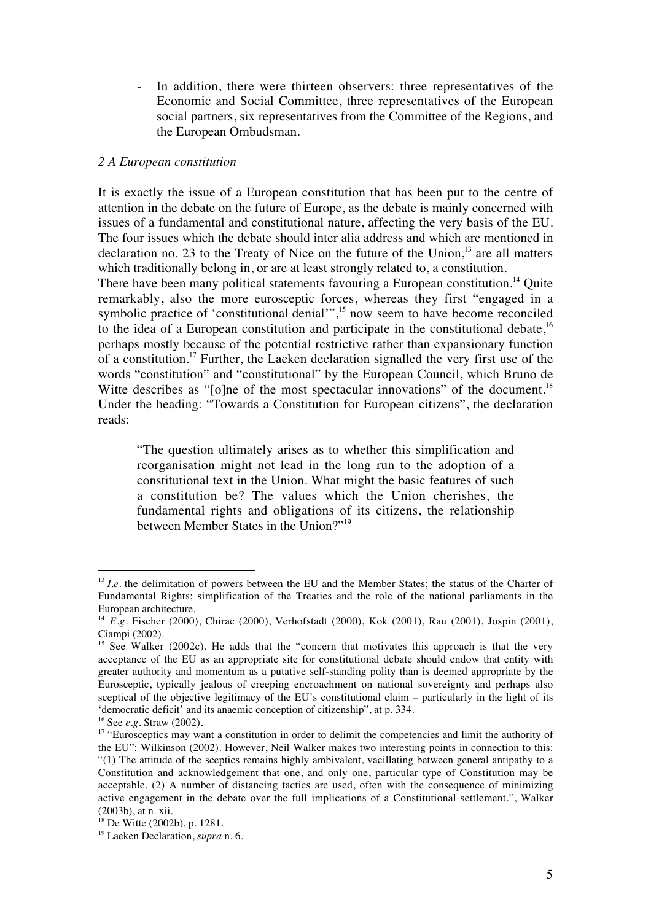In addition, there were thirteen observers: three representatives of the Economic and Social Committee, three representatives of the European social partners, six representatives from the Committee of the Regions, and the European Ombudsman.

### *2 A European constitution*

It is exactly the issue of a European constitution that has been put to the centre of attention in the debate on the future of Europe, as the debate is mainly concerned with issues of a fundamental and constitutional nature, affecting the very basis of the EU. The four issues which the debate should inter alia address and which are mentioned in declaration no. 23 to the Treaty of Nice on the future of the Union, $13$  are all matters which traditionally belong in, or are at least strongly related to, a constitution. There have been many political statements favouring a European constitution.<sup>14</sup> Quite remarkably, also the more eurosceptic forces, whereas they first "engaged in a symbolic practice of 'constitutional denial'",<sup>15</sup> now seem to have become reconciled to the idea of a European constitution and participate in the constitutional debate,  $16$ perhaps mostly because of the potential restrictive rather than expansionary function of a constitution.17 Further, the Laeken declaration signalled the very first use of the words "constitution" and "constitutional" by the European Council, which Bruno de Witte describes as "[o]ne of the most spectacular innovations" of the document.<sup>18</sup> Under the heading: "Towards a Constitution for European citizens", the declaration

"The question ultimately arises as to whether this simplification and reorganisation might not lead in the long run to the adoption of a constitutional text in the Union. What might the basic features of such a constitution be? The values which the Union cherishes, the fundamental rights and obligations of its citizens, the relationship between Member States in the Union?"19

reads:

<sup>&</sup>lt;sup>13</sup> *Le.* the delimitation of powers between the EU and the Member States; the status of the Charter of Fundamental Rights; simplification of the Treaties and the role of the national parliaments in the European architecture.

<sup>&</sup>lt;sup>14</sup> *E.g.* Fischer (2000), Chirac (2000), Verhofstadt (2000), Kok (2001), Rau (2001), Jospin (2001), Ciampi (2002).

<sup>&</sup>lt;sup>15</sup> See Walker (2002c). He adds that the "concern that motivates this approach is that the very acceptance of the EU as an appropriate site for constitutional debate should endow that entity with greater authority and momentum as a putative self-standing polity than is deemed appropriate by the Eurosceptic, typically jealous of creeping encroachment on national sovereignty and perhaps also sceptical of the objective legitimacy of the EU's constitutional claim – particularly in the light of its 'democratic deficit' and its anaemic conception of citizenship", at p. 334.

<sup>16</sup> See *e.g.* Straw (2002).

<sup>&</sup>lt;sup>17</sup> "Eurosceptics may want a constitution in order to delimit the competencies and limit the authority of the EU": Wilkinson (2002). However, Neil Walker makes two interesting points in connection to this: "(1) The attitude of the sceptics remains highly ambivalent, vacillating between general antipathy to a Constitution and acknowledgement that one, and only one, particular type of Constitution may be acceptable. (2) A number of distancing tactics are used, often with the consequence of minimizing active engagement in the debate over the full implications of a Constitutional settlement.", Walker (2003b), at n. xii.

<sup>18</sup> De Witte (2002b), p. 1281.

<sup>19</sup> Laeken Declaration, *supra* n. 6.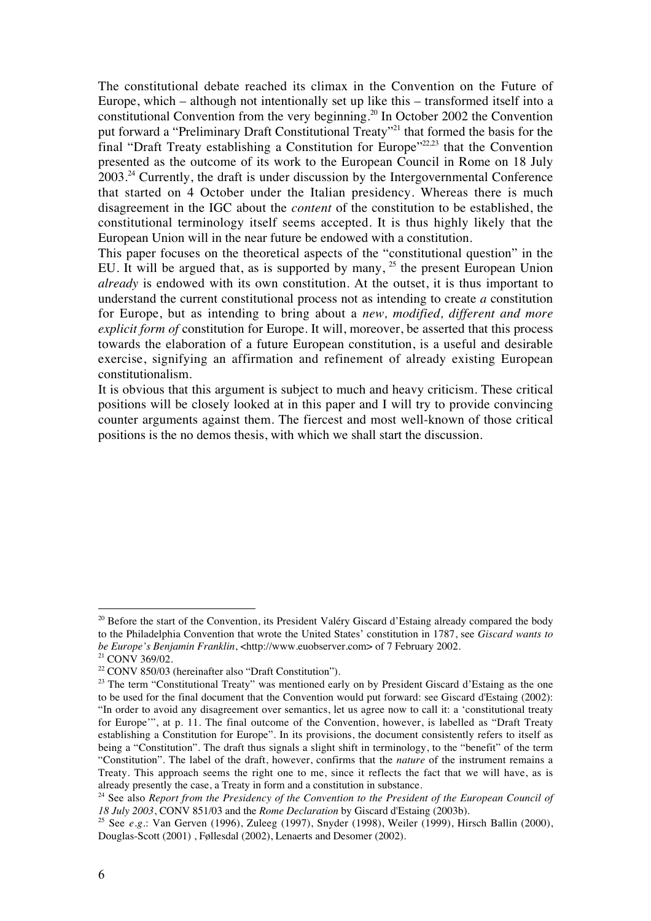The constitutional debate reached its climax in the Convention on the Future of Europe, which – although not intentionally set up like this – transformed itself into a constitutional Convention from the very beginning.20 In October 2002 the Convention put forward a "Preliminary Draft Constitutional Treaty"<sup>21</sup> that formed the basis for the final "Draft Treaty establishing a Constitution for Europe"<sup>22,23</sup> that the Convention presented as the outcome of its work to the European Council in Rome on 18 July  $2003.<sup>24</sup>$  Currently, the draft is under discussion by the Intergovernmental Conference that started on 4 October under the Italian presidency. Whereas there is much disagreement in the IGC about the *content* of the constitution to be established, the constitutional terminology itself seems accepted. It is thus highly likely that the European Union will in the near future be endowed with a constitution.

This paper focuses on the theoretical aspects of the "constitutional question" in the EU. It will be argued that, as is supported by many,  $^{25}$  the present European Union *already* is endowed with its own constitution. At the outset, it is thus important to understand the current constitutional process not as intending to create *a* constitution for Europe, but as intending to bring about a *new, modified, different and more explicit form of* constitution for Europe. It will, moreover, be asserted that this process towards the elaboration of a future European constitution, is a useful and desirable exercise, signifying an affirmation and refinement of already existing European constitutionalism.

It is obvious that this argument is subject to much and heavy criticism. These critical positions will be closely looked at in this paper and I will try to provide convincing counter arguments against them. The fiercest and most well-known of those critical positions is the no demos thesis, with which we shall start the discussion.

<sup>&</sup>lt;sup>20</sup> Before the start of the Convention, its President Valéry Giscard d'Estaing already compared the body to the Philadelphia Convention that wrote the United States' constitution in 1787, see *Giscard wants to be Europe's Benjamin Franklin*, <http://www.euobserver.com> of 7 February 2002.

<sup>21</sup> CONV 369/02.

<sup>22</sup> CONV 850/03 (hereinafter also "Draft Constitution").

 $23$  The term "Constitutional Treaty" was mentioned early on by President Giscard d'Estaing as the one to be used for the final document that the Convention would put forward: see Giscard d'Estaing (2002): "In order to avoid any disagreement over semantics, let us agree now to call it: a 'constitutional treaty for Europe'", at p. 11. The final outcome of the Convention, however, is labelled as "Draft Treaty establishing a Constitution for Europe". In its provisions, the document consistently refers to itself as being a "Constitution". The draft thus signals a slight shift in terminology, to the "benefit" of the term "Constitution". The label of the draft, however, confirms that the *nature* of the instrument remains a Treaty. This approach seems the right one to me, since it reflects the fact that we will have, as is already presently the case, a Treaty in form and a constitution in substance.

<sup>&</sup>lt;sup>24</sup> See also *Report from the Presidency of the Convention to the President of the European Council of 18 July 2003*, CONV 851/03 and the *Rome Declaration* by Giscard d'Estaing (2003b).

<sup>25</sup> See *e.g.*: Van Gerven (1996), Zuleeg (1997), Snyder (1998), Weiler (1999), Hirsch Ballin (2000), Douglas-Scott (2001) , Føllesdal (2002), Lenaerts and Desomer (2002).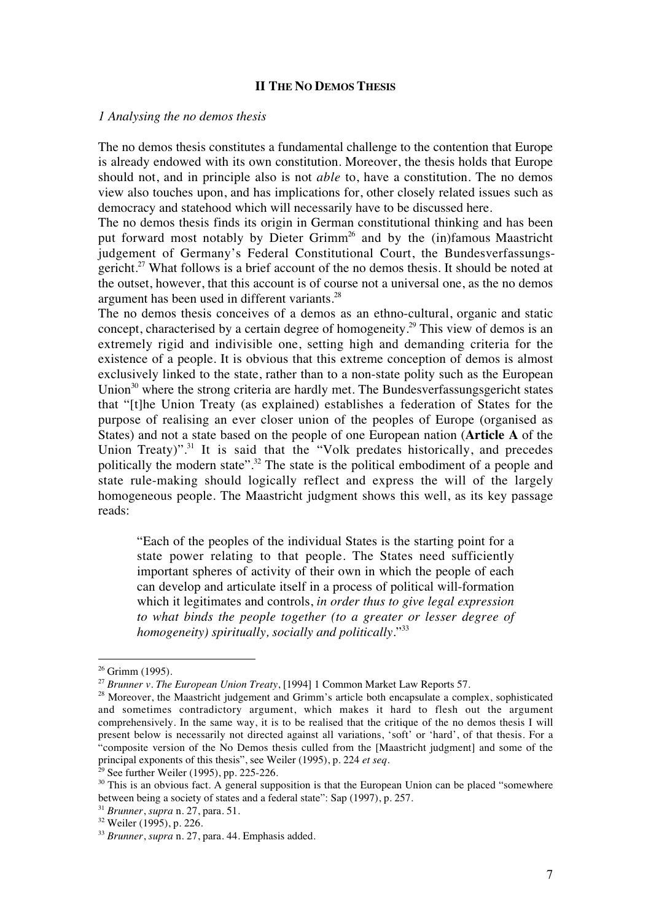### **II THE NO DEMOS THESIS**

#### *1 Analysing the no demos thesis*

The no demos thesis constitutes a fundamental challenge to the contention that Europe is already endowed with its own constitution. Moreover, the thesis holds that Europe should not, and in principle also is not *able* to, have a constitution. The no demos view also touches upon, and has implications for, other closely related issues such as democracy and statehood which will necessarily have to be discussed here.

The no demos thesis finds its origin in German constitutional thinking and has been put forward most notably by Dieter Grimm<sup>26</sup> and by the (in)famous Maastricht judgement of Germany's Federal Constitutional Court, the Bundesverfassungsgericht.<sup>27</sup> What follows is a brief account of the no demos thesis. It should be noted at the outset, however, that this account is of course not a universal one, as the no demos argument has been used in different variants.28

The no demos thesis conceives of a demos as an ethno-cultural, organic and static concept, characterised by a certain degree of homogeneity.<sup>29</sup> This view of demos is an extremely rigid and indivisible one, setting high and demanding criteria for the existence of a people. It is obvious that this extreme conception of demos is almost exclusively linked to the state, rather than to a non-state polity such as the European Union $30$  where the strong criteria are hardly met. The Bundesverfassungsgericht states that "[t]he Union Treaty (as explained) establishes a federation of States for the purpose of realising an ever closer union of the peoples of Europe (organised as States) and not a state based on the people of one European nation (**Article A** of the Union Treaty)".<sup>31</sup> It is said that the "Volk predates historically, and precedes politically the modern state".<sup>32</sup> The state is the political embodiment of a people and state rule-making should logically reflect and express the will of the largely homogeneous people. The Maastricht judgment shows this well, as its key passage reads:

"Each of the peoples of the individual States is the starting point for a state power relating to that people. The States need sufficiently important spheres of activity of their own in which the people of each can develop and articulate itself in a process of political will-formation which it legitimates and controls, *in order thus to give legal expression to what binds the people together (to a greater or lesser degree of homogeneity) spiritually, socially and politically*."33

 $26$  Grimm (1995).

<sup>27</sup> *Brunner v. The European Union Treaty*, [1994] 1 Common Market Law Reports 57.

<sup>&</sup>lt;sup>28</sup> Moreover, the Maastricht judgement and Grimm's article both encapsulate a complex, sophisticated and sometimes contradictory argument, which makes it hard to flesh out the argument comprehensively. In the same way, it is to be realised that the critique of the no demos thesis I will present below is necessarily not directed against all variations, 'soft' or 'hard', of that thesis. For a "composite version of the No Demos thesis culled from the [Maastricht judgment] and some of the principal exponents of this thesis", see Weiler (1995), p. 224 *et seq.*

 $29$  See further Weiler (1995), pp. 225-226.

<sup>&</sup>lt;sup>30</sup> This is an obvious fact. A general supposition is that the European Union can be placed "somewhere between being a society of states and a federal state": Sap (1997), p. 257.

<sup>31</sup> *Brunner*, *supra* n. 27, para. 51.

<sup>32</sup> Weiler (1995), p. 226.

<sup>33</sup> *Brunner*, *supra* n. 27, para. 44. Emphasis added.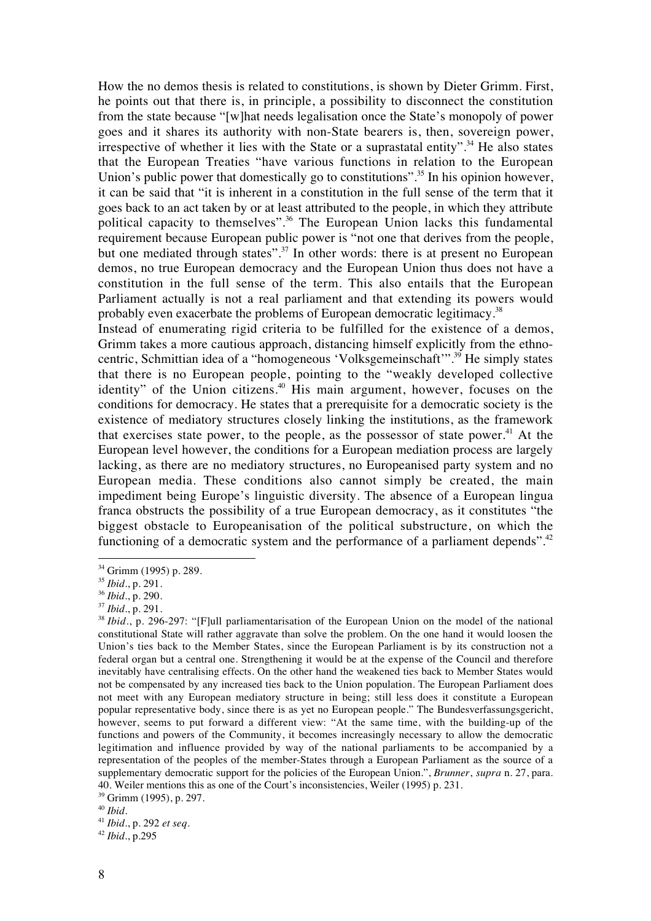How the no demos thesis is related to constitutions, is shown by Dieter Grimm. First, he points out that there is, in principle, a possibility to disconnect the constitution from the state because "[w]hat needs legalisation once the State's monopoly of power goes and it shares its authority with non-State bearers is, then, sovereign power, irrespective of whether it lies with the State or a suprastatal entity".<sup>34</sup> He also states that the European Treaties "have various functions in relation to the European Union's public power that domestically go to constitutions".<sup>35</sup> In his opinion however, it can be said that "it is inherent in a constitution in the full sense of the term that it goes back to an act taken by or at least attributed to the people, in which they attribute political capacity to themselves".36 The European Union lacks this fundamental requirement because European public power is "not one that derives from the people, but one mediated through states".<sup>37</sup> In other words: there is at present no European demos, no true European democracy and the European Union thus does not have a constitution in the full sense of the term. This also entails that the European Parliament actually is not a real parliament and that extending its powers would probably even exacerbate the problems of European democratic legitimacy.38

Instead of enumerating rigid criteria to be fulfilled for the existence of a demos, Grimm takes a more cautious approach, distancing himself explicitly from the ethnocentric, Schmittian idea of a "homogeneous 'Volksgemeinschaft'".39 He simply states that there is no European people, pointing to the "weakly developed collective identity" of the Union citizens.<sup>40</sup> His main argument, however, focuses on the conditions for democracy. He states that a prerequisite for a democratic society is the existence of mediatory structures closely linking the institutions, as the framework that exercises state power, to the people, as the possessor of state power.<sup>41</sup> At the European level however, the conditions for a European mediation process are largely lacking, as there are no mediatory structures, no Europeanised party system and no European media. These conditions also cannot simply be created, the main impediment being Europe's linguistic diversity. The absence of a European lingua franca obstructs the possibility of a true European democracy, as it constitutes "the biggest obstacle to Europeanisation of the political substructure, on which the functioning of a democratic system and the performance of a parliament depends".<sup>42</sup>

<sup>&</sup>lt;sup>34</sup> Grimm (1995) p. 289.

<sup>35</sup> *Ibid.*, p. 291.

<sup>36</sup> *Ibid.*, p. 290.

<sup>37</sup> *Ibid*., p. 291.

<sup>&</sup>lt;sup>38</sup> *Ibid.*, p. 296-297: "[F]ull parliamentarisation of the European Union on the model of the national constitutional State will rather aggravate than solve the problem. On the one hand it would loosen the Union's ties back to the Member States, since the European Parliament is by its construction not a federal organ but a central one. Strengthening it would be at the expense of the Council and therefore inevitably have centralising effects. On the other hand the weakened ties back to Member States would not be compensated by any increased ties back to the Union population. The European Parliament does not meet with any European mediatory structure in being; still less does it constitute a European popular representative body, since there is as yet no European people." The Bundesverfassungsgericht, however, seems to put forward a different view: "At the same time, with the building-up of the functions and powers of the Community, it becomes increasingly necessary to allow the democratic legitimation and influence provided by way of the national parliaments to be accompanied by a representation of the peoples of the member-States through a European Parliament as the source of a supplementary democratic support for the policies of the European Union.", *Brunner*, *supra* n. 27, para. 40. Weiler mentions this as one of the Court's inconsistencies, Weiler (1995) p. 231.

<sup>39</sup> Grimm (1995), p. 297.

<sup>40</sup> *Ibid*.

<sup>41</sup> *Ibid.*, p. 292 *et seq*.

<sup>42</sup> *Ibid*., p.295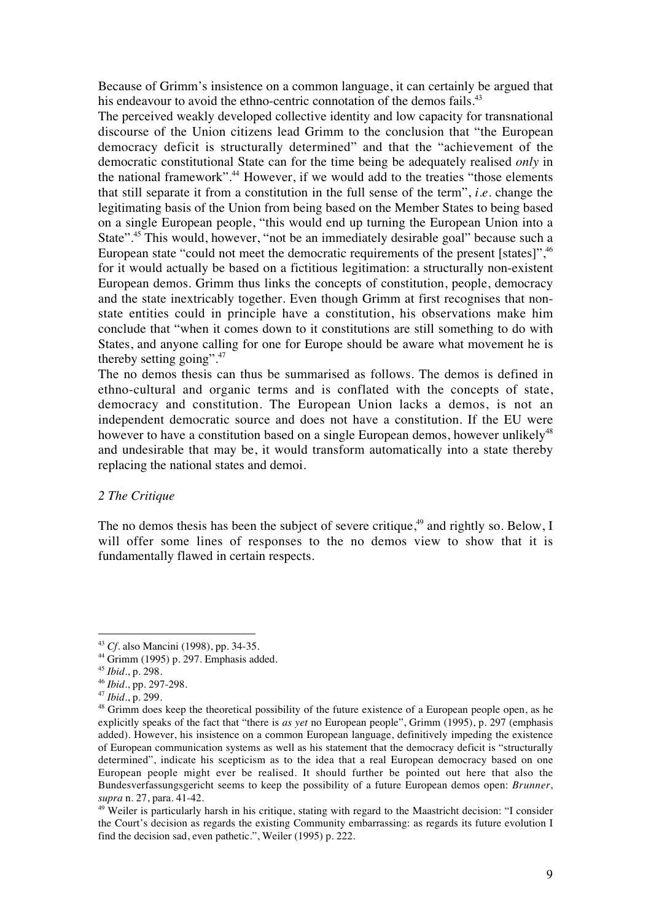Because of Grimm's insistence on a common language, it can certainly be argued that his endeavour to avoid the ethno-centric connotation of the demos fails.<sup>43</sup>

The perceived weakly developed collective identity and low capacity for transnational discourse of the Union citizens lead Grimm to the conclusion that "the European democracy deficit is structurally determined" and that the "achievement of the democratic constitutional State can for the time being be adequately realised *only* in the national framework".<sup>44</sup> However, if we would add to the treaties "those elements" that still separate it from a constitution in the full sense of the term", *i.e.* change the legitimating basis of the Union from being based on the Member States to being based on a single European people, "this would end up turning the European Union into a State".<sup>45</sup> This would, however, "not be an immediately desirable goal" because such a European state "could not meet the democratic requirements of the present [states]",<sup>46</sup> for it would actually be based on a fictitious legitimation: a structurally non-existent European demos. Grimm thus links the concepts of constitution, people, democracy and the state inextricably together. Even though Grimm at first recognises that nonstate entities could in principle have a constitution, his observations make him conclude that "when it comes down to it constitutions are still something to do with States, and anyone calling for one for Europe should be aware what movement he is thereby setting going".47

The no demos thesis can thus be summarised as follows. The demos is defined in ethno-cultural and organic terms and is conflated with the concepts of state, democracy and constitution. The European Union lacks a demos, is not an independent democratic source and does not have a constitution. If the EU were however to have a constitution based on a single European demos, however unlikely<sup>48</sup> and undesirable that may be, it would transform automatically into a state thereby replacing the national states and demoi.

### *2 The Critique*

The no demos thesis has been the subject of severe critique, $49$  and rightly so. Below, I will offer some lines of responses to the no demos view to show that it is fundamentally flawed in certain respects.

 $\overline{a}$ 

<sup>47</sup> *Ibid.*, p. 299.

<sup>43</sup> *Cf*. also Mancini (1998), pp. 34-35.

 $44$  Grimm (1995) p. 297. Emphasis added.

<sup>45</sup> *Ibid*., p. 298.

<sup>46</sup> *Ibid.*, pp. 297-298.

<sup>&</sup>lt;sup>48</sup> Grimm does keep the theoretical possibility of the future existence of a European people open, as he explicitly speaks of the fact that "there is *as yet* no European people", Grimm (1995), p. 297 (emphasis added). However, his insistence on a common European language, definitively impeding the existence of European communication systems as well as his statement that the democracy deficit is "structurally determined", indicate his scepticism as to the idea that a real European democracy based on one European people might ever be realised. It should further be pointed out here that also the Bundesverfassungsgericht seems to keep the possibility of a future European demos open: *Brunner*, *supra* n. 27, para. 41-42.

 $49$  Weiler is particularly harsh in his critique, stating with regard to the Maastricht decision: "I consider the Court's decision as regards the existing Community embarrassing: as regards its future evolution I find the decision sad, even pathetic.", Weiler (1995) p. 222.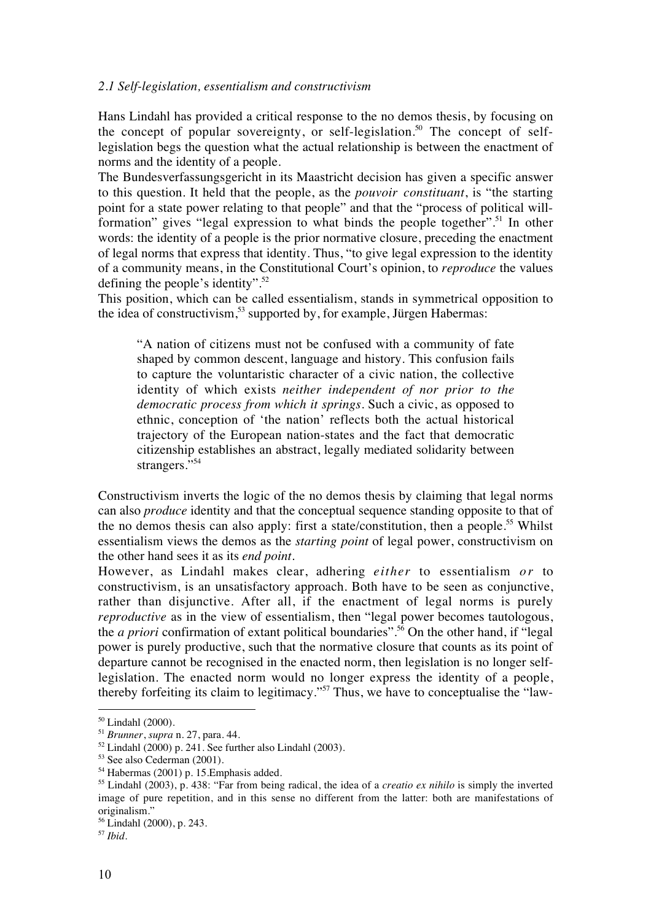#### *2.1 Self-legislation, essentialism and constructivism*

Hans Lindahl has provided a critical response to the no demos thesis, by focusing on the concept of popular sovereignty, or self-legislation.<sup>50</sup> The concept of selflegislation begs the question what the actual relationship is between the enactment of norms and the identity of a people.

The Bundesverfassungsgericht in its Maastricht decision has given a specific answer to this question. It held that the people, as the *pouvoir constituant*, is "the starting point for a state power relating to that people" and that the "process of political willformation" gives "legal expression to what binds the people together".<sup>51</sup> In other words: the identity of a people is the prior normative closure, preceding the enactment of legal norms that express that identity. Thus, "to give legal expression to the identity of a community means, in the Constitutional Court's opinion, to *reproduce* the values defining the people's identity". $52$ 

This position, which can be called essentialism, stands in symmetrical opposition to the idea of constructivism,<sup>53</sup> supported by, for example, Jürgen Habermas:

"A nation of citizens must not be confused with a community of fate shaped by common descent, language and history. This confusion fails to capture the voluntaristic character of a civic nation, the collective identity of which exists *neither independent of nor prior to the democratic process from which it springs*. Such a civic, as opposed to ethnic, conception of 'the nation' reflects both the actual historical trajectory of the European nation-states and the fact that democratic citizenship establishes an abstract, legally mediated solidarity between strangers."<sup>54</sup>

Constructivism inverts the logic of the no demos thesis by claiming that legal norms can also *produce* identity and that the conceptual sequence standing opposite to that of the no demos thesis can also apply: first a state/constitution, then a people.<sup>55</sup> Whilst essentialism views the demos as the *starting point* of legal power, constructivism on the other hand sees it as its *end point*.

However, as Lindahl makes clear, adhering *either* to essentialism *or* to constructivism, is an unsatisfactory approach. Both have to be seen as conjunctive, rather than disjunctive. After all, if the enactment of legal norms is purely *reproductive* as in the view of essentialism, then "legal power becomes tautologous, the *a priori* confirmation of extant political boundaries".56 On the other hand, if "legal power is purely productive, such that the normative closure that counts as its point of departure cannot be recognised in the enacted norm, then legislation is no longer selflegislation. The enacted norm would no longer express the identity of a people, thereby forfeiting its claim to legitimacy."57 Thus, we have to conceptualise the "law-

<sup>50</sup> Lindahl (2000).

<sup>51</sup> *Brunner*, *supra* n. 27, para. 44.

 $52$  Lindahl (2000) p. 241. See further also Lindahl (2003).

<sup>53</sup> See also Cederman (2001).

<sup>54</sup> Habermas (2001) p. 15.Emphasis added.

<sup>55</sup> Lindahl (2003), p. 438: "Far from being radical, the idea of a *creatio ex nihilo* is simply the inverted image of pure repetition, and in this sense no different from the latter: both are manifestations of originalism."

<sup>56</sup> Lindahl (2000), p. 243.

<sup>57</sup> *Ibid*.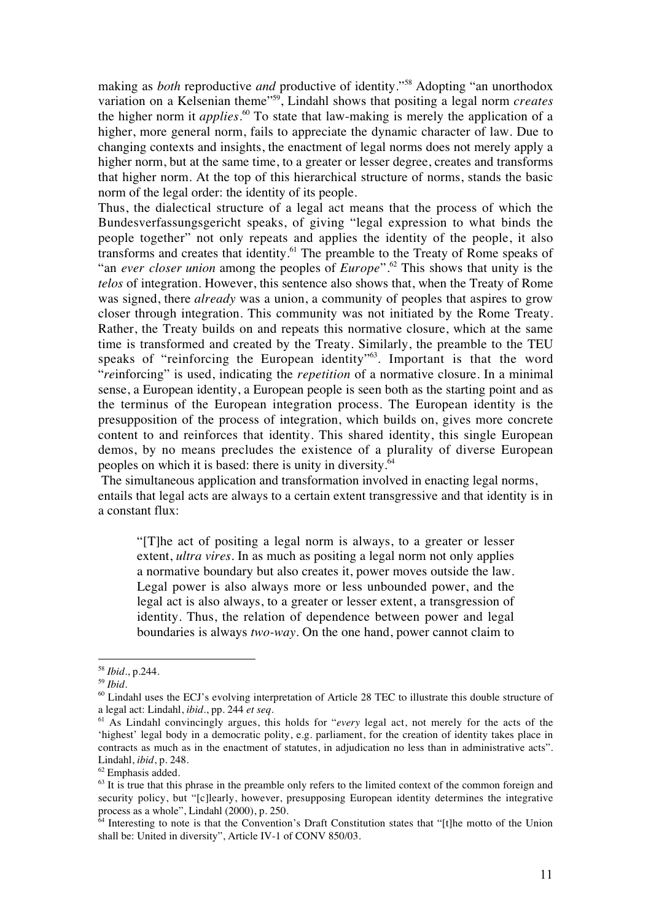making as *both* reproductive *and* productive of identity."58 Adopting "an unorthodox variation on a Kelsenian theme"59, Lindahl shows that positing a legal norm *creates* the higher norm it *applies*. <sup>60</sup> To state that law-making is merely the application of a higher, more general norm, fails to appreciate the dynamic character of law. Due to changing contexts and insights, the enactment of legal norms does not merely apply a higher norm, but at the same time, to a greater or lesser degree, creates and transforms that higher norm. At the top of this hierarchical structure of norms, stands the basic norm of the legal order: the identity of its people.

Thus, the dialectical structure of a legal act means that the process of which the Bundesverfassungsgericht speaks, of giving "legal expression to what binds the people together" not only repeats and applies the identity of the people, it also transforms and creates that identity.<sup>61</sup> The preamble to the Treaty of Rome speaks of "an *ever closer union* among the peoples of *Europe*".<sup>62</sup> This shows that unity is the *telos* of integration. However, this sentence also shows that, when the Treaty of Rome was signed, there *already* was a union, a community of peoples that aspires to grow closer through integration. This community was not initiated by the Rome Treaty. Rather, the Treaty builds on and repeats this normative closure, which at the same time is transformed and created by the Treaty. Similarly, the preamble to the TEU speaks of "reinforcing the European identity"<sup>63</sup>. Important is that the word "*re*inforcing" is used, indicating the *repetition* of a normative closure. In a minimal sense, a European identity, a European people is seen both as the starting point and as the terminus of the European integration process. The European identity is the presupposition of the process of integration, which builds on, gives more concrete content to and reinforces that identity. This shared identity, this single European demos, by no means precludes the existence of a plurality of diverse European peoples on which it is based: there is unity in diversity.<sup>64</sup>

 The simultaneous application and transformation involved in enacting legal norms, entails that legal acts are always to a certain extent transgressive and that identity is in a constant flux:

"[T]he act of positing a legal norm is always, to a greater or lesser extent, *ultra vires*. In as much as positing a legal norm not only applies a normative boundary but also creates it, power moves outside the law. Legal power is also always more or less unbounded power, and the legal act is also always, to a greater or lesser extent, a transgression of identity. Thus, the relation of dependence between power and legal boundaries is always *two-way*. On the one hand, power cannot claim to

<sup>58</sup> *Ibid*., p.244.

<sup>59</sup> *Ibid*.

 $<sup>60</sup>$  Lindahl uses the ECJ's evolving interpretation of Article 28 TEC to illustrate this double structure of</sup> a legal act: Lindahl, *ibid.*, pp. 244 *et seq.*

<sup>61</sup> As Lindahl convincingly argues, this holds for "*every* legal act, not merely for the acts of the 'highest' legal body in a democratic polity, e.g. parliament, for the creation of identity takes place in contracts as much as in the enactment of statutes, in adjudication no less than in administrative acts". Lindahl, *ibid*, p. 248.

<sup>62</sup> Emphasis added.

 $63$  It is true that this phrase in the preamble only refers to the limited context of the common foreign and security policy, but "[c]learly, however, presupposing European identity determines the integrative process as a whole", Lindahl (2000), p. 250.

<sup>&</sup>lt;sup>64</sup> Interesting to note is that the Convention's Draft Constitution states that "[t]he motto of the Union shall be: United in diversity", Article IV-1 of CONV 850/03.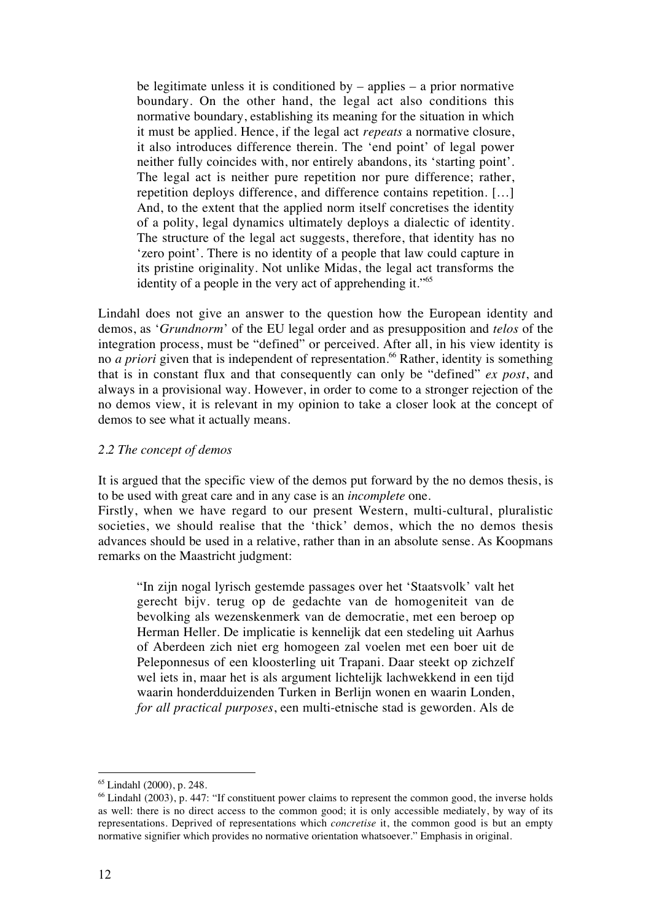be legitimate unless it is conditioned by  $-$  applies  $-$  a prior normative boundary. On the other hand, the legal act also conditions this normative boundary, establishing its meaning for the situation in which it must be applied. Hence, if the legal act *repeats* a normative closure, it also introduces difference therein. The 'end point' of legal power neither fully coincides with, nor entirely abandons, its 'starting point'. The legal act is neither pure repetition nor pure difference; rather, repetition deploys difference, and difference contains repetition. […] And, to the extent that the applied norm itself concretises the identity of a polity, legal dynamics ultimately deploys a dialectic of identity. The structure of the legal act suggests, therefore, that identity has no 'zero point'. There is no identity of a people that law could capture in its pristine originality. Not unlike Midas, the legal act transforms the identity of a people in the very act of apprehending it."65

Lindahl does not give an answer to the question how the European identity and demos, as '*Grundnorm*' of the EU legal order and as presupposition and *telos* of the integration process, must be "defined" or perceived. After all, in his view identity is no *a priori* given that is independent of representation.<sup>66</sup> Rather, identity is something that is in constant flux and that consequently can only be "defined" *ex post*, and always in a provisional way. However, in order to come to a stronger rejection of the no demos view, it is relevant in my opinion to take a closer look at the concept of demos to see what it actually means.

## *2.2 The concept of demos*

It is argued that the specific view of the demos put forward by the no demos thesis, is to be used with great care and in any case is an *incomplete* one.

Firstly, when we have regard to our present Western, multi-cultural, pluralistic societies, we should realise that the 'thick' demos, which the no demos thesis advances should be used in a relative, rather than in an absolute sense. As Koopmans remarks on the Maastricht judgment:

"In zijn nogal lyrisch gestemde passages over het 'Staatsvolk' valt het gerecht bijv. terug op de gedachte van de homogeniteit van de bevolking als wezenskenmerk van de democratie, met een beroep op Herman Heller. De implicatie is kennelijk dat een stedeling uit Aarhus of Aberdeen zich niet erg homogeen zal voelen met een boer uit de Peleponnesus of een kloosterling uit Trapani. Daar steekt op zichzelf wel iets in, maar het is als argument lichtelijk lachwekkend in een tijd waarin honderdduizenden Turken in Berlijn wonen en waarin Londen, *for all practical purposes*, een multi-etnische stad is geworden. Als de

<sup>65</sup> Lindahl (2000), p. 248.

<sup>&</sup>lt;sup>66</sup> Lindahl (2003), p. 447: "If constituent power claims to represent the common good, the inverse holds as well: there is no direct access to the common good; it is only accessible mediately, by way of its representations. Deprived of representations which *concretise* it, the common good is but an empty normative signifier which provides no normative orientation whatsoever." Emphasis in original.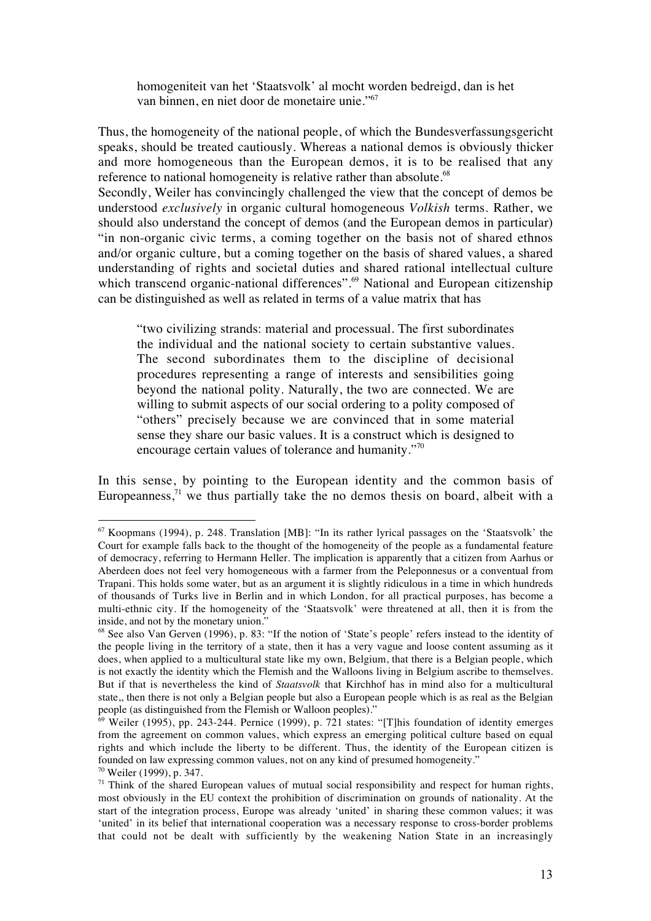homogeniteit van het 'Staatsvolk' al mocht worden bedreigd, dan is het van binnen, en niet door de monetaire unie."67

Thus, the homogeneity of the national people, of which the Bundesverfassungsgericht speaks, should be treated cautiously. Whereas a national demos is obviously thicker and more homogeneous than the European demos, it is to be realised that any reference to national homogeneity is relative rather than absolute.<sup>68</sup>

Secondly, Weiler has convincingly challenged the view that the concept of demos be understood *exclusively* in organic cultural homogeneous *Volkish* terms. Rather, we should also understand the concept of demos (and the European demos in particular) "in non-organic civic terms, a coming together on the basis not of shared ethnos and/or organic culture, but a coming together on the basis of shared values, a shared understanding of rights and societal duties and shared rational intellectual culture which transcend organic-national differences".<sup>69</sup> National and European citizenship can be distinguished as well as related in terms of a value matrix that has

"two civilizing strands: material and processual. The first subordinates the individual and the national society to certain substantive values. The second subordinates them to the discipline of decisional procedures representing a range of interests and sensibilities going beyond the national polity. Naturally, the two are connected. We are willing to submit aspects of our social ordering to a polity composed of "others" precisely because we are convinced that in some material sense they share our basic values. It is a construct which is designed to encourage certain values of tolerance and humanity."<sup>70</sup>

In this sense, by pointing to the European identity and the common basis of Europeanness, $71$  we thus partially take the no demos thesis on board, albeit with a

 $67$  Koopmans (1994), p. 248. Translation [MB]: "In its rather lyrical passages on the 'Staatsvolk' the Court for example falls back to the thought of the homogeneity of the people as a fundamental feature of democracy, referring to Hermann Heller. The implication is apparently that a citizen from Aarhus or Aberdeen does not feel very homogeneous with a farmer from the Peleponnesus or a conventual from Trapani. This holds some water, but as an argument it is slightly ridiculous in a time in which hundreds of thousands of Turks live in Berlin and in which London, for all practical purposes, has become a multi-ethnic city. If the homogeneity of the 'Staatsvolk' were threatened at all, then it is from the inside, and not by the monetary union."

<sup>68</sup> See also Van Gerven (1996), p. 83: "If the notion of 'State's people' refers instead to the identity of the people living in the territory of a state, then it has a very vague and loose content assuming as it does, when applied to a multicultural state like my own, Belgium, that there is a Belgian people, which is not exactly the identity which the Flemish and the Walloons living in Belgium ascribe to themselves. But if that is nevertheless the kind of *Staatsvolk* that Kirchhof has in mind also for a multicultural state,, then there is not only a Belgian people but also a European people which is as real as the Belgian people (as distinguished from the Flemish or Walloon peoples)."

 $\frac{69}{9}$  Weiler (1995), pp. 243-244. Pernice (1999), p. 721 states: "[T]his foundation of identity emerges from the agreement on common values, which express an emerging political culture based on equal rights and which include the liberty to be different. Thus, the identity of the European citizen is founded on law expressing common values, not on any kind of presumed homogeneity."

<sup>70</sup> Weiler (1999), p. 347.

 $71$  Think of the shared European values of mutual social responsibility and respect for human rights, most obviously in the EU context the prohibition of discrimination on grounds of nationality. At the start of the integration process, Europe was already 'united' in sharing these common values; it was 'united' in its belief that international cooperation was a necessary response to cross-border problems that could not be dealt with sufficiently by the weakening Nation State in an increasingly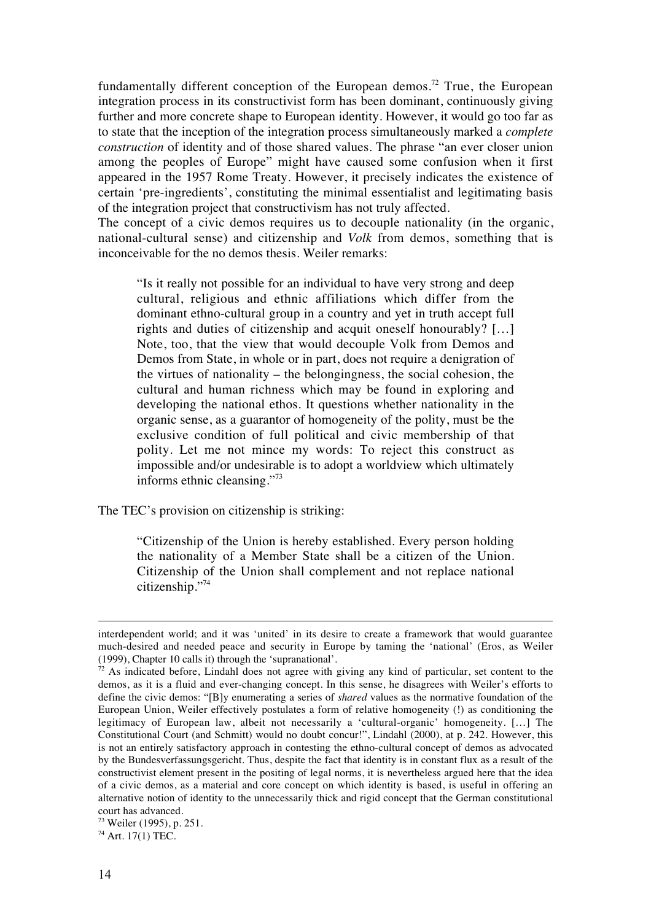fundamentally different conception of the European demos.<sup>72</sup> True, the European integration process in its constructivist form has been dominant, continuously giving further and more concrete shape to European identity. However, it would go too far as to state that the inception of the integration process simultaneously marked a *complete construction* of identity and of those shared values. The phrase "an ever closer union among the peoples of Europe" might have caused some confusion when it first appeared in the 1957 Rome Treaty. However, it precisely indicates the existence of certain 'pre-ingredients', constituting the minimal essentialist and legitimating basis of the integration project that constructivism has not truly affected.

The concept of a civic demos requires us to decouple nationality (in the organic, national-cultural sense) and citizenship and *Volk* from demos, something that is inconceivable for the no demos thesis. Weiler remarks:

"Is it really not possible for an individual to have very strong and deep cultural, religious and ethnic affiliations which differ from the dominant ethno-cultural group in a country and yet in truth accept full rights and duties of citizenship and acquit oneself honourably? […] Note, too, that the view that would decouple Volk from Demos and Demos from State, in whole or in part, does not require a denigration of the virtues of nationality – the belongingness, the social cohesion, the cultural and human richness which may be found in exploring and developing the national ethos. It questions whether nationality in the organic sense, as a guarantor of homogeneity of the polity, must be the exclusive condition of full political and civic membership of that polity. Let me not mince my words: To reject this construct as impossible and/or undesirable is to adopt a worldview which ultimately informs ethnic cleansing."73

The TEC's provision on citizenship is striking:

"Citizenship of the Union is hereby established. Every person holding the nationality of a Member State shall be a citizen of the Union. Citizenship of the Union shall complement and not replace national citizenship."74

interdependent world; and it was 'united' in its desire to create a framework that would guarantee much-desired and needed peace and security in Europe by taming the 'national' (Eros, as Weiler (1999), Chapter 10 calls it) through the 'supranational'.

 $72$  As indicated before, Lindahl does not agree with giving any kind of particular, set content to the demos, as it is a fluid and ever-changing concept. In this sense, he disagrees with Weiler's efforts to define the civic demos: "[B]y enumerating a series of *shared* values as the normative foundation of the European Union, Weiler effectively postulates a form of relative homogeneity (!) as conditioning the legitimacy of European law, albeit not necessarily a 'cultural-organic' homogeneity. […] The Constitutional Court (and Schmitt) would no doubt concur!", Lindahl (2000), at p. 242. However, this is not an entirely satisfactory approach in contesting the ethno-cultural concept of demos as advocated by the Bundesverfassungsgericht. Thus, despite the fact that identity is in constant flux as a result of the constructivist element present in the positing of legal norms, it is nevertheless argued here that the idea of a civic demos, as a material and core concept on which identity is based, is useful in offering an alternative notion of identity to the unnecessarily thick and rigid concept that the German constitutional court has advanced.

<sup>73</sup> Weiler (1995), p. 251.

 $74$  Art. 17(1) TEC.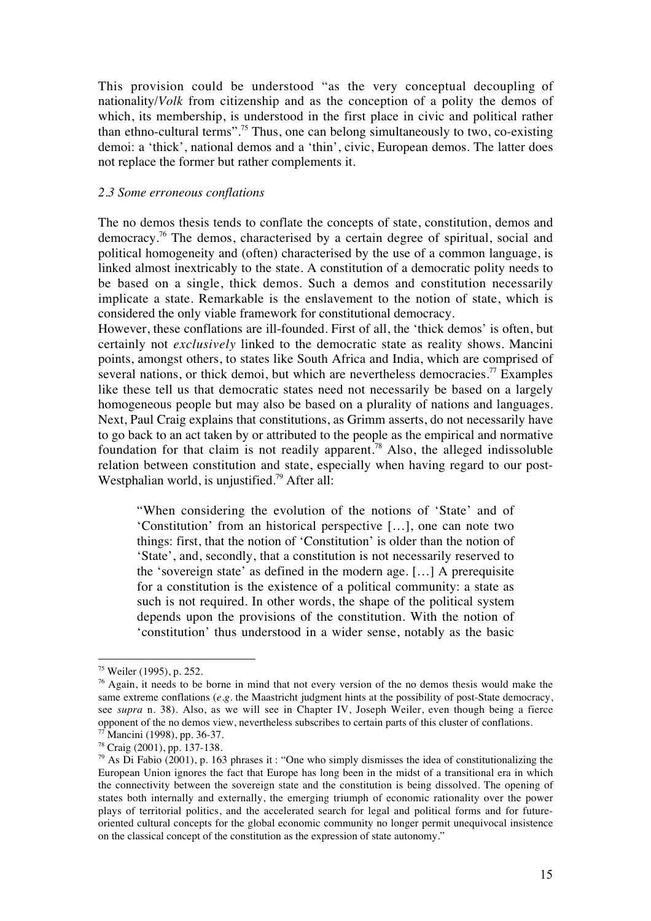This provision could be understood "as the very conceptual decoupling of nationality/*Volk* from citizenship and as the conception of a polity the demos of which, its membership, is understood in the first place in civic and political rather than ethno-cultural terms".75 Thus, one can belong simultaneously to two, co-existing demoi: a 'thick', national demos and a 'thin', civic, European demos. The latter does not replace the former but rather complements it.

#### *2.3 Some erroneous conflations*

The no demos thesis tends to conflate the concepts of state, constitution, demos and democracy.76 The demos, characterised by a certain degree of spiritual, social and political homogeneity and (often) characterised by the use of a common language, is linked almost inextricably to the state. A constitution of a democratic polity needs to be based on a single, thick demos. Such a demos and constitution necessarily implicate a state. Remarkable is the enslavement to the notion of state, which is considered the only viable framework for constitutional democracy.

However, these conflations are ill-founded. First of all, the 'thick demos' is often, but certainly not *exclusively* linked to the democratic state as reality shows. Mancini points, amongst others, to states like South Africa and India, which are comprised of several nations, or thick demoi, but which are nevertheless democracies.<sup>77</sup> Examples like these tell us that democratic states need not necessarily be based on a largely homogeneous people but may also be based on a plurality of nations and languages. Next, Paul Craig explains that constitutions, as Grimm asserts, do not necessarily have to go back to an act taken by or attributed to the people as the empirical and normative foundation for that claim is not readily apparent.<sup>78</sup> Also, the alleged indissoluble relation between constitution and state, especially when having regard to our post-Westphalian world, is unjustified.<sup>79</sup> After all:

"When considering the evolution of the notions of 'State' and of 'Constitution' from an historical perspective […], one can note two things: first, that the notion of 'Constitution' is older than the notion of 'State', and, secondly, that a constitution is not necessarily reserved to the 'sovereign state' as defined in the modern age. […] A prerequisite for a constitution is the existence of a political community: a state as such is not required. In other words, the shape of the political system depends upon the provisions of the constitution. With the notion of 'constitution' thus understood in a wider sense, notably as the basic

<sup>75</sup> Weiler (1995), p. 252.

 $\frac{76}{3}$  Again, it needs to be borne in mind that not every version of the no demos thesis would make the same extreme conflations (*e.g.* the Maastricht judgment hints at the possibility of post-State democracy, see *supra* n. 38). Also, as we will see in Chapter IV, Joseph Weiler, even though being a fierce opponent of the no demos view, nevertheless subscribes to certain parts of this cluster of conflations.  $77$  Mancini (1998), pp. 36-37.

<sup>78</sup> Craig (2001), pp. 137-138.

 $79$  As Di Fabio (2001), p. 163 phrases it : "One who simply dismisses the idea of constitutionalizing the European Union ignores the fact that Europe has long been in the midst of a transitional era in which the connectivity between the sovereign state and the constitution is being dissolved. The opening of states both internally and externally, the emerging triumph of economic rationality over the power plays of territorial politics, and the accelerated search for legal and political forms and for futureoriented cultural concepts for the global economic community no longer permit unequivocal insistence on the classical concept of the constitution as the expression of state autonomy."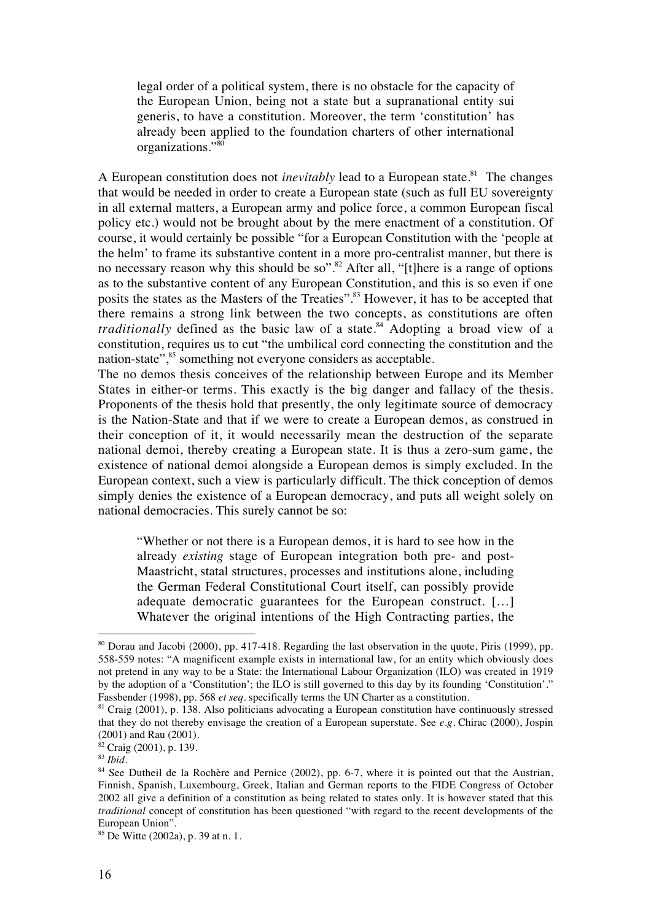legal order of a political system, there is no obstacle for the capacity of the European Union, being not a state but a supranational entity sui generis, to have a constitution. Moreover, the term 'constitution' has already been applied to the foundation charters of other international organizations."80

A European constitution does not *inevitably* lead to a European state.<sup>81</sup> The changes that would be needed in order to create a European state (such as full EU sovereignty in all external matters, a European army and police force, a common European fiscal policy etc.) would not be brought about by the mere enactment of a constitution. Of course, it would certainly be possible "for a European Constitution with the 'people at the helm' to frame its substantive content in a more pro-centralist manner, but there is no necessary reason why this should be so".<sup>82</sup> After all, "[t]here is a range of options as to the substantive content of any European Constitution, and this is so even if one posits the states as the Masters of the Treaties".<sup>83</sup> However, it has to be accepted that there remains a strong link between the two concepts, as constitutions are often *traditionally* defined as the basic law of a state.<sup>84</sup> Adopting a broad view of a constitution, requires us to cut "the umbilical cord connecting the constitution and the nation-state",<sup>85</sup> something not everyone considers as acceptable.

The no demos thesis conceives of the relationship between Europe and its Member States in either-or terms. This exactly is the big danger and fallacy of the thesis. Proponents of the thesis hold that presently, the only legitimate source of democracy is the Nation-State and that if we were to create a European demos, as construed in their conception of it, it would necessarily mean the destruction of the separate national demoi, thereby creating a European state. It is thus a zero-sum game, the existence of national demoi alongside a European demos is simply excluded. In the European context, such a view is particularly difficult. The thick conception of demos simply denies the existence of a European democracy, and puts all weight solely on national democracies. This surely cannot be so:

"Whether or not there is a European demos, it is hard to see how in the already *existing* stage of European integration both pre- and post-Maastricht, statal structures, processes and institutions alone, including the German Federal Constitutional Court itself, can possibly provide adequate democratic guarantees for the European construct. […] Whatever the original intentions of the High Contracting parties, the

<sup>80</sup> Dorau and Jacobi (2000), pp. 417-418. Regarding the last observation in the quote, Piris (1999), pp. 558-559 notes: "A magnificent example exists in international law, for an entity which obviously does not pretend in any way to be a State: the International Labour Organization (ILO) was created in 1919 by the adoption of a 'Constitution'; the ILO is still governed to this day by its founding 'Constitution'." Fassbender (1998), pp. 568 *et seq.* specifically terms the UN Charter as a constitution.

<sup>&</sup>lt;sup>81</sup> Craig (2001), p. 138. Also politicians advocating a European constitution have continuously stressed that they do not thereby envisage the creation of a European superstate. See *e.g.* Chirac (2000), Jospin (2001) and Rau (2001).

 $82$  Craig (2001), p. 139.

<sup>83</sup> *Ibid.*

<sup>&</sup>lt;sup>84</sup> See Dutheil de la Rochère and Pernice (2002), pp. 6-7, where it is pointed out that the Austrian, Finnish, Spanish, Luxembourg, Greek, Italian and German reports to the FIDE Congress of October 2002 all give a definition of a constitution as being related to states only. It is however stated that this *traditional* concept of constitution has been questioned "with regard to the recent developments of the European Union".

<sup>85</sup> De Witte (2002a), p. 39 at n. 1.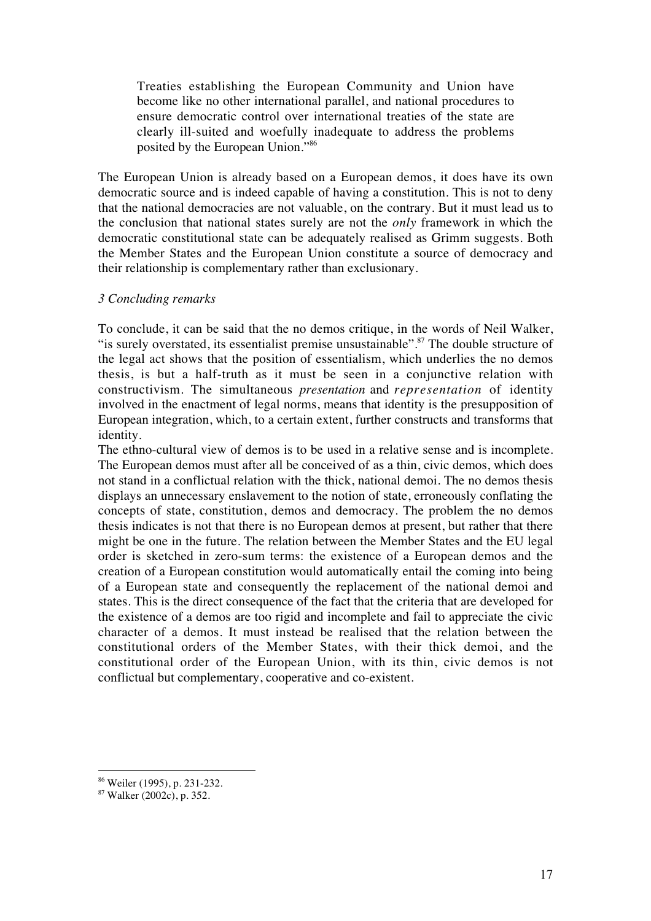Treaties establishing the European Community and Union have become like no other international parallel, and national procedures to ensure democratic control over international treaties of the state are clearly ill-suited and woefully inadequate to address the problems posited by the European Union."86

The European Union is already based on a European demos, it does have its own democratic source and is indeed capable of having a constitution. This is not to deny that the national democracies are not valuable, on the contrary. But it must lead us to the conclusion that national states surely are not the *only* framework in which the democratic constitutional state can be adequately realised as Grimm suggests. Both the Member States and the European Union constitute a source of democracy and their relationship is complementary rather than exclusionary.

### *3 Concluding remarks*

To conclude, it can be said that the no demos critique, in the words of Neil Walker, "is surely overstated, its essentialist premise unsustainable".<sup>87</sup> The double structure of the legal act shows that the position of essentialism, which underlies the no demos thesis, is but a half-truth as it must be seen in a conjunctive relation with constructivism. The simultaneous *presentation* and *representation* of identity involved in the enactment of legal norms, means that identity is the presupposition of European integration, which, to a certain extent, further constructs and transforms that identity.

The ethno-cultural view of demos is to be used in a relative sense and is incomplete. The European demos must after all be conceived of as a thin, civic demos, which does not stand in a conflictual relation with the thick, national demoi. The no demos thesis displays an unnecessary enslavement to the notion of state, erroneously conflating the concepts of state, constitution, demos and democracy. The problem the no demos thesis indicates is not that there is no European demos at present, but rather that there might be one in the future. The relation between the Member States and the EU legal order is sketched in zero-sum terms: the existence of a European demos and the creation of a European constitution would automatically entail the coming into being of a European state and consequently the replacement of the national demoi and states. This is the direct consequence of the fact that the criteria that are developed for the existence of a demos are too rigid and incomplete and fail to appreciate the civic character of a demos. It must instead be realised that the relation between the constitutional orders of the Member States, with their thick demoi, and the constitutional order of the European Union, with its thin, civic demos is not conflictual but complementary, cooperative and co-existent.

 $\overline{a}$ 86 Weiler (1995), p. 231-232.

<sup>87</sup> Walker (2002c), p. 352.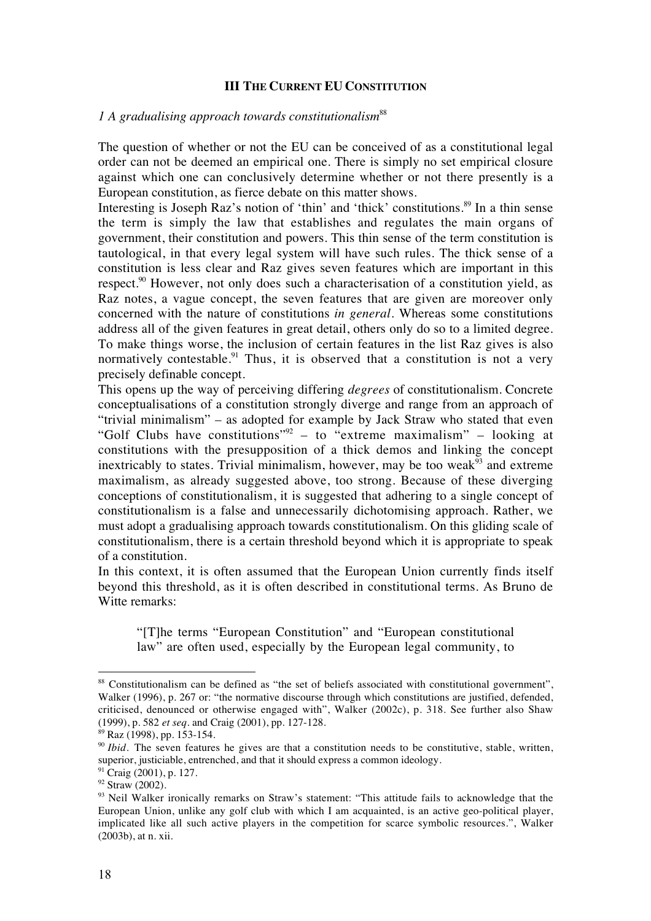# **III THE CURRENT EU CONSTITUTION**

## *1 A gradualising approach towards constitutionalism*<sup>88</sup>

The question of whether or not the EU can be conceived of as a constitutional legal order can not be deemed an empirical one. There is simply no set empirical closure against which one can conclusively determine whether or not there presently is a European constitution, as fierce debate on this matter shows.

Interesting is Joseph Raz's notion of 'thin' and 'thick' constitutions.<sup>89</sup> In a thin sense the term is simply the law that establishes and regulates the main organs of government, their constitution and powers. This thin sense of the term constitution is tautological, in that every legal system will have such rules. The thick sense of a constitution is less clear and Raz gives seven features which are important in this respect.<sup>90</sup> However, not only does such a characterisation of a constitution yield, as Raz notes, a vague concept, the seven features that are given are moreover only concerned with the nature of constitutions *in general*. Whereas some constitutions address all of the given features in great detail, others only do so to a limited degree. To make things worse, the inclusion of certain features in the list Raz gives is also normatively contestable.<sup>91</sup> Thus, it is observed that a constitution is not a very precisely definable concept.

This opens up the way of perceiving differing *degrees* of constitutionalism. Concrete conceptualisations of a constitution strongly diverge and range from an approach of "trivial minimalism" – as adopted for example by Jack Straw who stated that even "Golf Clubs have constitutions"<sup>92</sup> – to "extreme maximalism" – looking at constitutions with the presupposition of a thick demos and linking the concept inextricably to states. Trivial minimalism, however, may be too weak $93$  and extreme maximalism, as already suggested above, too strong. Because of these diverging conceptions of constitutionalism, it is suggested that adhering to a single concept of constitutionalism is a false and unnecessarily dichotomising approach. Rather, we must adopt a gradualising approach towards constitutionalism. On this gliding scale of constitutionalism, there is a certain threshold beyond which it is appropriate to speak of a constitution.

In this context, it is often assumed that the European Union currently finds itself beyond this threshold, as it is often described in constitutional terms. As Bruno de Witte remarks:

"[T]he terms "European Constitution" and "European constitutional law" are often used, especially by the European legal community, to

<sup>&</sup>lt;sup>88</sup> Constitutionalism can be defined as "the set of beliefs associated with constitutional government", Walker (1996), p. 267 or: "the normative discourse through which constitutions are justified, defended, criticised, denounced or otherwise engaged with", Walker (2002c), p. 318. See further also Shaw (1999), p. 582 *et seq.* and Craig (2001), pp. 127-128.

<sup>89</sup> Raz (1998), pp. 153-154.

<sup>&</sup>lt;sup>90</sup> *Ibid.* The seven features he gives are that a constitution needs to be constitutive, stable, written, superior, justiciable, entrenched, and that it should express a common ideology.

<sup>&</sup>lt;sup>91</sup> Craig (2001), p. 127.

<sup>&</sup>lt;sup>92</sup> Straw (2002).

<sup>&</sup>lt;sup>93</sup> Neil Walker ironically remarks on Straw's statement: "This attitude fails to acknowledge that the European Union, unlike any golf club with which I am acquainted, is an active geo-political player, implicated like all such active players in the competition for scarce symbolic resources.", Walker (2003b), at n. xii.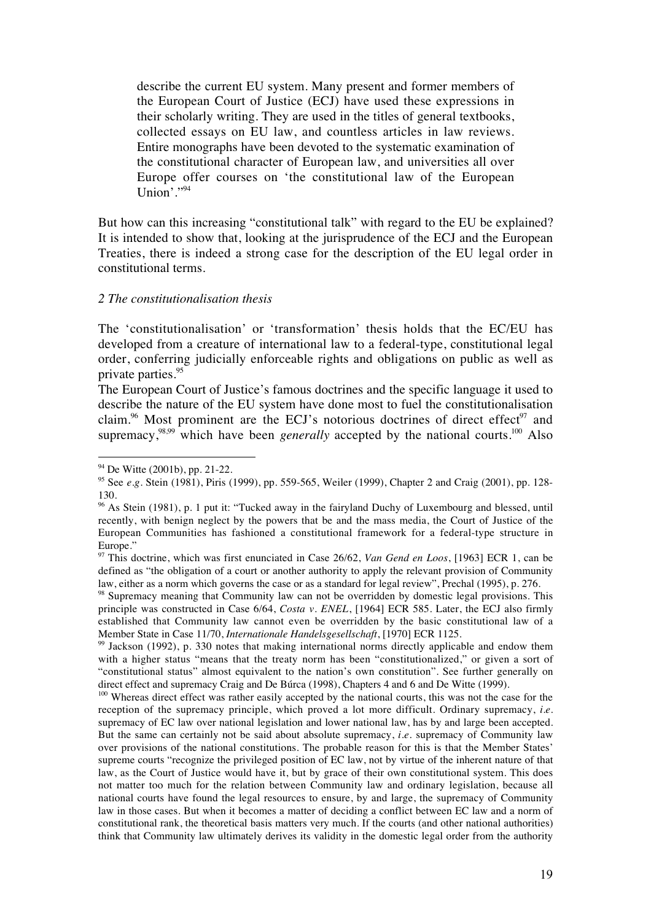describe the current EU system. Many present and former members of the European Court of Justice (ECJ) have used these expressions in their scholarly writing. They are used in the titles of general textbooks, collected essays on EU law, and countless articles in law reviews. Entire monographs have been devoted to the systematic examination of the constitutional character of European law, and universities all over Europe offer courses on 'the constitutional law of the European Union' $\cdot$ ."94

But how can this increasing "constitutional talk" with regard to the EU be explained? It is intended to show that, looking at the jurisprudence of the ECJ and the European Treaties, there is indeed a strong case for the description of the EU legal order in constitutional terms.

#### *2 The constitutionalisation thesis*

The 'constitutionalisation' or 'transformation' thesis holds that the EC/EU has developed from a creature of international law to a federal-type, constitutional legal order, conferring judicially enforceable rights and obligations on public as well as private parties.<sup>95</sup>

The European Court of Justice's famous doctrines and the specific language it used to describe the nature of the EU system have done most to fuel the constitutionalisation claim.<sup>96</sup> Most prominent are the ECJ's notorious doctrines of direct effect<sup>97</sup> and supremacy, $98,99$  which have been *generally* accepted by the national courts.<sup>100</sup> Also

<sup>&</sup>lt;sup>94</sup> De Witte (2001b), pp. 21-22.

<sup>95</sup> See *e.g.* Stein (1981), Piris (1999), pp. 559-565, Weiler (1999), Chapter 2 and Craig (2001), pp. 128- 130.

<sup>&</sup>lt;sup>96</sup> As Stein (1981), p. 1 put it: "Tucked away in the fairyland Duchy of Luxembourg and blessed, until recently, with benign neglect by the powers that be and the mass media, the Court of Justice of the European Communities has fashioned a constitutional framework for a federal-type structure in Europe."

<sup>97</sup> This doctrine, which was first enunciated in Case 26/62, *Van Gend en Loos*, [1963] ECR 1, can be defined as "the obligation of a court or another authority to apply the relevant provision of Community law, either as a norm which governs the case or as a standard for legal review", Prechal (1995), p. 276.

<sup>&</sup>lt;sup>98</sup> Supremacy meaning that Community law can not be overridden by domestic legal provisions. This principle was constructed in Case 6/64, *Costa v. ENEL*, [1964] ECR 585. Later, the ECJ also firmly established that Community law cannot even be overridden by the basic constitutional law of a Member State in Case 11/70, *Internationale Handelsgesellschaft*, [1970] ECR 1125.

<sup>&</sup>lt;sup>99</sup> Jackson (1992), p. 330 notes that making international norms directly applicable and endow them with a higher status "means that the treaty norm has been "constitutionalized," or given a sort of "constitutional status" almost equivalent to the nation's own constitution". See further generally on direct effect and supremacy Craig and De Búrca (1998), Chapters 4 and 6 and De Witte (1999).

<sup>&</sup>lt;sup>100</sup> Whereas direct effect was rather easily accepted by the national courts, this was not the case for the reception of the supremacy principle, which proved a lot more difficult. Ordinary supremacy, *i.e.* supremacy of EC law over national legislation and lower national law, has by and large been accepted. But the same can certainly not be said about absolute supremacy, *i.e.* supremacy of Community law over provisions of the national constitutions. The probable reason for this is that the Member States' supreme courts "recognize the privileged position of EC law, not by virtue of the inherent nature of that law, as the Court of Justice would have it, but by grace of their own constitutional system. This does not matter too much for the relation between Community law and ordinary legislation, because all national courts have found the legal resources to ensure, by and large, the supremacy of Community law in those cases. But when it becomes a matter of deciding a conflict between EC law and a norm of constitutional rank, the theoretical basis matters very much. If the courts (and other national authorities) think that Community law ultimately derives its validity in the domestic legal order from the authority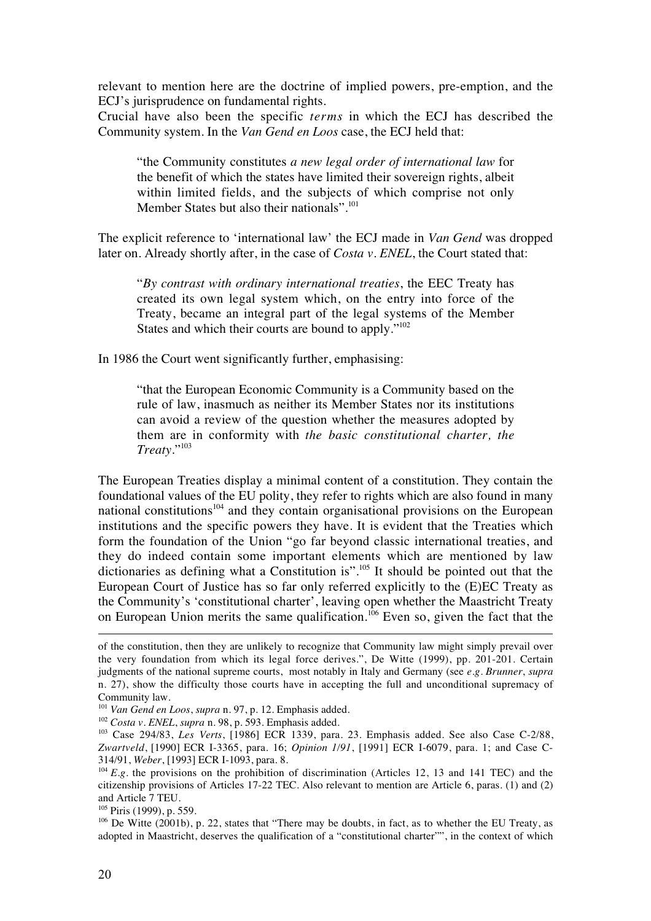relevant to mention here are the doctrine of implied powers, pre-emption, and the ECJ's jurisprudence on fundamental rights.

Crucial have also been the specific *terms* in which the ECJ has described the Community system. In the *Van Gend en Loos* case, the ECJ held that:

"the Community constitutes *a new legal order of international law* for the benefit of which the states have limited their sovereign rights, albeit within limited fields, and the subjects of which comprise not only Member States but also their nationals".<sup>101</sup>

The explicit reference to 'international law' the ECJ made in *Van Gend* was dropped later on. Already shortly after, in the case of *Costa v. ENEL*, the Court stated that:

"*By contrast with ordinary international treaties*, the EEC Treaty has created its own legal system which, on the entry into force of the Treaty, became an integral part of the legal systems of the Member States and which their courts are bound to apply."<sup>102</sup>

In 1986 the Court went significantly further, emphasising:

"that the European Economic Community is a Community based on the rule of law, inasmuch as neither its Member States nor its institutions can avoid a review of the question whether the measures adopted by them are in conformity with *the basic constitutional charter, the Treaty*."103

The European Treaties display a minimal content of a constitution. They contain the foundational values of the EU polity, they refer to rights which are also found in many national constitutions<sup>104</sup> and they contain organisational provisions on the European institutions and the specific powers they have. It is evident that the Treaties which form the foundation of the Union "go far beyond classic international treaties, and they do indeed contain some important elements which are mentioned by law dictionaries as defining what a Constitution is".<sup>105</sup> It should be pointed out that the European Court of Justice has so far only referred explicitly to the (E)EC Treaty as the Community's 'constitutional charter', leaving open whether the Maastricht Treaty on European Union merits the same qualification.<sup>106</sup> Even so, given the fact that the

of the constitution, then they are unlikely to recognize that Community law might simply prevail over the very foundation from which its legal force derives.", De Witte (1999), pp. 201-201. Certain judgments of the national supreme courts, most notably in Italy and Germany (see *e.g. Brunner*, *supra* n. 27), show the difficulty those courts have in accepting the full and unconditional supremacy of Community law.

<sup>101</sup> *Van Gend en Loos*, *supra* n. 97, p. 12. Emphasis added.

<sup>102</sup> *Costa v. ENEL*, *supra* n. 98, p. 593. Emphasis added.

<sup>103</sup> Case 294/83, *Les Verts*, [1986] ECR 1339, para. 23. Emphasis added. See also Case C-2/88, *Zwartveld*, [1990] ECR I-3365, para. 16; *Opinion 1/91*, [1991] ECR I-6079, para. 1; and Case C-314/91, *Weber*, [1993] ECR I-1093, para. 8.

 $104 E.g.$  the provisions on the prohibition of discrimination (Articles 12, 13 and 141 TEC) and the citizenship provisions of Articles 17-22 TEC. Also relevant to mention are Article 6, paras. (1) and (2) and Article 7 TEU.

 $105$  Piris (1999), p. 559.

<sup>&</sup>lt;sup>106</sup> De Witte (2001b), p. 22, states that "There may be doubts, in fact, as to whether the EU Treaty, as adopted in Maastricht, deserves the qualification of a "constitutional charter"", in the context of which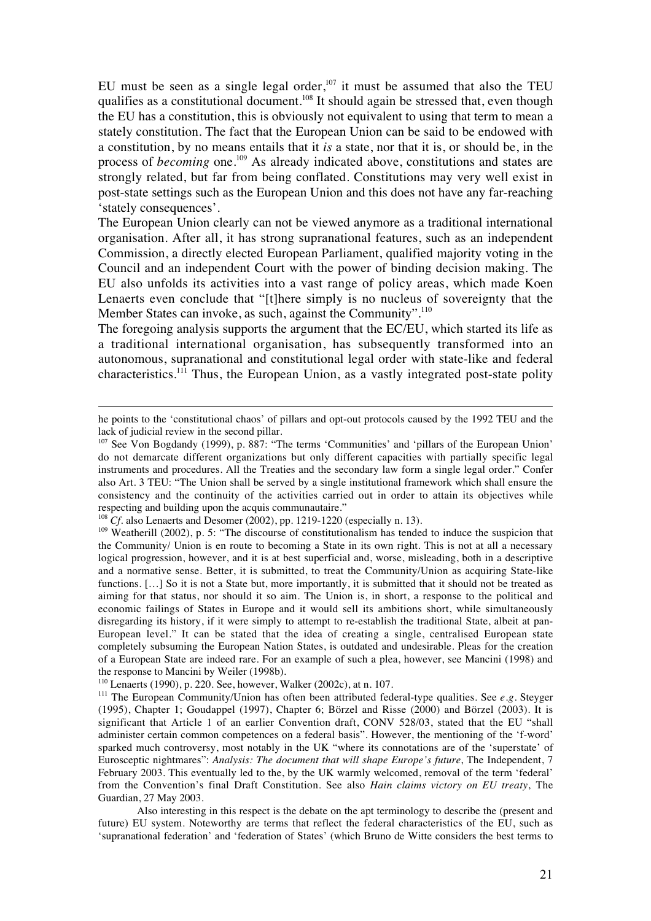EU must be seen as a single legal order, $107$  it must be assumed that also the TEU qualifies as a constitutional document.<sup>108</sup> It should again be stressed that, even though the EU has a constitution, this is obviously not equivalent to using that term to mean a stately constitution. The fact that the European Union can be said to be endowed with a constitution, by no means entails that it *is* a state, nor that it is, or should be, in the process of *becoming* one.<sup>109</sup> As already indicated above, constitutions and states are strongly related, but far from being conflated. Constitutions may very well exist in post-state settings such as the European Union and this does not have any far-reaching 'stately consequences'.

The European Union clearly can not be viewed anymore as a traditional international organisation. After all, it has strong supranational features, such as an independent Commission, a directly elected European Parliament, qualified majority voting in the Council and an independent Court with the power of binding decision making. The EU also unfolds its activities into a vast range of policy areas, which made Koen Lenaerts even conclude that "[t]here simply is no nucleus of sovereignty that the Member States can invoke, as such, against the Community".<sup>110</sup>

The foregoing analysis supports the argument that the EC/EU, which started its life as a traditional international organisation, has subsequently transformed into an autonomous, supranational and constitutional legal order with state-like and federal characteristics.<sup>111</sup> Thus, the European Union, as a vastly integrated post-state polity

he points to the 'constitutional chaos' of pillars and opt-out protocols caused by the 1992 TEU and the lack of judicial review in the second pillar.

<sup>&</sup>lt;sup>107</sup> See Von Bogdandy (1999), p. 887: "The terms 'Communities' and 'pillars of the European Union' do not demarcate different organizations but only different capacities with partially specific legal instruments and procedures. All the Treaties and the secondary law form a single legal order." Confer also Art. 3 TEU: "The Union shall be served by a single institutional framework which shall ensure the consistency and the continuity of the activities carried out in order to attain its objectives while respecting and building upon the acquis communautaire."

<sup>&</sup>lt;sup>108</sup> *Cf.* also Lenaerts and Desomer (2002), pp. 1219-1220 (especially n. 13).

<sup>&</sup>lt;sup>109</sup> Weatherill (2002), p. 5: "The discourse of constitutionalism has tended to induce the suspicion that the Community/ Union is en route to becoming a State in its own right. This is not at all a necessary logical progression, however, and it is at best superficial and, worse, misleading, both in a descriptive and a normative sense. Better, it is submitted, to treat the Community/Union as acquiring State-like functions. [...] So it is not a State but, more importantly, it is submitted that it should not be treated as aiming for that status, nor should it so aim. The Union is, in short, a response to the political and economic failings of States in Europe and it would sell its ambitions short, while simultaneously disregarding its history, if it were simply to attempt to re-establish the traditional State, albeit at pan-European level." It can be stated that the idea of creating a single, centralised European state completely subsuming the European Nation States, is outdated and undesirable. Pleas for the creation of a European State are indeed rare. For an example of such a plea, however, see Mancini (1998) and the response to Mancini by Weiler (1998b).

<sup>110</sup> Lenaerts (1990), p. 220. See, however, Walker (2002c), at n. 107.

<sup>111</sup> The European Community/Union has often been attributed federal-type qualities. See *e.g.* Steyger (1995), Chapter 1; Goudappel (1997), Chapter 6; Börzel and Risse (2000) and Börzel (2003). It is significant that Article 1 of an earlier Convention draft, CONV 528/03, stated that the EU "shall administer certain common competences on a federal basis". However, the mentioning of the 'f-word' sparked much controversy, most notably in the UK "where its connotations are of the 'superstate' of Eurosceptic nightmares": *Analysis: The document that will shape Europe's future*, The Independent, 7 February 2003. This eventually led to the, by the UK warmly welcomed, removal of the term 'federal' from the Convention's final Draft Constitution. See also *Hain claims victory on EU treaty*, The Guardian, 27 May 2003.

Also interesting in this respect is the debate on the apt terminology to describe the (present and future) EU system. Noteworthy are terms that reflect the federal characteristics of the EU, such as 'supranational federation' and 'federation of States' (which Bruno de Witte considers the best terms to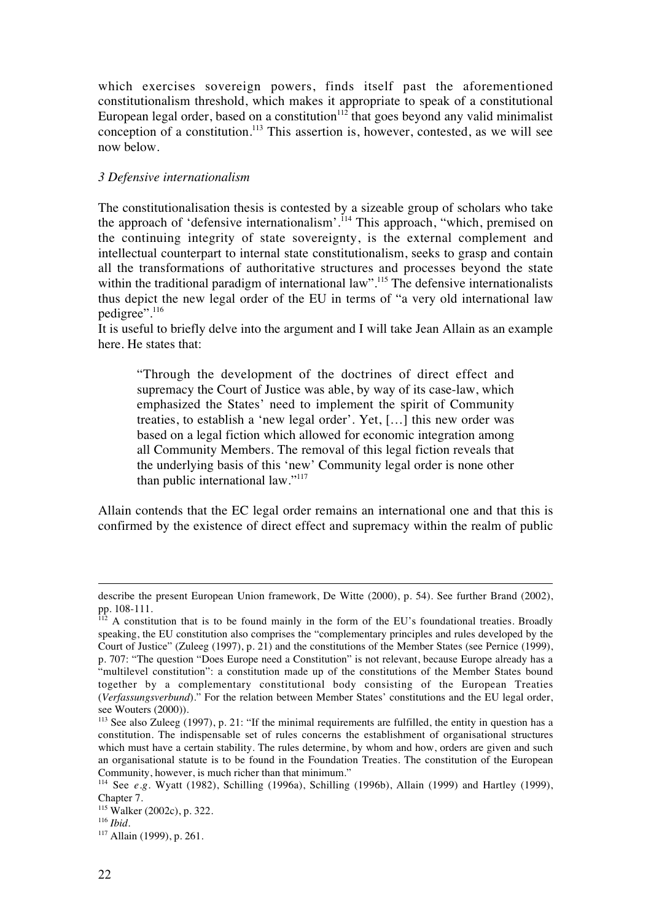which exercises sovereign powers, finds itself past the aforementioned constitutionalism threshold, which makes it appropriate to speak of a constitutional European legal order, based on a constitution<sup> $112$ </sup> that goes beyond any valid minimalist conception of a constitution.<sup>113</sup> This assertion is, however, contested, as we will see now below.

## *3 Defensive internationalism*

The constitutionalisation thesis is contested by a sizeable group of scholars who take the approach of 'defensive internationalism'.<sup>114</sup> This approach, "which, premised on the continuing integrity of state sovereignty, is the external complement and intellectual counterpart to internal state constitutionalism, seeks to grasp and contain all the transformations of authoritative structures and processes beyond the state within the traditional paradigm of international law".<sup>115</sup> The defensive internationalists thus depict the new legal order of the EU in terms of "a very old international law pedigree".<sup>116</sup>

It is useful to briefly delve into the argument and I will take Jean Allain as an example here. He states that:

"Through the development of the doctrines of direct effect and supremacy the Court of Justice was able, by way of its case-law, which emphasized the States' need to implement the spirit of Community treaties, to establish a 'new legal order'. Yet, […] this new order was based on a legal fiction which allowed for economic integration among all Community Members. The removal of this legal fiction reveals that the underlying basis of this 'new' Community legal order is none other than public international law."<sup>117</sup>

Allain contends that the EC legal order remains an international one and that this is confirmed by the existence of direct effect and supremacy within the realm of public

describe the present European Union framework, De Witte (2000), p. 54). See further Brand (2002), pp. 108-111.

A constitution that is to be found mainly in the form of the EU's foundational treaties. Broadly speaking, the EU constitution also comprises the "complementary principles and rules developed by the Court of Justice" (Zuleeg (1997), p. 21) and the constitutions of the Member States (see Pernice (1999), p. 707: "The question "Does Europe need a Constitution" is not relevant, because Europe already has a "multilevel constitution": a constitution made up of the constitutions of the Member States bound together by a complementary constitutional body consisting of the European Treaties (*Verfassungsverbund*)." For the relation between Member States' constitutions and the EU legal order, see Wouters (2000)).

 $113$  See also Zuleeg (1997), p. 21: "If the minimal requirements are fulfilled, the entity in question has a constitution. The indispensable set of rules concerns the establishment of organisational structures which must have a certain stability. The rules determine, by whom and how, orders are given and such an organisational statute is to be found in the Foundation Treaties. The constitution of the European Community, however, is much richer than that minimum."

<sup>114</sup> See *e.g.* Wyatt (1982), Schilling (1996a), Schilling (1996b), Allain (1999) and Hartley (1999), Chapter 7.

<sup>115</sup> Walker (2002c), p. 322.

<sup>116</sup> *Ibid*.

<sup>117</sup> Allain (1999), p. 261.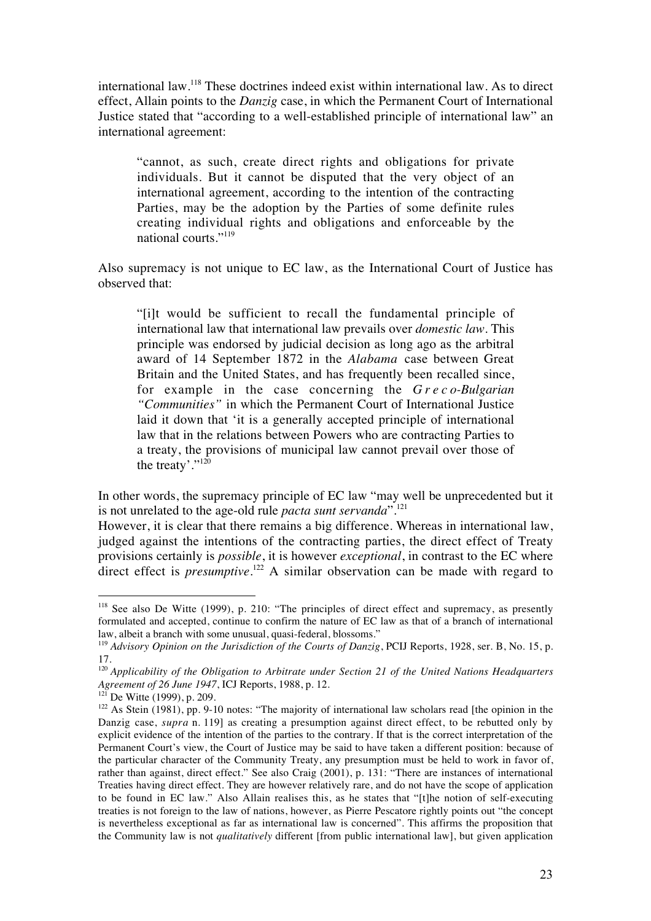international law.118 These doctrines indeed exist within international law. As to direct effect, Allain points to the *Danzig* case, in which the Permanent Court of International Justice stated that "according to a well-established principle of international law" an international agreement:

"cannot, as such, create direct rights and obligations for private individuals. But it cannot be disputed that the very object of an international agreement, according to the intention of the contracting Parties, may be the adoption by the Parties of some definite rules creating individual rights and obligations and enforceable by the national courts."<sup>119</sup>

Also supremacy is not unique to EC law, as the International Court of Justice has observed that:

"[i]t would be sufficient to recall the fundamental principle of international law that international law prevails over *domestic law*. This principle was endorsed by judicial decision as long ago as the arbitral award of 14 September 1872 in the *Alabama* case between Great Britain and the United States, and has frequently been recalled since, for example in the case concerning the *Greco-Bulgarian "Communities"* in which the Permanent Court of International Justice laid it down that 'it is a generally accepted principle of international law that in the relations between Powers who are contracting Parties to a treaty, the provisions of municipal law cannot prevail over those of the treaty'."<sup>120</sup>

In other words, the supremacy principle of EC law "may well be unprecedented but it is not unrelated to the age-old rule *pacta sunt servanda*".121

However, it is clear that there remains a big difference. Whereas in international law, judged against the intentions of the contracting parties, the direct effect of Treaty provisions certainly is *possible*, it is however *exceptional*, in contrast to the EC where direct effect is *presumptive*. <sup>122</sup> A similar observation can be made with regard to

<sup>&</sup>lt;sup>118</sup> See also De Witte (1999), p. 210: "The principles of direct effect and supremacy, as presently formulated and accepted, continue to confirm the nature of EC law as that of a branch of international law, albeit a branch with some unusual, quasi-federal, blossoms."

<sup>119</sup> *Advisory Opinion on the Jurisdiction of the Courts of Danzig*, PCIJ Reports, 1928, ser. B, No. 15, p. 17.

<sup>120</sup> *Applicability of the Obligation to Arbitrate under Section 21 of the United Nations Headquarters Agreement of 26 June 1947*, ICJ Reports, 1988, p. 12.

 $^{121}$  De Witte (1999), p. 209.

 $122$  As Stein (1981), pp. 9-10 notes: "The majority of international law scholars read [the opinion in the Danzig case, *supra* n. 119] as creating a presumption against direct effect, to be rebutted only by explicit evidence of the intention of the parties to the contrary. If that is the correct interpretation of the Permanent Court's view, the Court of Justice may be said to have taken a different position: because of the particular character of the Community Treaty, any presumption must be held to work in favor of, rather than against, direct effect." See also Craig (2001), p. 131: "There are instances of international Treaties having direct effect. They are however relatively rare, and do not have the scope of application to be found in EC law." Also Allain realises this, as he states that "[t]he notion of self-executing treaties is not foreign to the law of nations, however, as Pierre Pescatore rightly points out "the concept is nevertheless exceptional as far as international law is concerned". This affirms the proposition that the Community law is not *qualitatively* different [from public international law], but given application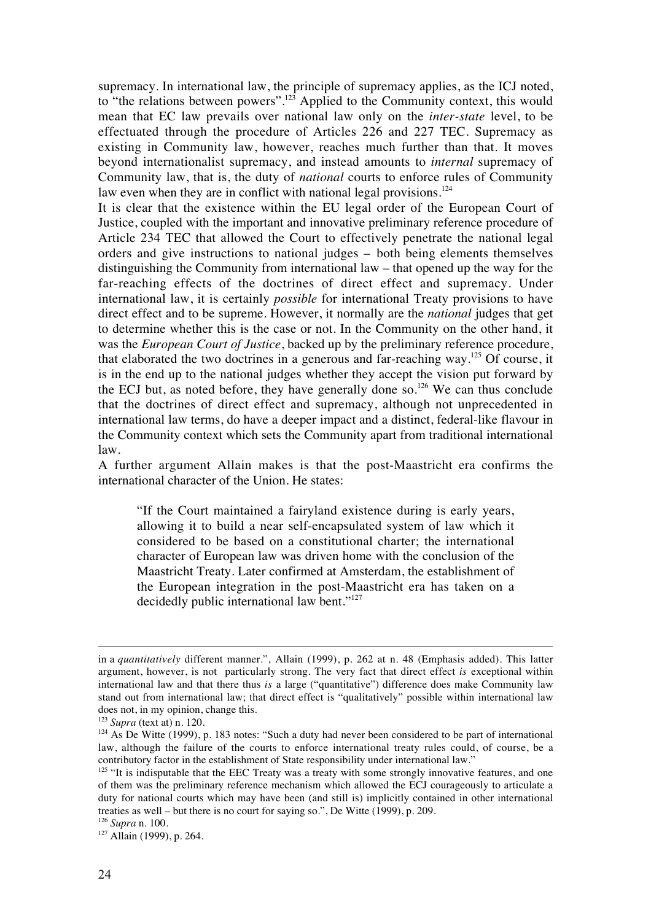supremacy. In international law, the principle of supremacy applies, as the ICJ noted, to "the relations between powers".<sup>123</sup> Applied to the Community context, this would mean that EC law prevails over national law only on the *inter-state* level, to be effectuated through the procedure of Articles 226 and 227 TEC. Supremacy as existing in Community law, however, reaches much further than that. It moves beyond internationalist supremacy, and instead amounts to *internal* supremacy of Community law, that is, the duty of *national* courts to enforce rules of Community law even when they are in conflict with national legal provisions. $124$ 

It is clear that the existence within the EU legal order of the European Court of Justice, coupled with the important and innovative preliminary reference procedure of Article 234 TEC that allowed the Court to effectively penetrate the national legal orders and give instructions to national judges – both being elements themselves distinguishing the Community from international law – that opened up the way for the far-reaching effects of the doctrines of direct effect and supremacy. Under international law, it is certainly *possible* for international Treaty provisions to have direct effect and to be supreme. However, it normally are the *national* judges that get to determine whether this is the case or not. In the Community on the other hand, it was the *European Court of Justice*, backed up by the preliminary reference procedure, that elaborated the two doctrines in a generous and far-reaching way.125 Of course, it is in the end up to the national judges whether they accept the vision put forward by the ECJ but, as noted before, they have generally done so.<sup>126</sup> We can thus conclude that the doctrines of direct effect and supremacy, although not unprecedented in international law terms, do have a deeper impact and a distinct, federal-like flavour in the Community context which sets the Community apart from traditional international law.

A further argument Allain makes is that the post-Maastricht era confirms the international character of the Union. He states:

"If the Court maintained a fairyland existence during is early years, allowing it to build a near self-encapsulated system of law which it considered to be based on a constitutional charter; the international character of European law was driven home with the conclusion of the Maastricht Treaty. Later confirmed at Amsterdam, the establishment of the European integration in the post-Maastricht era has taken on a decidedly public international law bent."<sup>127</sup>

in a *quantitatively* different manner.", Allain (1999), p. 262 at n. 48 (Emphasis added). This latter argument, however, is not particularly strong. The very fact that direct effect *is* exceptional within international law and that there thus *is* a large ("quantitative") difference does make Community law stand out from international law; that direct effect is "qualitatively" possible within international law does not, in my opinion, change this.

<sup>123</sup> *Supra* (text at) n. 120.

 $124$  As De Witte (1999), p. 183 notes: "Such a duty had never been considered to be part of international law, although the failure of the courts to enforce international treaty rules could, of course, be a contributory factor in the establishment of State responsibility under international law."

<sup>&</sup>lt;sup>125</sup> "It is indisputable that the EEC Treaty was a treaty with some strongly innovative features, and one of them was the preliminary reference mechanism which allowed the ECJ courageously to articulate a duty for national courts which may have been (and still is) implicitly contained in other international treaties as well – but there is no court for saying so.", De Witte (1999), p. 209.

<sup>126</sup> *Supra* n. 100.

<sup>127</sup> Allain (1999), p. 264.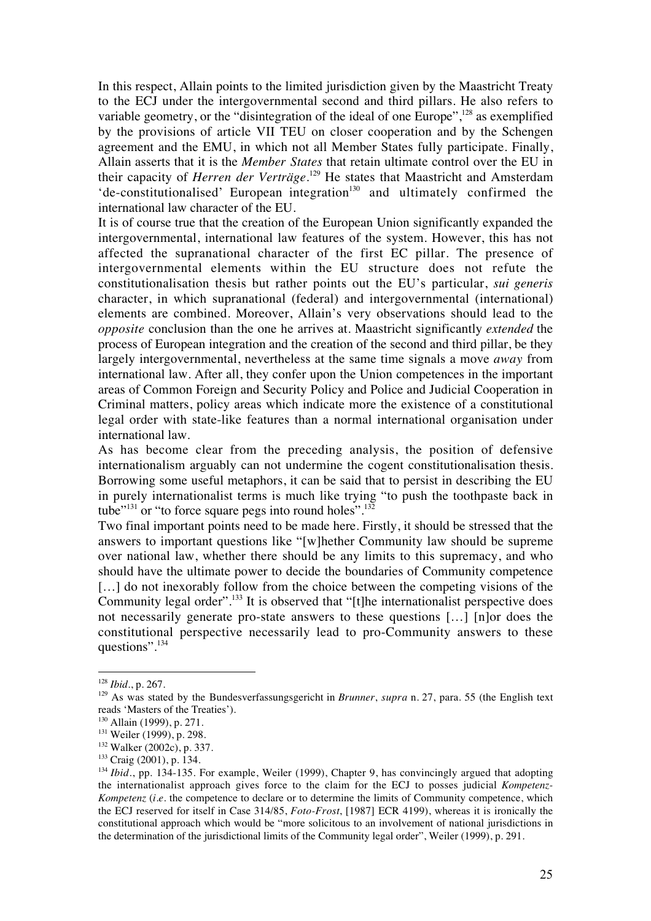In this respect, Allain points to the limited jurisdiction given by the Maastricht Treaty to the ECJ under the intergovernmental second and third pillars. He also refers to variable geometry, or the "disintegration of the ideal of one Europe",<sup>128</sup> as exemplified by the provisions of article VII TEU on closer cooperation and by the Schengen agreement and the EMU, in which not all Member States fully participate. Finally, Allain asserts that it is the *Member States* that retain ultimate control over the EU in their capacity of *Herren der Verträge*. <sup>129</sup> He states that Maastricht and Amsterdam  $\text{`de-constitutionalised' European integration}^{130}$  and ultimately confirmed the international law character of the EU.

It is of course true that the creation of the European Union significantly expanded the intergovernmental, international law features of the system. However, this has not affected the supranational character of the first EC pillar. The presence of intergovernmental elements within the EU structure does not refute the constitutionalisation thesis but rather points out the EU's particular, *sui generis* character, in which supranational (federal) and intergovernmental (international) elements are combined. Moreover, Allain's very observations should lead to the *opposite* conclusion than the one he arrives at. Maastricht significantly *extended* the process of European integration and the creation of the second and third pillar, be they largely intergovernmental, nevertheless at the same time signals a move *away* from international law. After all, they confer upon the Union competences in the important areas of Common Foreign and Security Policy and Police and Judicial Cooperation in Criminal matters, policy areas which indicate more the existence of a constitutional legal order with state-like features than a normal international organisation under international law.

As has become clear from the preceding analysis, the position of defensive internationalism arguably can not undermine the cogent constitutionalisation thesis. Borrowing some useful metaphors, it can be said that to persist in describing the EU in purely internationalist terms is much like trying "to push the toothpaste back in tube<sup> $"^{131}$ </sup> or "to force square pegs into round holes".<sup>132</sup>

Two final important points need to be made here. Firstly, it should be stressed that the answers to important questions like "[w]hether Community law should be supreme over national law, whether there should be any limits to this supremacy, and who should have the ultimate power to decide the boundaries of Community competence [...] do not inexorably follow from the choice between the competing visions of the Community legal order".<sup>133</sup> It is observed that "[t]he internationalist perspective does not necessarily generate pro-state answers to these questions […] [n]or does the constitutional perspective necessarily lead to pro-Community answers to these questions".134

<sup>128</sup> *Ibid.*, p. 267.

<sup>&</sup>lt;sup>129</sup> As was stated by the Bundesverfassungsgericht in *Brunner*, *supra* n. 27, para. 55 (the English text reads 'Masters of the Treaties').

<sup>130</sup> Allain (1999), p. 271.

<sup>&</sup>lt;sup>131</sup> Weiler (1999), p. 298.

<sup>132</sup> Walker (2002c), p. 337.

<sup>133</sup> Craig (2001), p. 134.

<sup>&</sup>lt;sup>134</sup> *Ibid.*, pp. 134-135. For example, Weiler (1999), Chapter 9, has convincingly argued that adopting the internationalist approach gives force to the claim for the ECJ to posses judicial *Kompetenz-Kompetenz (i.e.* the competence to declare or to determine the limits of Community competence, which the ECJ reserved for itself in Case 314/85, *Foto-Frost*, [1987] ECR 4199), whereas it is ironically the constitutional approach which would be "more solicitous to an involvement of national jurisdictions in the determination of the jurisdictional limits of the Community legal order", Weiler (1999), p. 291.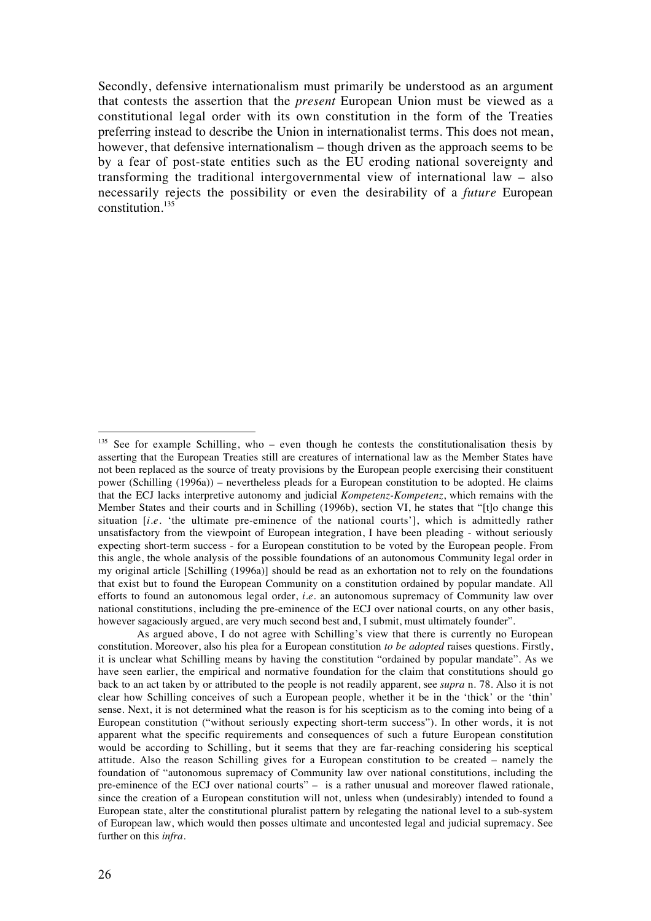Secondly, defensive internationalism must primarily be understood as an argument that contests the assertion that the *present* European Union must be viewed as a constitutional legal order with its own constitution in the form of the Treaties preferring instead to describe the Union in internationalist terms. This does not mean, however, that defensive internationalism – though driven as the approach seems to be by a fear of post-state entities such as the EU eroding national sovereignty and transforming the traditional intergovernmental view of international law – also necessarily rejects the possibility or even the desirability of a *future* European constitution. $135$ 

 $135$  See for example Schilling, who – even though he contests the constitutionalisation thesis by asserting that the European Treaties still are creatures of international law as the Member States have not been replaced as the source of treaty provisions by the European people exercising their constituent power (Schilling (1996a)) – nevertheless pleads for a European constitution to be adopted. He claims that the ECJ lacks interpretive autonomy and judicial *Kompetenz-Kompetenz*, which remains with the Member States and their courts and in Schilling (1996b), section VI, he states that "[t]o change this situation [*i.e.* 'the ultimate pre-eminence of the national courts'], which is admittedly rather unsatisfactory from the viewpoint of European integration, I have been pleading - without seriously expecting short-term success - for a European constitution to be voted by the European people. From this angle, the whole analysis of the possible foundations of an autonomous Community legal order in my original article [Schilling (1996a)] should be read as an exhortation not to rely on the foundations that exist but to found the European Community on a constitution ordained by popular mandate. All efforts to found an autonomous legal order, *i.e.* an autonomous supremacy of Community law over national constitutions, including the pre-eminence of the ECJ over national courts, on any other basis, however sagaciously argued, are very much second best and, I submit, must ultimately founder".

As argued above, I do not agree with Schilling's view that there is currently no European constitution. Moreover, also his plea for a European constitution *to be adopted* raises questions. Firstly, it is unclear what Schilling means by having the constitution "ordained by popular mandate". As we have seen earlier, the empirical and normative foundation for the claim that constitutions should go back to an act taken by or attributed to the people is not readily apparent, see *supra* n. 78. Also it is not clear how Schilling conceives of such a European people, whether it be in the 'thick' or the 'thin' sense. Next, it is not determined what the reason is for his scepticism as to the coming into being of a European constitution ("without seriously expecting short-term success"). In other words, it is not apparent what the specific requirements and consequences of such a future European constitution would be according to Schilling, but it seems that they are far-reaching considering his sceptical attitude. Also the reason Schilling gives for a European constitution to be created – namely the foundation of "autonomous supremacy of Community law over national constitutions, including the pre-eminence of the ECJ over national courts" – is a rather unusual and moreover flawed rationale, since the creation of a European constitution will not, unless when (undesirably) intended to found a European state, alter the constitutional pluralist pattern by relegating the national level to a sub-system of European law, which would then posses ultimate and uncontested legal and judicial supremacy. See further on this *infra*.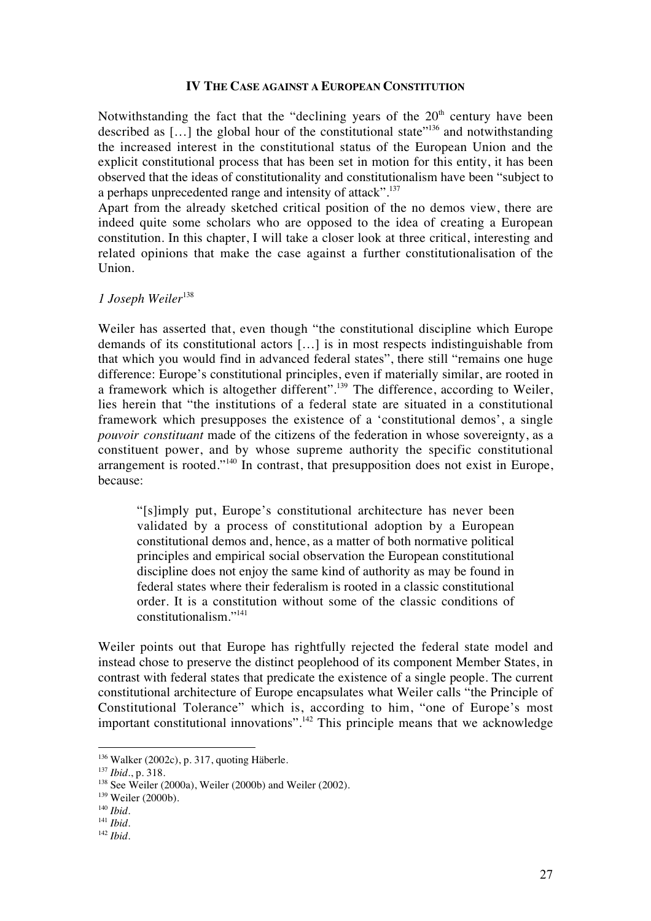#### **IV THE CASE AGAINST A EUROPEAN CONSTITUTION**

Notwithstanding the fact that the "declining years of the  $20<sup>th</sup>$  century have been described as […] the global hour of the constitutional state"136 and notwithstanding the increased interest in the constitutional status of the European Union and the explicit constitutional process that has been set in motion for this entity, it has been observed that the ideas of constitutionality and constitutionalism have been "subject to a perhaps unprecedented range and intensity of attack".<sup>137</sup>

Apart from the already sketched critical position of the no demos view, there are indeed quite some scholars who are opposed to the idea of creating a European constitution. In this chapter, I will take a closer look at three critical, interesting and related opinions that make the case against a further constitutionalisation of the Union.

## *1 Joseph Weiler*<sup>138</sup>

Weiler has asserted that, even though "the constitutional discipline which Europe demands of its constitutional actors […] is in most respects indistinguishable from that which you would find in advanced federal states", there still "remains one huge difference: Europe's constitutional principles, even if materially similar, are rooted in a framework which is altogether different".139 The difference, according to Weiler, lies herein that "the institutions of a federal state are situated in a constitutional framework which presupposes the existence of a 'constitutional demos', a single *pouvoir constituant* made of the citizens of the federation in whose sovereignty, as a constituent power, and by whose supreme authority the specific constitutional arrangement is rooted."140 In contrast, that presupposition does not exist in Europe, because:

"[s]imply put, Europe's constitutional architecture has never been validated by a process of constitutional adoption by a European constitutional demos and, hence, as a matter of both normative political principles and empirical social observation the European constitutional discipline does not enjoy the same kind of authority as may be found in federal states where their federalism is rooted in a classic constitutional order. It is a constitution without some of the classic conditions of constitutionalism."141

Weiler points out that Europe has rightfully rejected the federal state model and instead chose to preserve the distinct peoplehood of its component Member States, in contrast with federal states that predicate the existence of a single people. The current constitutional architecture of Europe encapsulates what Weiler calls "the Principle of Constitutional Tolerance" which is, according to him, "one of Europe's most important constitutional innovations".142 This principle means that we acknowledge

<sup>136</sup> Walker (2002c), p. 317, quoting Häberle.

<sup>137</sup> *Ibid.*, p. 318.

 $138$  See Weiler (2000a), Weiler (2000b) and Weiler (2002).

<sup>&</sup>lt;sup>139</sup> Weiler (2000b).

<sup>140</sup> *Ibid.*

<sup>141</sup> *Ibid.*

<sup>142</sup> *Ibid.*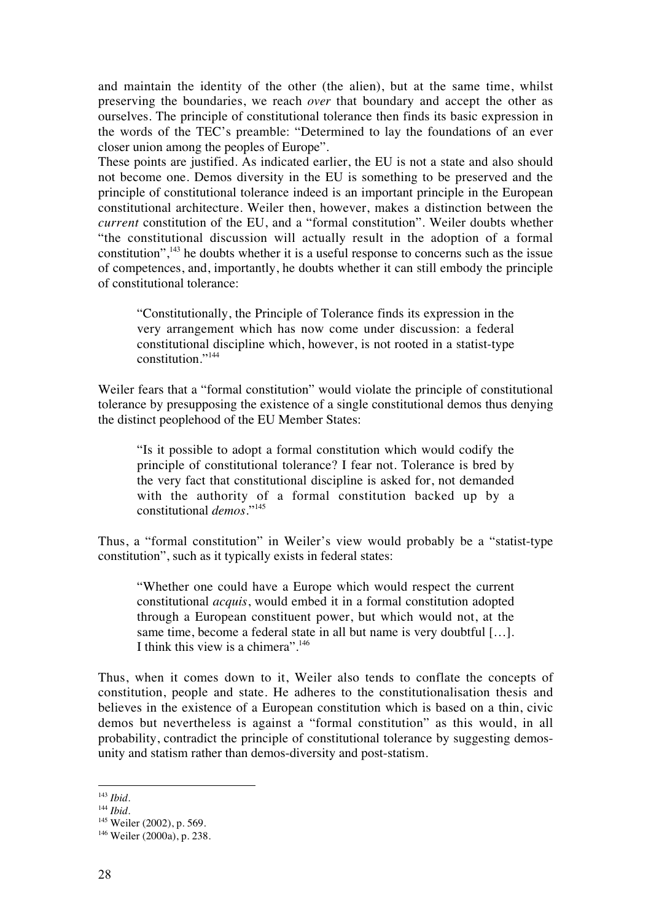and maintain the identity of the other (the alien), but at the same time, whilst preserving the boundaries, we reach *over* that boundary and accept the other as ourselves. The principle of constitutional tolerance then finds its basic expression in the words of the TEC's preamble: "Determined to lay the foundations of an ever closer union among the peoples of Europe".

These points are justified. As indicated earlier, the EU is not a state and also should not become one. Demos diversity in the EU is something to be preserved and the principle of constitutional tolerance indeed is an important principle in the European constitutional architecture. Weiler then, however, makes a distinction between the *current* constitution of the EU, and a "formal constitution". Weiler doubts whether "the constitutional discussion will actually result in the adoption of a formal constitution",  $143$  he doubts whether it is a useful response to concerns such as the issue of competences, and, importantly, he doubts whether it can still embody the principle of constitutional tolerance:

"Constitutionally, the Principle of Tolerance finds its expression in the very arrangement which has now come under discussion: a federal constitutional discipline which, however, is not rooted in a statist-type constitution."144

Weiler fears that a "formal constitution" would violate the principle of constitutional tolerance by presupposing the existence of a single constitutional demos thus denying the distinct peoplehood of the EU Member States:

"Is it possible to adopt a formal constitution which would codify the principle of constitutional tolerance? I fear not. Tolerance is bred by the very fact that constitutional discipline is asked for, not demanded with the authority of a formal constitution backed up by a constitutional *demos*."145

Thus, a "formal constitution" in Weiler's view would probably be a "statist-type constitution", such as it typically exists in federal states:

"Whether one could have a Europe which would respect the current constitutional *acquis*, would embed it in a formal constitution adopted through a European constituent power, but which would not, at the same time, become a federal state in all but name is very doubtful […]. I think this view is a chimera". $146$ 

Thus, when it comes down to it, Weiler also tends to conflate the concepts of constitution, people and state. He adheres to the constitutionalisation thesis and believes in the existence of a European constitution which is based on a thin, civic demos but nevertheless is against a "formal constitution" as this would, in all probability, contradict the principle of constitutional tolerance by suggesting demosunity and statism rather than demos-diversity and post-statism.

<sup>143</sup> *Ibid.*

<sup>144</sup> *Ibid.*

<sup>&</sup>lt;sup>145</sup> Weiler (2002), p. 569.

<sup>146</sup> Weiler (2000a), p. 238.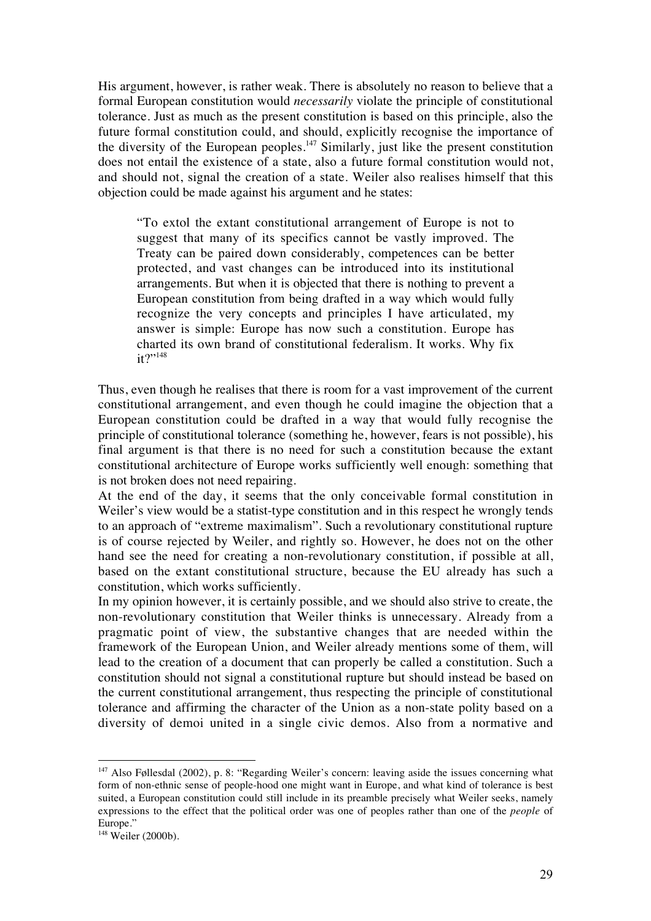His argument, however, is rather weak. There is absolutely no reason to believe that a formal European constitution would *necessarily* violate the principle of constitutional tolerance. Just as much as the present constitution is based on this principle, also the future formal constitution could, and should, explicitly recognise the importance of the diversity of the European peoples. $147$  Similarly, just like the present constitution does not entail the existence of a state, also a future formal constitution would not, and should not, signal the creation of a state. Weiler also realises himself that this objection could be made against his argument and he states:

"To extol the extant constitutional arrangement of Europe is not to suggest that many of its specifics cannot be vastly improved. The Treaty can be paired down considerably, competences can be better protected, and vast changes can be introduced into its institutional arrangements. But when it is objected that there is nothing to prevent a European constitution from being drafted in a way which would fully recognize the very concepts and principles I have articulated, my answer is simple: Europe has now such a constitution. Europe has charted its own brand of constitutional federalism. It works. Why fix  $it?$ <sup>\*148</sup>

Thus, even though he realises that there is room for a vast improvement of the current constitutional arrangement, and even though he could imagine the objection that a European constitution could be drafted in a way that would fully recognise the principle of constitutional tolerance (something he, however, fears is not possible), his final argument is that there is no need for such a constitution because the extant constitutional architecture of Europe works sufficiently well enough: something that is not broken does not need repairing.

At the end of the day, it seems that the only conceivable formal constitution in Weiler's view would be a statist-type constitution and in this respect he wrongly tends to an approach of "extreme maximalism". Such a revolutionary constitutional rupture is of course rejected by Weiler, and rightly so. However, he does not on the other hand see the need for creating a non-revolutionary constitution, if possible at all, based on the extant constitutional structure, because the EU already has such a constitution, which works sufficiently.

In my opinion however, it is certainly possible, and we should also strive to create, the non-revolutionary constitution that Weiler thinks is unnecessary. Already from a pragmatic point of view, the substantive changes that are needed within the framework of the European Union, and Weiler already mentions some of them, will lead to the creation of a document that can properly be called a constitution. Such a constitution should not signal a constitutional rupture but should instead be based on the current constitutional arrangement, thus respecting the principle of constitutional tolerance and affirming the character of the Union as a non-state polity based on a diversity of demoi united in a single civic demos. Also from a normative and

<sup>&</sup>lt;sup>147</sup> Also Føllesdal (2002), p. 8: "Regarding Weiler's concern: leaving aside the issues concerning what form of non-ethnic sense of people-hood one might want in Europe, and what kind of tolerance is best suited, a European constitution could still include in its preamble precisely what Weiler seeks, namely expressions to the effect that the political order was one of peoples rather than one of the *people* of Europe."

<sup>148</sup> Weiler (2000b)*.*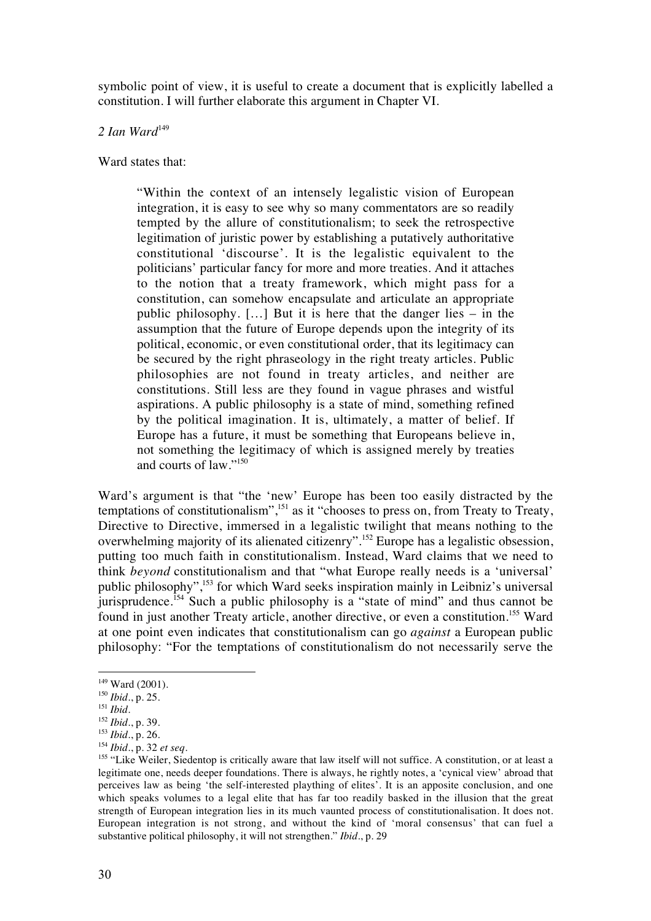symbolic point of view, it is useful to create a document that is explicitly labelled a constitution. I will further elaborate this argument in Chapter VI.

## 2 Ian Ward<sup>149</sup>

Ward states that:

"Within the context of an intensely legalistic vision of European integration, it is easy to see why so many commentators are so readily tempted by the allure of constitutionalism; to seek the retrospective legitimation of juristic power by establishing a putatively authoritative constitutional 'discourse'. It is the legalistic equivalent to the politicians' particular fancy for more and more treaties. And it attaches to the notion that a treaty framework, which might pass for a constitution, can somehow encapsulate and articulate an appropriate public philosophy. […] But it is here that the danger lies – in the assumption that the future of Europe depends upon the integrity of its political, economic, or even constitutional order, that its legitimacy can be secured by the right phraseology in the right treaty articles. Public philosophies are not found in treaty articles, and neither are constitutions. Still less are they found in vague phrases and wistful aspirations. A public philosophy is a state of mind, something refined by the political imagination. It is, ultimately, a matter of belief. If Europe has a future, it must be something that Europeans believe in, not something the legitimacy of which is assigned merely by treaties and courts of law."150

Ward's argument is that "the 'new' Europe has been too easily distracted by the temptations of constitutionalism",<sup>151</sup> as it "chooses to press on, from Treaty to Treaty, Directive to Directive, immersed in a legalistic twilight that means nothing to the overwhelming majority of its alienated citizenry".<sup>152</sup> Europe has a legalistic obsession, putting too much faith in constitutionalism. Instead, Ward claims that we need to think *beyond* constitutionalism and that "what Europe really needs is a 'universal' public philosophy",<sup>153</sup> for which Ward seeks inspiration mainly in Leibniz's universal jurisprudence.<sup>154</sup> Such a public philosophy is a "state of mind" and thus cannot be found in just another Treaty article, another directive, or even a constitution.155 Ward at one point even indicates that constitutionalism can go *against* a European public philosophy: "For the temptations of constitutionalism do not necessarily serve the

 $149$  Ward (2001).

<sup>150</sup> *Ibid*., p. 25.

<sup>151</sup> *Ibid*.

<sup>152</sup> *Ibid*., p. 39.

<sup>153</sup> *Ibid.*, p. 26.

<sup>154</sup> *Ibid*., p. 32 *et seq.*

<sup>&</sup>lt;sup>155</sup> "Like Weiler, Siedentop is critically aware that law itself will not suffice. A constitution, or at least a legitimate one, needs deeper foundations. There is always, he rightly notes, a 'cynical view' abroad that perceives law as being 'the self-interested plaything of elites'. It is an apposite conclusion, and one which speaks volumes to a legal elite that has far too readily basked in the illusion that the great strength of European integration lies in its much vaunted process of constitutionalisation. It does not. European integration is not strong, and without the kind of 'moral consensus' that can fuel a substantive political philosophy, it will not strengthen." *Ibid*., p. 29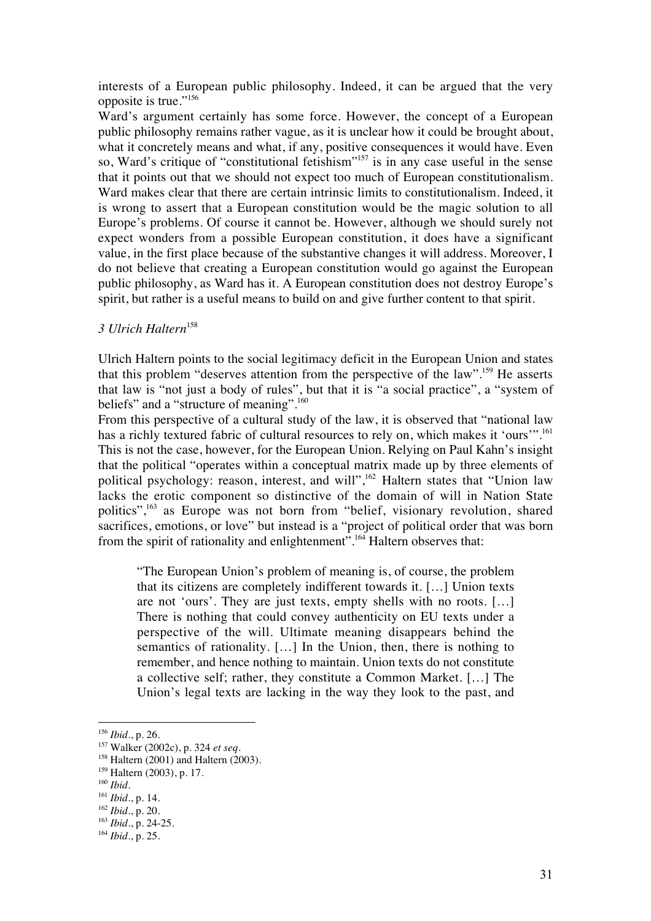interests of a European public philosophy. Indeed, it can be argued that the very opposite is true."<sup>156</sup>

Ward's argument certainly has some force. However, the concept of a European public philosophy remains rather vague, as it is unclear how it could be brought about, what it concretely means and what, if any, positive consequences it would have. Even so, Ward's critique of "constitutional fetishism"<sup>157</sup> is in any case useful in the sense that it points out that we should not expect too much of European constitutionalism. Ward makes clear that there are certain intrinsic limits to constitutionalism. Indeed, it is wrong to assert that a European constitution would be the magic solution to all Europe's problems. Of course it cannot be. However, although we should surely not expect wonders from a possible European constitution, it does have a significant value, in the first place because of the substantive changes it will address. Moreover, I do not believe that creating a European constitution would go against the European public philosophy, as Ward has it. A European constitution does not destroy Europe's spirit, but rather is a useful means to build on and give further content to that spirit.

#### *3 Ulrich Haltern*<sup>158</sup>

Ulrich Haltern points to the social legitimacy deficit in the European Union and states that this problem "deserves attention from the perspective of the law".159 He asserts that law is "not just a body of rules", but that it is "a social practice", a "system of beliefs" and a "structure of meaning".<sup>160</sup>

From this perspective of a cultural study of the law, it is observed that "national law has a richly textured fabric of cultural resources to rely on, which makes it 'ours'".<sup>161</sup> This is not the case, however, for the European Union. Relying on Paul Kahn's insight that the political "operates within a conceptual matrix made up by three elements of political psychology: reason, interest, and will",162 Haltern states that "Union law lacks the erotic component so distinctive of the domain of will in Nation State politics",163 as Europe was not born from "belief, visionary revolution, shared sacrifices, emotions, or love" but instead is a "project of political order that was born from the spirit of rationality and enlightenment".<sup>164</sup> Haltern observes that:

"The European Union's problem of meaning is, of course, the problem that its citizens are completely indifferent towards it. […] Union texts are not 'ours'. They are just texts, empty shells with no roots. […] There is nothing that could convey authenticity on EU texts under a perspective of the will. Ultimate meaning disappears behind the semantics of rationality. […] In the Union, then, there is nothing to remember, and hence nothing to maintain. Union texts do not constitute a collective self; rather, they constitute a Common Market. […] The Union's legal texts are lacking in the way they look to the past, and

<sup>156</sup> *Ibid*., p. 26.

<sup>157</sup> Walker (2002c), p. 324 *et seq.*

 $158$  Haltern (2001) and Haltern (2003).

<sup>&</sup>lt;sup>159</sup> Haltern (2003), p. 17.

<sup>160</sup> *Ibid.*

<sup>161</sup> *Ibid.*, p. 14.

<sup>162</sup> *Ibid.*, p. 20.

<sup>163</sup> *Ibid.*, p. 24-25.

<sup>164</sup> *Ibid*., p. 25.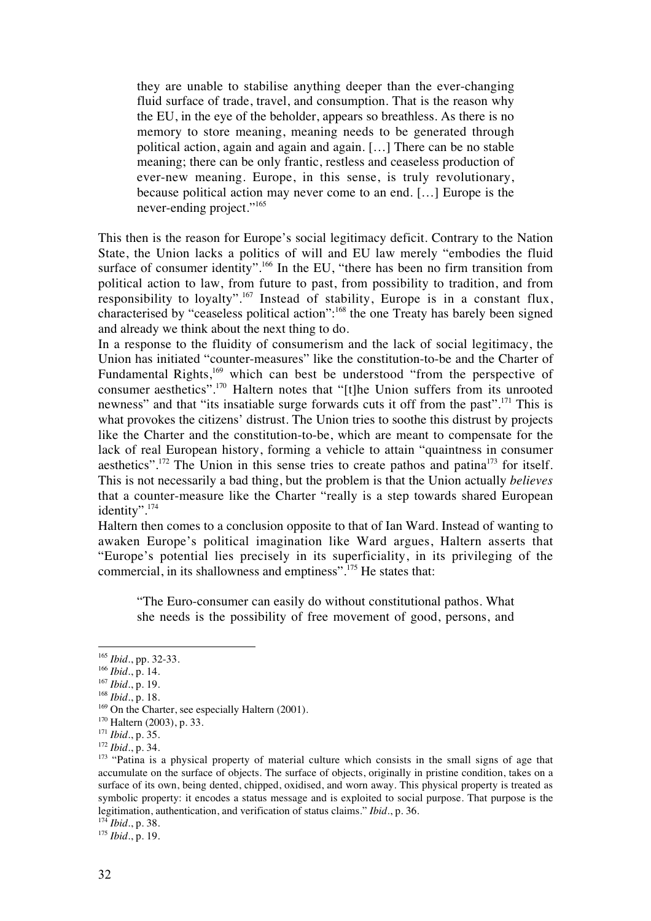they are unable to stabilise anything deeper than the ever-changing fluid surface of trade, travel, and consumption. That is the reason why the EU, in the eye of the beholder, appears so breathless. As there is no memory to store meaning, meaning needs to be generated through political action, again and again and again. […] There can be no stable meaning; there can be only frantic, restless and ceaseless production of ever-new meaning. Europe, in this sense, is truly revolutionary, because political action may never come to an end. […] Europe is the never-ending project."<sup>165</sup>

This then is the reason for Europe's social legitimacy deficit. Contrary to the Nation State, the Union lacks a politics of will and EU law merely "embodies the fluid surface of consumer identity".<sup>166</sup> In the EU, "there has been no firm transition from political action to law, from future to past, from possibility to tradition, and from responsibility to loyalty".167 Instead of stability, Europe is in a constant flux, characterised by "ceaseless political action":168 the one Treaty has barely been signed and already we think about the next thing to do.

In a response to the fluidity of consumerism and the lack of social legitimacy, the Union has initiated "counter-measures" like the constitution-to-be and the Charter of Fundamental Rights,<sup>169</sup> which can best be understood "from the perspective of consumer aesthetics".170 Haltern notes that "[t]he Union suffers from its unrooted newness" and that "its insatiable surge forwards cuts it off from the past".<sup>171</sup> This is what provokes the citizens' distrust. The Union tries to soothe this distrust by projects like the Charter and the constitution-to-be, which are meant to compensate for the lack of real European history, forming a vehicle to attain "quaintness in consumer aesthetics".<sup>172</sup> The Union in this sense tries to create pathos and patina<sup>173</sup> for itself. This is not necessarily a bad thing, but the problem is that the Union actually *believes* that a counter-measure like the Charter "really is a step towards shared European identity".174

Haltern then comes to a conclusion opposite to that of Ian Ward. Instead of wanting to awaken Europe's political imagination like Ward argues, Haltern asserts that "Europe's potential lies precisely in its superficiality, in its privileging of the commercial, in its shallowness and emptiness".175 He states that:

"The Euro-consumer can easily do without constitutional pathos. What she needs is the possibility of free movement of good, persons, and

 $\overline{a}$ 

<sup>174</sup> *Ibid*., p. 38.

<sup>175</sup> *Ibid*., p. 19.

<sup>165</sup> *Ibid*., pp. 32-33.

<sup>166</sup> *Ibid.*, p. 14.

<sup>167</sup> *Ibid*., p. 19.

<sup>168</sup> *Ibid*., p. 18.

<sup>&</sup>lt;sup>169</sup> On the Charter, see especially Haltern (2001).

<sup>170</sup> Haltern (2003), p. 33.

<sup>171</sup> *Ibid*., p. 35. <sup>172</sup> *Ibid*., p. 34.

<sup>&</sup>lt;sup>173</sup> "Patina is a physical property of material culture which consists in the small signs of age that accumulate on the surface of objects. The surface of objects, originally in pristine condition, takes on a surface of its own, being dented, chipped, oxidised, and worn away. This physical property is treated as symbolic property: it encodes a status message and is exploited to social purpose. That purpose is the legitimation, authentication, and verification of status claims." *Ibid*., p. 36.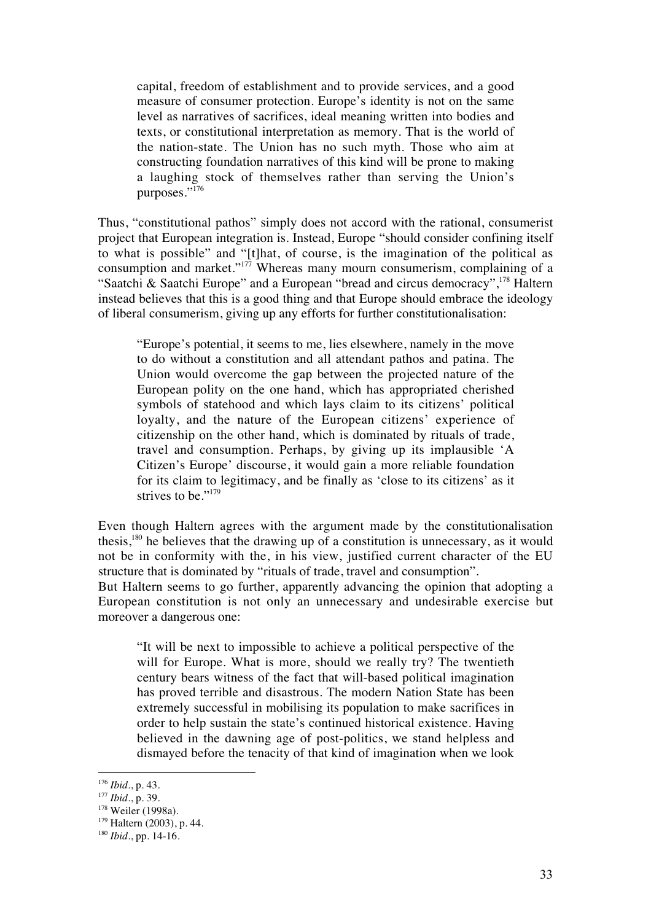capital, freedom of establishment and to provide services, and a good measure of consumer protection. Europe's identity is not on the same level as narratives of sacrifices, ideal meaning written into bodies and texts, or constitutional interpretation as memory. That is the world of the nation-state. The Union has no such myth. Those who aim at constructing foundation narratives of this kind will be prone to making a laughing stock of themselves rather than serving the Union's purposes."<sup>176</sup>

Thus, "constitutional pathos" simply does not accord with the rational, consumerist project that European integration is. Instead, Europe "should consider confining itself to what is possible" and "[t]hat, of course, is the imagination of the political as consumption and market."177 Whereas many mourn consumerism, complaining of a "Saatchi & Saatchi Europe" and a European "bread and circus democracy",<sup>178</sup> Haltern instead believes that this is a good thing and that Europe should embrace the ideology of liberal consumerism, giving up any efforts for further constitutionalisation:

"Europe's potential, it seems to me, lies elsewhere, namely in the move to do without a constitution and all attendant pathos and patina. The Union would overcome the gap between the projected nature of the European polity on the one hand, which has appropriated cherished symbols of statehood and which lays claim to its citizens' political loyalty, and the nature of the European citizens' experience of citizenship on the other hand, which is dominated by rituals of trade, travel and consumption. Perhaps, by giving up its implausible 'A Citizen's Europe' discourse, it would gain a more reliable foundation for its claim to legitimacy, and be finally as 'close to its citizens' as it strives to be."<sup>179</sup>

Even though Haltern agrees with the argument made by the constitutionalisation thesis,180 he believes that the drawing up of a constitution is unnecessary, as it would not be in conformity with the, in his view, justified current character of the EU structure that is dominated by "rituals of trade, travel and consumption".

But Haltern seems to go further, apparently advancing the opinion that adopting a European constitution is not only an unnecessary and undesirable exercise but moreover a dangerous one:

"It will be next to impossible to achieve a political perspective of the will for Europe. What is more, should we really try? The twentieth century bears witness of the fact that will-based political imagination has proved terrible and disastrous. The modern Nation State has been extremely successful in mobilising its population to make sacrifices in order to help sustain the state's continued historical existence. Having believed in the dawning age of post-politics, we stand helpless and dismayed before the tenacity of that kind of imagination when we look

<sup>176</sup> *Ibid*., p. 43.

<sup>177</sup> *Ibid*., p. 39.

<sup>&</sup>lt;sup>178</sup> Weiler (1998a).

 $179$  Haltern (2003), p. 44.

<sup>180</sup> *Ibid*., pp. 14-16.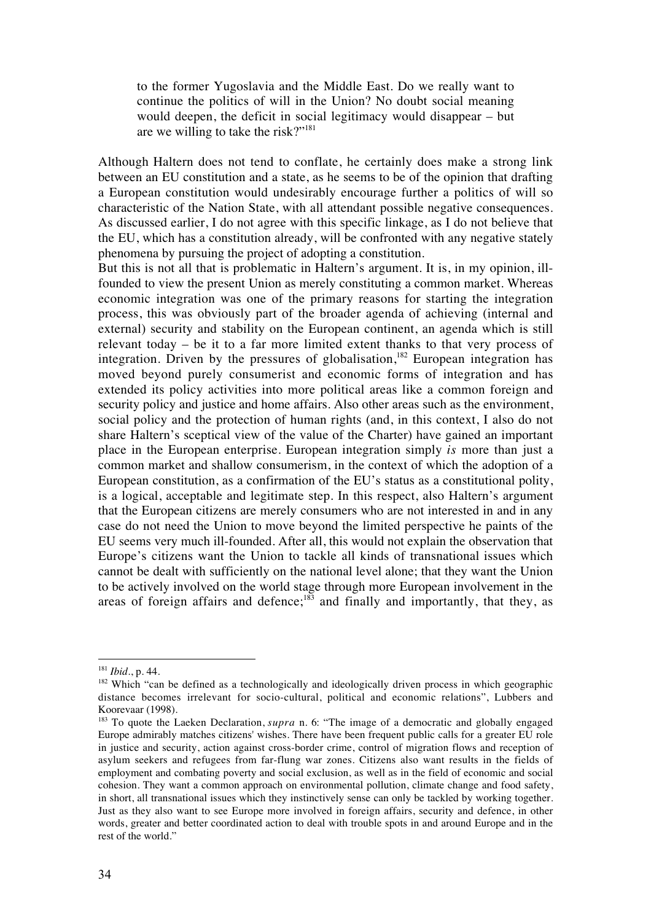to the former Yugoslavia and the Middle East. Do we really want to continue the politics of will in the Union? No doubt social meaning would deepen, the deficit in social legitimacy would disappear – but are we willing to take the risk?"181

Although Haltern does not tend to conflate, he certainly does make a strong link between an EU constitution and a state, as he seems to be of the opinion that drafting a European constitution would undesirably encourage further a politics of will so characteristic of the Nation State, with all attendant possible negative consequences. As discussed earlier, I do not agree with this specific linkage, as I do not believe that the EU, which has a constitution already, will be confronted with any negative stately phenomena by pursuing the project of adopting a constitution.

But this is not all that is problematic in Haltern's argument. It is, in my opinion, illfounded to view the present Union as merely constituting a common market. Whereas economic integration was one of the primary reasons for starting the integration process, this was obviously part of the broader agenda of achieving (internal and external) security and stability on the European continent, an agenda which is still relevant today – be it to a far more limited extent thanks to that very process of integration. Driven by the pressures of globalisation,<sup>182</sup> European integration has moved beyond purely consumerist and economic forms of integration and has extended its policy activities into more political areas like a common foreign and security policy and justice and home affairs. Also other areas such as the environment, social policy and the protection of human rights (and, in this context, I also do not share Haltern's sceptical view of the value of the Charter) have gained an important place in the European enterprise. European integration simply *is* more than just a common market and shallow consumerism, in the context of which the adoption of a European constitution, as a confirmation of the EU's status as a constitutional polity, is a logical, acceptable and legitimate step. In this respect, also Haltern's argument that the European citizens are merely consumers who are not interested in and in any case do not need the Union to move beyond the limited perspective he paints of the EU seems very much ill-founded. After all, this would not explain the observation that Europe's citizens want the Union to tackle all kinds of transnational issues which cannot be dealt with sufficiently on the national level alone; that they want the Union to be actively involved on the world stage through more European involvement in the areas of foreign affairs and defence; $183$  and finally and importantly, that they, as

<sup>181</sup> *Ibid*., p. 44.

<sup>&</sup>lt;sup>182</sup> Which "can be defined as a technologically and ideologically driven process in which geographic distance becomes irrelevant for socio-cultural, political and economic relations", Lubbers and Koorevaar (1998).

<sup>183</sup> To quote the Laeken Declaration, *supra* n. 6: "The image of a democratic and globally engaged Europe admirably matches citizens' wishes. There have been frequent public calls for a greater EU role in justice and security, action against cross-border crime, control of migration flows and reception of asylum seekers and refugees from far-flung war zones. Citizens also want results in the fields of employment and combating poverty and social exclusion, as well as in the field of economic and social cohesion. They want a common approach on environmental pollution, climate change and food safety, in short, all transnational issues which they instinctively sense can only be tackled by working together. Just as they also want to see Europe more involved in foreign affairs, security and defence, in other words, greater and better coordinated action to deal with trouble spots in and around Europe and in the rest of the world."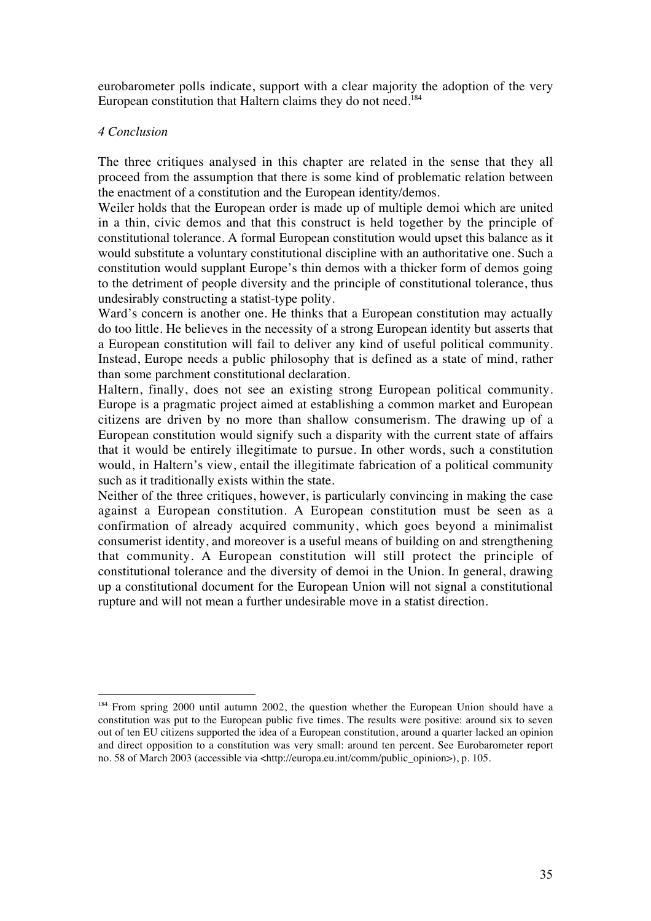eurobarometer polls indicate, support with a clear majority the adoption of the very European constitution that Haltern claims they do not need.<sup>184</sup>

## *4 Conclusion*

 $\overline{a}$ 

The three critiques analysed in this chapter are related in the sense that they all proceed from the assumption that there is some kind of problematic relation between the enactment of a constitution and the European identity/demos.

Weiler holds that the European order is made up of multiple demoi which are united in a thin, civic demos and that this construct is held together by the principle of constitutional tolerance. A formal European constitution would upset this balance as it would substitute a voluntary constitutional discipline with an authoritative one. Such a constitution would supplant Europe's thin demos with a thicker form of demos going to the detriment of people diversity and the principle of constitutional tolerance, thus undesirably constructing a statist-type polity.

Ward's concern is another one. He thinks that a European constitution may actually do too little. He believes in the necessity of a strong European identity but asserts that a European constitution will fail to deliver any kind of useful political community. Instead, Europe needs a public philosophy that is defined as a state of mind, rather than some parchment constitutional declaration.

Haltern, finally, does not see an existing strong European political community. Europe is a pragmatic project aimed at establishing a common market and European citizens are driven by no more than shallow consumerism. The drawing up of a European constitution would signify such a disparity with the current state of affairs that it would be entirely illegitimate to pursue. In other words, such a constitution would, in Haltern's view, entail the illegitimate fabrication of a political community such as it traditionally exists within the state.

Neither of the three critiques, however, is particularly convincing in making the case against a European constitution. A European constitution must be seen as a confirmation of already acquired community, which goes beyond a minimalist consumerist identity, and moreover is a useful means of building on and strengthening that community. A European constitution will still protect the principle of constitutional tolerance and the diversity of demoi in the Union. In general, drawing up a constitutional document for the European Union will not signal a constitutional rupture and will not mean a further undesirable move in a statist direction.

<sup>&</sup>lt;sup>184</sup> From spring 2000 until autumn 2002, the question whether the European Union should have a constitution was put to the European public five times. The results were positive: around six to seven out of ten EU citizens supported the idea of a European constitution, around a quarter lacked an opinion and direct opposition to a constitution was very small: around ten percent. See Eurobarometer report no. 58 of March 2003 (accessible via <http://europa.eu.int/comm/public\_opinion>), p. 105.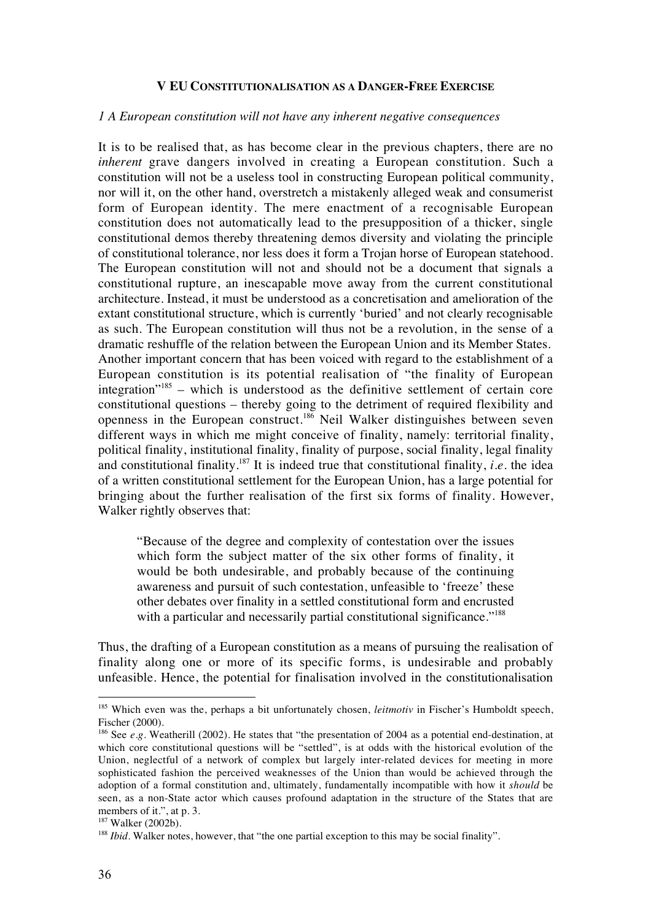#### **V EU CONSTITUTIONALISATION AS A DANGER-FREE EXERCISE**

#### *1 A European constitution will not have any inherent negative consequences*

It is to be realised that, as has become clear in the previous chapters, there are no *inherent* grave dangers involved in creating a European constitution. Such a constitution will not be a useless tool in constructing European political community, nor will it, on the other hand, overstretch a mistakenly alleged weak and consumerist form of European identity. The mere enactment of a recognisable European constitution does not automatically lead to the presupposition of a thicker, single constitutional demos thereby threatening demos diversity and violating the principle of constitutional tolerance, nor less does it form a Trojan horse of European statehood. The European constitution will not and should not be a document that signals a constitutional rupture, an inescapable move away from the current constitutional architecture. Instead, it must be understood as a concretisation and amelioration of the extant constitutional structure, which is currently 'buried' and not clearly recognisable as such. The European constitution will thus not be a revolution, in the sense of a dramatic reshuffle of the relation between the European Union and its Member States. Another important concern that has been voiced with regard to the establishment of a European constitution is its potential realisation of "the finality of European integration<sup> $185$ </sup> – which is understood as the definitive settlement of certain core constitutional questions – thereby going to the detriment of required flexibility and openness in the European construct.186 Neil Walker distinguishes between seven different ways in which me might conceive of finality, namely: territorial finality, political finality, institutional finality, finality of purpose, social finality, legal finality and constitutional finality.<sup>187</sup> It is indeed true that constitutional finality, *i.e.* the idea of a written constitutional settlement for the European Union, has a large potential for bringing about the further realisation of the first six forms of finality. However, Walker rightly observes that:

"Because of the degree and complexity of contestation over the issues which form the subject matter of the six other forms of finality, it would be both undesirable, and probably because of the continuing awareness and pursuit of such contestation, unfeasible to 'freeze' these other debates over finality in a settled constitutional form and encrusted with a particular and necessarily partial constitutional significance."<sup>188</sup>

Thus, the drafting of a European constitution as a means of pursuing the realisation of finality along one or more of its specific forms, is undesirable and probably unfeasible. Hence, the potential for finalisation involved in the constitutionalisation

<sup>&</sup>lt;sup>185</sup> Which even was the, perhaps a bit unfortunately chosen, *leitmotiv* in Fischer's Humboldt speech, Fischer (2000).

<sup>&</sup>lt;sup>186</sup> See *e.g.* Weatherill (2002). He states that "the presentation of 2004 as a potential end-destination, at which core constitutional questions will be "settled", is at odds with the historical evolution of the Union, neglectful of a network of complex but largely inter-related devices for meeting in more sophisticated fashion the perceived weaknesses of the Union than would be achieved through the adoption of a formal constitution and, ultimately, fundamentally incompatible with how it *should* be seen, as a non-State actor which causes profound adaptation in the structure of the States that are members of it.", at p. 3.

<sup>&</sup>lt;sup>187</sup> Walker (2002b).

<sup>&</sup>lt;sup>188</sup> *Ibid*. Walker notes, however, that "the one partial exception to this may be social finality".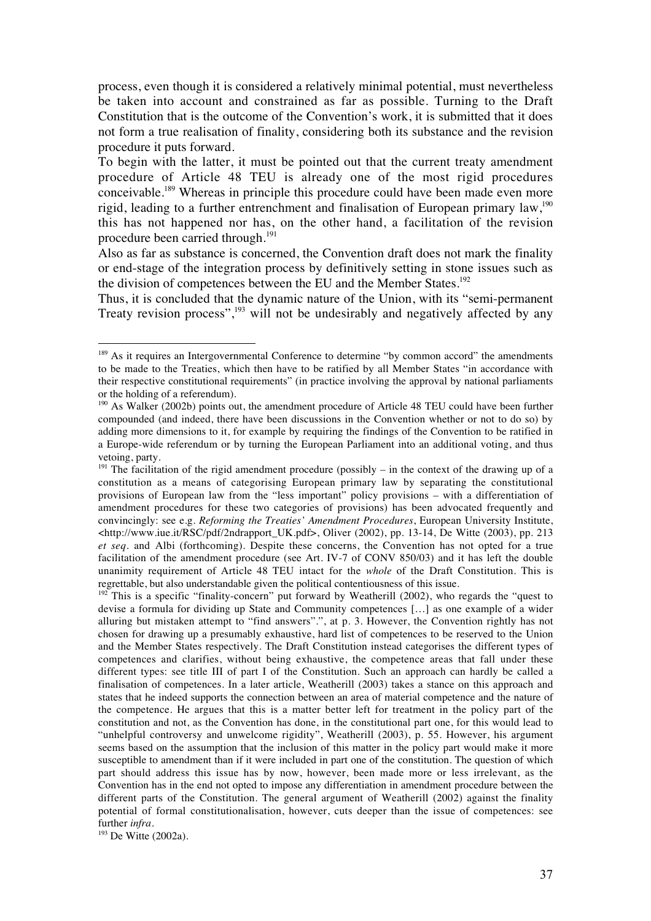process, even though it is considered a relatively minimal potential, must nevertheless be taken into account and constrained as far as possible. Turning to the Draft Constitution that is the outcome of the Convention's work, it is submitted that it does not form a true realisation of finality, considering both its substance and the revision procedure it puts forward.

To begin with the latter, it must be pointed out that the current treaty amendment procedure of Article 48 TEU is already one of the most rigid procedures conceivable.189 Whereas in principle this procedure could have been made even more rigid, leading to a further entrenchment and finalisation of European primary law,<sup>190</sup> this has not happened nor has, on the other hand, a facilitation of the revision procedure been carried through.<sup>191</sup>

Also as far as substance is concerned, the Convention draft does not mark the finality or end-stage of the integration process by definitively setting in stone issues such as the division of competences between the EU and the Member States.<sup>192</sup>

Thus, it is concluded that the dynamic nature of the Union, with its "semi-permanent Treaty revision process", $193$  will not be undesirably and negatively affected by any

<sup>&</sup>lt;sup>189</sup> As it requires an Intergovernmental Conference to determine "by common accord" the amendments to be made to the Treaties, which then have to be ratified by all Member States "in accordance with their respective constitutional requirements" (in practice involving the approval by national parliaments or the holding of a referendum).

<sup>&</sup>lt;sup>190</sup> As Walker (2002b) points out, the amendment procedure of Article 48 TEU could have been further compounded (and indeed, there have been discussions in the Convention whether or not to do so) by adding more dimensions to it, for example by requiring the findings of the Convention to be ratified in a Europe-wide referendum or by turning the European Parliament into an additional voting, and thus vetoing, party.

 $191$  The facilitation of the rigid amendment procedure (possibly – in the context of the drawing up of a constitution as a means of categorising European primary law by separating the constitutional provisions of European law from the "less important" policy provisions – with a differentiation of amendment procedures for these two categories of provisions) has been advocated frequently and convincingly: see e.g. *Reforming the Treaties' Amendment Procedures*, European University Institute, <http://www.iue.it/RSC/pdf/2ndrapport\_UK.pdf>, Oliver (2002), pp. 13-14, De Witte (2003), pp. 213 *et seq.* and Albi (forthcoming). Despite these concerns, the Convention has not opted for a true facilitation of the amendment procedure (see Art. IV-7 of CONV 850/03) and it has left the double unanimity requirement of Article 48 TEU intact for the *whole* of the Draft Constitution. This is regrettable, but also understandable given the political contentiousness of this issue.

 $192$  This is a specific "finality-concern" put forward by Weatherill (2002), who regards the "quest to devise a formula for dividing up State and Community competences […] as one example of a wider alluring but mistaken attempt to "find answers".", at p. 3. However, the Convention rightly has not chosen for drawing up a presumably exhaustive, hard list of competences to be reserved to the Union and the Member States respectively. The Draft Constitution instead categorises the different types of competences and clarifies, without being exhaustive, the competence areas that fall under these different types: see title III of part I of the Constitution. Such an approach can hardly be called a finalisation of competences. In a later article, Weatherill (2003) takes a stance on this approach and states that he indeed supports the connection between an area of material competence and the nature of the competence. He argues that this is a matter better left for treatment in the policy part of the constitution and not, as the Convention has done, in the constitutional part one, for this would lead to "unhelpful controversy and unwelcome rigidity", Weatherill (2003), p. 55. However, his argument seems based on the assumption that the inclusion of this matter in the policy part would make it more susceptible to amendment than if it were included in part one of the constitution. The question of which part should address this issue has by now, however, been made more or less irrelevant, as the Convention has in the end not opted to impose any differentiation in amendment procedure between the different parts of the Constitution. The general argument of Weatherill (2002) against the finality potential of formal constitutionalisation, however, cuts deeper than the issue of competences: see further *infra*.

<sup>193</sup> De Witte (2002a).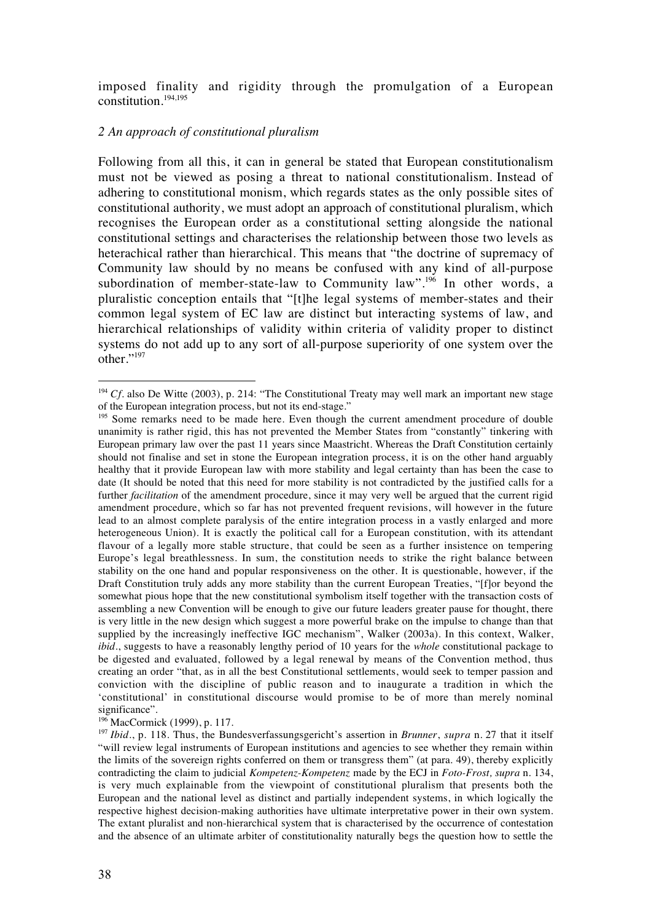imposed finality and rigidity through the promulgation of a European constitution.194,195

### *2 An approach of constitutional pluralism*

Following from all this, it can in general be stated that European constitutionalism must not be viewed as posing a threat to national constitutionalism. Instead of adhering to constitutional monism, which regards states as the only possible sites of constitutional authority, we must adopt an approach of constitutional pluralism, which recognises the European order as a constitutional setting alongside the national constitutional settings and characterises the relationship between those two levels as heterachical rather than hierarchical. This means that "the doctrine of supremacy of Community law should by no means be confused with any kind of all-purpose subordination of member-state-law to Community law".<sup>196</sup> In other words, a pluralistic conception entails that "[t]he legal systems of member-states and their common legal system of EC law are distinct but interacting systems of law, and hierarchical relationships of validity within criteria of validity proper to distinct systems do not add up to any sort of all-purpose superiority of one system over the other."<sup>197</sup>

<sup>&</sup>lt;sup>194</sup> *Cf.* also De Witte (2003), p. 214: "The Constitutional Treaty may well mark an important new stage of the European integration process, but not its end-stage."

<sup>&</sup>lt;sup>195</sup> Some remarks need to be made here. Even though the current amendment procedure of double unanimity is rather rigid, this has not prevented the Member States from "constantly" tinkering with European primary law over the past 11 years since Maastricht. Whereas the Draft Constitution certainly should not finalise and set in stone the European integration process, it is on the other hand arguably healthy that it provide European law with more stability and legal certainty than has been the case to date (It should be noted that this need for more stability is not contradicted by the justified calls for a further *facilitation* of the amendment procedure, since it may very well be argued that the current rigid amendment procedure, which so far has not prevented frequent revisions, will however in the future lead to an almost complete paralysis of the entire integration process in a vastly enlarged and more heterogeneous Union). It is exactly the political call for a European constitution, with its attendant flavour of a legally more stable structure, that could be seen as a further insistence on tempering Europe's legal breathlessness. In sum, the constitution needs to strike the right balance between stability on the one hand and popular responsiveness on the other. It is questionable, however, if the Draft Constitution truly adds any more stability than the current European Treaties, "[flor beyond the somewhat pious hope that the new constitutional symbolism itself together with the transaction costs of assembling a new Convention will be enough to give our future leaders greater pause for thought, there is very little in the new design which suggest a more powerful brake on the impulse to change than that supplied by the increasingly ineffective IGC mechanism", Walker (2003a). In this context, Walker, *ibid.*, suggests to have a reasonably lengthy period of 10 years for the *whole* constitutional package to be digested and evaluated, followed by a legal renewal by means of the Convention method, thus creating an order "that, as in all the best Constitutional settlements, would seek to temper passion and conviction with the discipline of public reason and to inaugurate a tradition in which the 'constitutional' in constitutional discourse would promise to be of more than merely nominal significance".

 $196$  MacCormick (1999), p. 117.

<sup>197</sup> *Ibid.*, p. 118. Thus, the Bundesverfassungsgericht's assertion in *Brunner*, *supra* n. 27 that it itself "will review legal instruments of European institutions and agencies to see whether they remain within the limits of the sovereign rights conferred on them or transgress them" (at para. 49), thereby explicitly contradicting the claim to judicial *Kompetenz-Kompetenz* made by the ECJ in *Foto-Frost, supra* n. 134, is very much explainable from the viewpoint of constitutional pluralism that presents both the European and the national level as distinct and partially independent systems, in which logically the respective highest decision-making authorities have ultimate interpretative power in their own system. The extant pluralist and non-hierarchical system that is characterised by the occurrence of contestation and the absence of an ultimate arbiter of constitutionality naturally begs the question how to settle the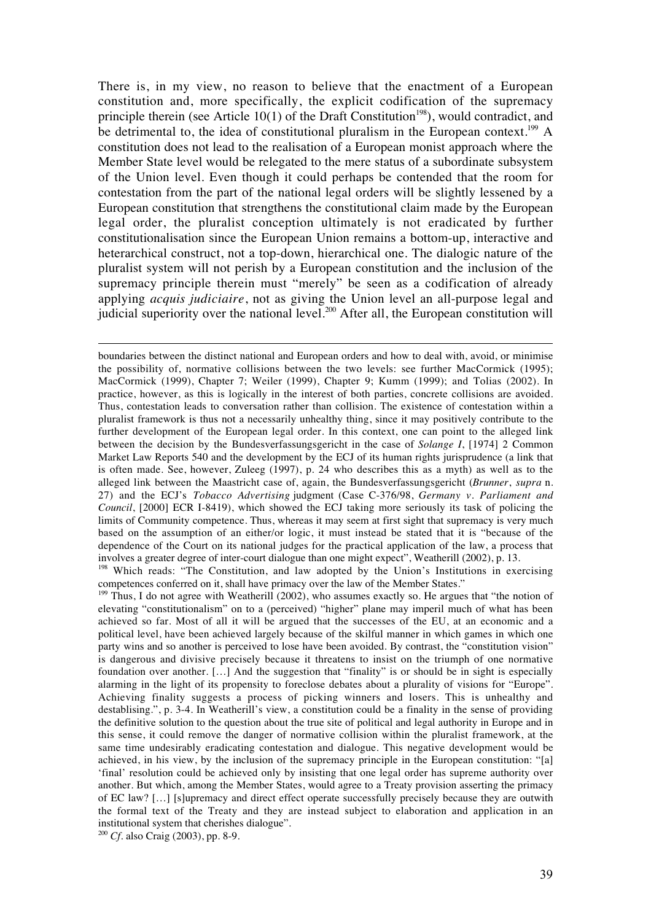There is, in my view, no reason to believe that the enactment of a European constitution and, more specifically, the explicit codification of the supremacy principle therein (see Article 10(1) of the Draft Constitution<sup>198</sup>), would contradict, and be detrimental to, the idea of constitutional pluralism in the European context.<sup>199</sup> A constitution does not lead to the realisation of a European monist approach where the Member State level would be relegated to the mere status of a subordinate subsystem of the Union level. Even though it could perhaps be contended that the room for contestation from the part of the national legal orders will be slightly lessened by a European constitution that strengthens the constitutional claim made by the European legal order, the pluralist conception ultimately is not eradicated by further constitutionalisation since the European Union remains a bottom-up, interactive and heterarchical construct, not a top-down, hierarchical one. The dialogic nature of the pluralist system will not perish by a European constitution and the inclusion of the supremacy principle therein must "merely" be seen as a codification of already applying *acquis judiciaire*, not as giving the Union level an all-purpose legal and judicial superiority over the national level.200 After all, the European constitution will

boundaries between the distinct national and European orders and how to deal with, avoid, or minimise the possibility of, normative collisions between the two levels: see further MacCormick (1995); MacCormick (1999), Chapter 7; Weiler (1999), Chapter 9; Kumm (1999); and Tolias (2002). In practice, however, as this is logically in the interest of both parties, concrete collisions are avoided. Thus, contestation leads to conversation rather than collision. The existence of contestation within a pluralist framework is thus not a necessarily unhealthy thing, since it may positively contribute to the further development of the European legal order. In this context, one can point to the alleged link between the decision by the Bundesverfassungsgericht in the case of *Solange I*, [1974] 2 Common Market Law Reports 540 and the development by the ECJ of its human rights jurisprudence (a link that is often made. See, however, Zuleeg (1997), p. 24 who describes this as a myth) as well as to the alleged link between the Maastricht case of, again, the Bundesverfassungsgericht (*Brunner*, *supra* n. 27) and the ECJ's *Tobacco Advertising* judgment (Case C-376/98, *Germany v. Parliament and Council*, [2000] ECR I-8419), which showed the ECJ taking more seriously its task of policing the limits of Community competence. Thus, whereas it may seem at first sight that supremacy is very much based on the assumption of an either/or logic, it must instead be stated that it is "because of the dependence of the Court on its national judges for the practical application of the law, a process that involves a greater degree of inter-court dialogue than one might expect", Weatherill (2002), p. 13.

<sup>198</sup> Which reads: "The Constitution, and law adopted by the Union's Institutions in exercising competences conferred on it, shall have primacy over the law of the Member States."

 $199$  Thus, I do not agree with Weatherill (2002), who assumes exactly so. He argues that "the notion of elevating "constitutionalism" on to a (perceived) "higher" plane may imperil much of what has been achieved so far. Most of all it will be argued that the successes of the EU, at an economic and a political level, have been achieved largely because of the skilful manner in which games in which one party wins and so another is perceived to lose have been avoided. By contrast, the "constitution vision" is dangerous and divisive precisely because it threatens to insist on the triumph of one normative foundation over another. […] And the suggestion that "finality" is or should be in sight is especially alarming in the light of its propensity to foreclose debates about a plurality of visions for "Europe". Achieving finality suggests a process of picking winners and losers. This is unhealthy and destablising.", p. 3-4. In Weatherill's view, a constitution could be a finality in the sense of providing the definitive solution to the question about the true site of political and legal authority in Europe and in this sense, it could remove the danger of normative collision within the pluralist framework, at the same time undesirably eradicating contestation and dialogue. This negative development would be achieved, in his view, by the inclusion of the supremacy principle in the European constitution: "[a] 'final' resolution could be achieved only by insisting that one legal order has supreme authority over another. But which, among the Member States, would agree to a Treaty provision asserting the primacy of EC law? […] [s]upremacy and direct effect operate successfully precisely because they are outwith the formal text of the Treaty and they are instead subject to elaboration and application in an institutional system that cherishes dialogue".

<sup>200</sup> *Cf.* also Craig (2003), pp. 8-9.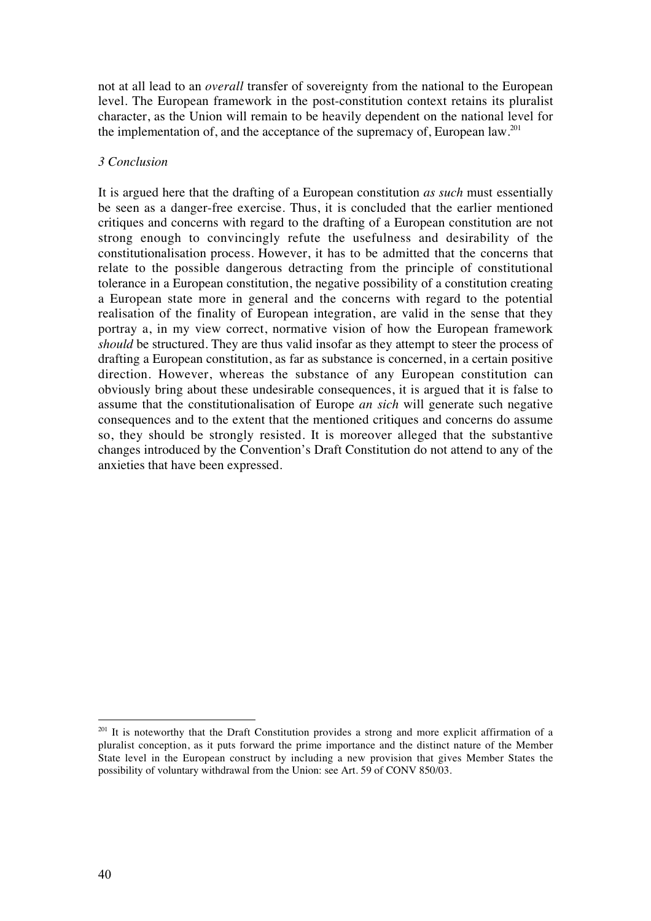not at all lead to an *overall* transfer of sovereignty from the national to the European level. The European framework in the post-constitution context retains its pluralist character, as the Union will remain to be heavily dependent on the national level for the implementation of, and the acceptance of the supremacy of, European law.<sup>201</sup>

## *3 Conclusion*

It is argued here that the drafting of a European constitution *as such* must essentially be seen as a danger-free exercise. Thus, it is concluded that the earlier mentioned critiques and concerns with regard to the drafting of a European constitution are not strong enough to convincingly refute the usefulness and desirability of the constitutionalisation process. However, it has to be admitted that the concerns that relate to the possible dangerous detracting from the principle of constitutional tolerance in a European constitution, the negative possibility of a constitution creating a European state more in general and the concerns with regard to the potential realisation of the finality of European integration, are valid in the sense that they portray a, in my view correct, normative vision of how the European framework *should* be structured. They are thus valid insofar as they attempt to steer the process of drafting a European constitution, as far as substance is concerned, in a certain positive direction. However, whereas the substance of any European constitution can obviously bring about these undesirable consequences, it is argued that it is false to assume that the constitutionalisation of Europe *an sich* will generate such negative consequences and to the extent that the mentioned critiques and concerns do assume so, they should be strongly resisted. It is moreover alleged that the substantive changes introduced by the Convention's Draft Constitution do not attend to any of the anxieties that have been expressed.

<sup>&</sup>lt;sup>201</sup> It is noteworthy that the Draft Constitution provides a strong and more explicit affirmation of a pluralist conception, as it puts forward the prime importance and the distinct nature of the Member State level in the European construct by including a new provision that gives Member States the possibility of voluntary withdrawal from the Union: see Art. 59 of CONV 850/03.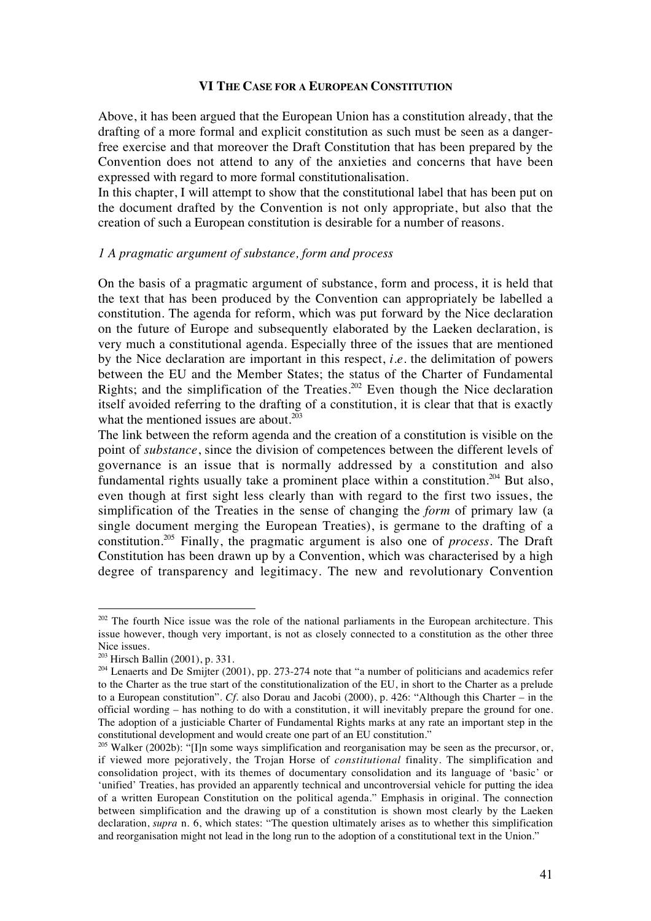#### **VI THE CASE FOR A EUROPEAN CONSTITUTION**

Above, it has been argued that the European Union has a constitution already, that the drafting of a more formal and explicit constitution as such must be seen as a dangerfree exercise and that moreover the Draft Constitution that has been prepared by the Convention does not attend to any of the anxieties and concerns that have been expressed with regard to more formal constitutionalisation.

In this chapter, I will attempt to show that the constitutional label that has been put on the document drafted by the Convention is not only appropriate, but also that the creation of such a European constitution is desirable for a number of reasons.

#### *1 A pragmatic argument of substance, form and process*

On the basis of a pragmatic argument of substance, form and process, it is held that the text that has been produced by the Convention can appropriately be labelled a constitution. The agenda for reform, which was put forward by the Nice declaration on the future of Europe and subsequently elaborated by the Laeken declaration, is very much a constitutional agenda. Especially three of the issues that are mentioned by the Nice declaration are important in this respect, *i.e.* the delimitation of powers between the EU and the Member States; the status of the Charter of Fundamental Rights; and the simplification of the Treaties.<sup>202</sup> Even though the Nice declaration itself avoided referring to the drafting of a constitution, it is clear that that is exactly what the mentioned issues are about. $2\overline{03}$ 

The link between the reform agenda and the creation of a constitution is visible on the point of *substance*, since the division of competences between the different levels of governance is an issue that is normally addressed by a constitution and also fundamental rights usually take a prominent place within a constitution.<sup>204</sup> But also, even though at first sight less clearly than with regard to the first two issues, the simplification of the Treaties in the sense of changing the *form* of primary law (a single document merging the European Treaties), is germane to the drafting of a constitution.205 Finally, the pragmatic argument is also one of *process*. The Draft Constitution has been drawn up by a Convention, which was characterised by a high degree of transparency and legitimacy. The new and revolutionary Convention

 $202$  The fourth Nice issue was the role of the national parliaments in the European architecture. This issue however, though very important, is not as closely connected to a constitution as the other three Nice issues.

 $203$  Hirsch Ballin (2001), p. 331.

<sup>&</sup>lt;sup>204</sup> Lenaerts and De Smijter (2001), pp. 273-274 note that "a number of politicians and academics refer to the Charter as the true start of the constitutionalization of the EU, in short to the Charter as a prelude to a European constitution". *Cf*. also Dorau and Jacobi (2000), p. 426: "Although this Charter – in the official wording – has nothing to do with a constitution, it will inevitably prepare the ground for one. The adoption of a justiciable Charter of Fundamental Rights marks at any rate an important step in the constitutional development and would create one part of an EU constitution."

<sup>&</sup>lt;sup>205</sup> Walker (2002b): "[I]n some ways simplification and reorganisation may be seen as the precursor, or, if viewed more pejoratively, the Trojan Horse of *constitutional* finality. The simplification and consolidation project, with its themes of documentary consolidation and its language of 'basic' or 'unified' Treaties, has provided an apparently technical and uncontroversial vehicle for putting the idea of a written European Constitution on the political agenda." Emphasis in original. The connection between simplification and the drawing up of a constitution is shown most clearly by the Laeken declaration, *supra* n. 6, which states: "The question ultimately arises as to whether this simplification and reorganisation might not lead in the long run to the adoption of a constitutional text in the Union."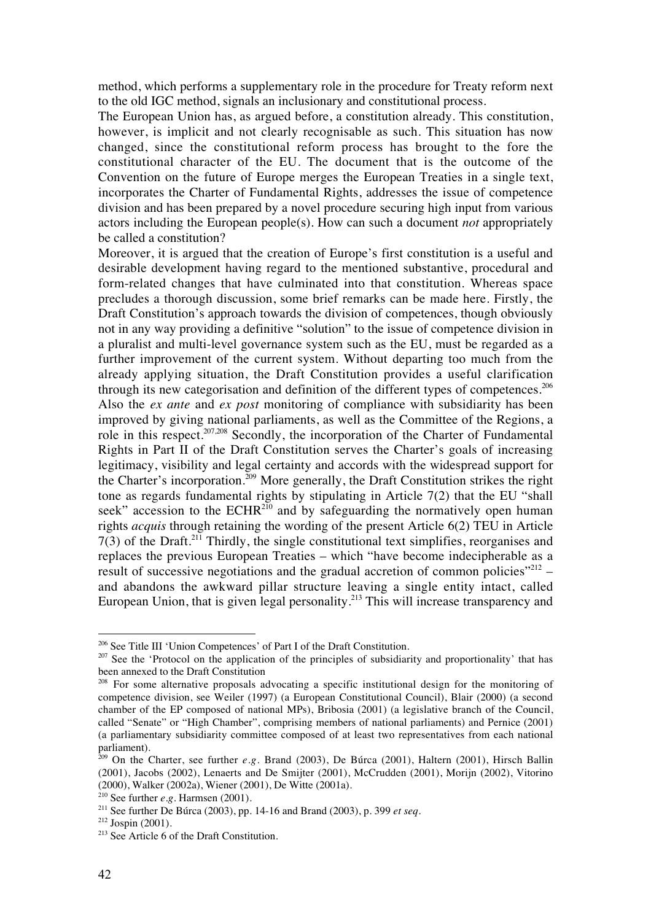method, which performs a supplementary role in the procedure for Treaty reform next to the old IGC method, signals an inclusionary and constitutional process.

The European Union has, as argued before, a constitution already. This constitution, however, is implicit and not clearly recognisable as such. This situation has now changed, since the constitutional reform process has brought to the fore the constitutional character of the EU. The document that is the outcome of the Convention on the future of Europe merges the European Treaties in a single text, incorporates the Charter of Fundamental Rights, addresses the issue of competence division and has been prepared by a novel procedure securing high input from various actors including the European people(s). How can such a document *not* appropriately be called a constitution?

Moreover, it is argued that the creation of Europe's first constitution is a useful and desirable development having regard to the mentioned substantive, procedural and form-related changes that have culminated into that constitution. Whereas space precludes a thorough discussion, some brief remarks can be made here. Firstly, the Draft Constitution's approach towards the division of competences, though obviously not in any way providing a definitive "solution" to the issue of competence division in a pluralist and multi-level governance system such as the EU, must be regarded as a further improvement of the current system. Without departing too much from the already applying situation, the Draft Constitution provides a useful clarification through its new categorisation and definition of the different types of competences. $206$ Also the *ex ante* and *ex post* monitoring of compliance with subsidiarity has been improved by giving national parliaments, as well as the Committee of the Regions, a role in this respect.<sup>207,208</sup> Secondly, the incorporation of the Charter of Fundamental Rights in Part II of the Draft Constitution serves the Charter's goals of increasing legitimacy, visibility and legal certainty and accords with the widespread support for the Charter's incorporation.<sup>209</sup> More generally, the Draft Constitution strikes the right tone as regards fundamental rights by stipulating in Article 7(2) that the EU "shall seek" accession to the ECHR<sup>210</sup> and by safeguarding the normatively open human rights *acquis* through retaining the wording of the present Article 6(2) TEU in Article  $7(3)$  of the Draft.<sup>211</sup> Thirdly, the single constitutional text simplifies, reorganises and replaces the previous European Treaties – which "have become indecipherable as a result of successive negotiations and the gradual accretion of common policies $"^{212}$  – and abandons the awkward pillar structure leaving a single entity intact, called European Union, that is given legal personality.<sup>213</sup> This will increase transparency and

<sup>206</sup> See Title III 'Union Competences' of Part I of the Draft Constitution.

<sup>&</sup>lt;sup>207</sup> See the 'Protocol on the application of the principles of subsidiarity and proportionality' that has been annexed to the Draft Constitution

<sup>&</sup>lt;sup>208</sup> For some alternative proposals advocating a specific institutional design for the monitoring of competence division, see Weiler (1997) (a European Constitutional Council), Blair (2000) (a second chamber of the EP composed of national MPs), Bribosia (2001) (a legislative branch of the Council, called "Senate" or "High Chamber", comprising members of national parliaments) and Pernice (2001) (a parliamentary subsidiarity committee composed of at least two representatives from each national parliament).

<sup>209</sup> On the Charter, see further *e.g.* Brand (2003), De Búrca (2001), Haltern (2001), Hirsch Ballin (2001), Jacobs (2002), Lenaerts and De Smijter (2001), McCrudden (2001), Morijn (2002), Vitorino (2000), Walker (2002a), Wiener (2001), De Witte (2001a).

<sup>210</sup> See further *e.g.* Harmsen (2001).

<sup>211</sup> See further De Búrca (2003), pp. 14-16 and Brand (2003), p. 399 *et seq.*

 $212$  Jospin (2001).

<sup>&</sup>lt;sup>213</sup> See Article 6 of the Draft Constitution.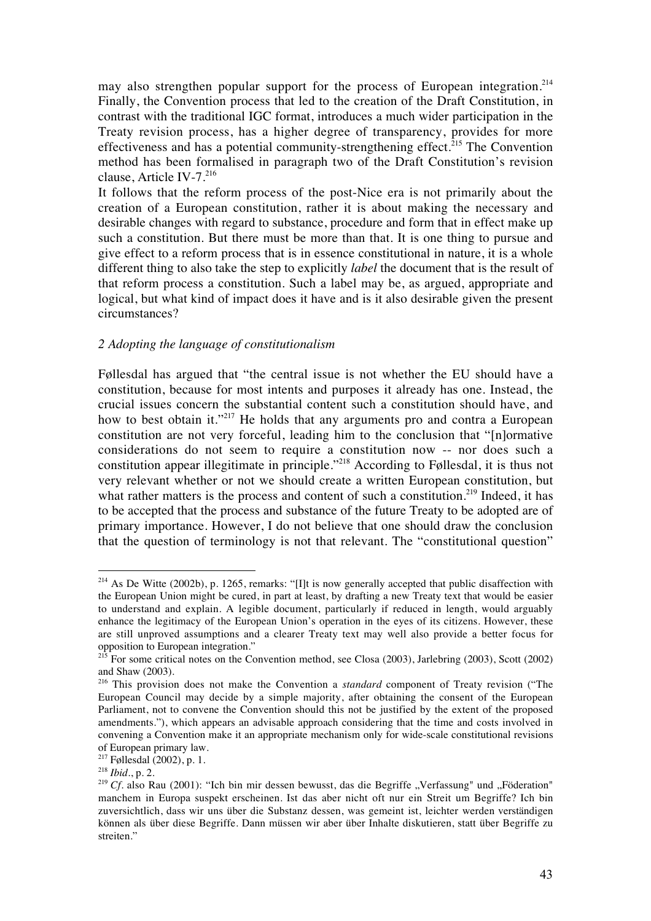may also strengthen popular support for the process of European integration.<sup>214</sup> Finally, the Convention process that led to the creation of the Draft Constitution, in contrast with the traditional IGC format, introduces a much wider participation in the Treaty revision process, has a higher degree of transparency, provides for more effectiveness and has a potential community-strengthening effect.<sup>215</sup> The Convention method has been formalised in paragraph two of the Draft Constitution's revision clause, Article IV-7.<sup>216</sup>

It follows that the reform process of the post-Nice era is not primarily about the creation of a European constitution, rather it is about making the necessary and desirable changes with regard to substance, procedure and form that in effect make up such a constitution. But there must be more than that. It is one thing to pursue and give effect to a reform process that is in essence constitutional in nature, it is a whole different thing to also take the step to explicitly *label* the document that is the result of that reform process a constitution. Such a label may be, as argued, appropriate and logical, but what kind of impact does it have and is it also desirable given the present circumstances?

### *2 Adopting the language of constitutionalism*

Føllesdal has argued that "the central issue is not whether the EU should have a constitution, because for most intents and purposes it already has one. Instead, the crucial issues concern the substantial content such a constitution should have, and how to best obtain it."<sup>217</sup> He holds that any arguments pro and contra a European constitution are not very forceful, leading him to the conclusion that "[n]ormative considerations do not seem to require a constitution now -- nor does such a constitution appear illegitimate in principle."218 According to Føllesdal, it is thus not very relevant whether or not we should create a written European constitution, but what rather matters is the process and content of such a constitution.<sup>219</sup> Indeed, it has to be accepted that the process and substance of the future Treaty to be adopted are of primary importance. However, I do not believe that one should draw the conclusion that the question of terminology is not that relevant. The "constitutional question"

 $2^{14}$  As De Witte (2002b), p. 1265, remarks: "[I]t is now generally accepted that public disaffection with the European Union might be cured, in part at least, by drafting a new Treaty text that would be easier to understand and explain. A legible document, particularly if reduced in length, would arguably enhance the legitimacy of the European Union's operation in the eyes of its citizens. However, these are still unproved assumptions and a clearer Treaty text may well also provide a better focus for opposition to European integration."

<sup>&</sup>lt;sup>215</sup> For some critical notes on the Convention method, see Closa (2003), Jarlebring (2003), Scott (2002) and Shaw (2003).

<sup>216</sup> This provision does not make the Convention a *standard* component of Treaty revision ("The European Council may decide by a simple majority, after obtaining the consent of the European Parliament, not to convene the Convention should this not be justified by the extent of the proposed amendments."), which appears an advisable approach considering that the time and costs involved in convening a Convention make it an appropriate mechanism only for wide-scale constitutional revisions of European primary law.

 $2^{17}$  Føllesdal (2002), p. 1.

<sup>218</sup> *Ibid*., p. 2.

<sup>&</sup>lt;sup>219</sup> Cf. also Rau (2001): "Ich bin mir dessen bewusst, das die Begriffe "Verfassung" und "Föderation" manchem in Europa suspekt erscheinen. Ist das aber nicht oft nur ein Streit um Begriffe? Ich bin zuversichtlich, dass wir uns über die Substanz dessen, was gemeint ist, leichter werden verständigen können als über diese Begriffe. Dann müssen wir aber über Inhalte diskutieren, statt über Begriffe zu streiten."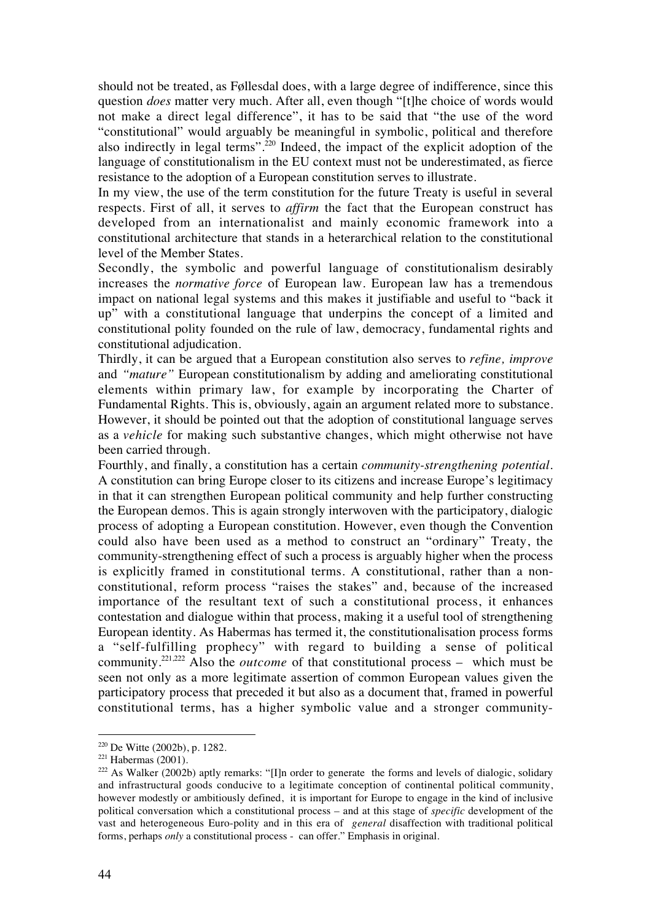should not be treated, as Føllesdal does, with a large degree of indifference, since this question *does* matter very much. After all, even though "[t]he choice of words would not make a direct legal difference", it has to be said that "the use of the word "constitutional" would arguably be meaningful in symbolic, political and therefore also indirectly in legal terms".220 Indeed, the impact of the explicit adoption of the language of constitutionalism in the EU context must not be underestimated, as fierce resistance to the adoption of a European constitution serves to illustrate.

In my view, the use of the term constitution for the future Treaty is useful in several respects. First of all, it serves to *affirm* the fact that the European construct has developed from an internationalist and mainly economic framework into a constitutional architecture that stands in a heterarchical relation to the constitutional level of the Member States.

Secondly, the symbolic and powerful language of constitutionalism desirably increases the *normative force* of European law. European law has a tremendous impact on national legal systems and this makes it justifiable and useful to "back it up" with a constitutional language that underpins the concept of a limited and constitutional polity founded on the rule of law, democracy, fundamental rights and constitutional adjudication.

Thirdly, it can be argued that a European constitution also serves to *refine, improve* and *"mature"* European constitutionalism by adding and ameliorating constitutional elements within primary law, for example by incorporating the Charter of Fundamental Rights. This is, obviously, again an argument related more to substance. However, it should be pointed out that the adoption of constitutional language serves as a *vehicle* for making such substantive changes, which might otherwise not have been carried through.

Fourthly, and finally, a constitution has a certain *community-strengthening potential*. A constitution can bring Europe closer to its citizens and increase Europe's legitimacy in that it can strengthen European political community and help further constructing the European demos. This is again strongly interwoven with the participatory, dialogic process of adopting a European constitution. However, even though the Convention could also have been used as a method to construct an "ordinary" Treaty, the community-strengthening effect of such a process is arguably higher when the process is explicitly framed in constitutional terms. A constitutional, rather than a nonconstitutional, reform process "raises the stakes" and, because of the increased importance of the resultant text of such a constitutional process, it enhances contestation and dialogue within that process, making it a useful tool of strengthening European identity. As Habermas has termed it, the constitutionalisation process forms a "self-fulfilling prophecy" with regard to building a sense of political community.221,222 Also the *outcome* of that constitutional process – which must be seen not only as a more legitimate assertion of common European values given the participatory process that preceded it but also as a document that, framed in powerful constitutional terms, has a higher symbolic value and a stronger community-

 $220$  De Witte (2002b), p. 1282.

 $221$  Habermas (2001).

<sup>&</sup>lt;sup>222</sup> As Walker (2002b) aptly remarks: "[I]n order to generate the forms and levels of dialogic, solidary and infrastructural goods conducive to a legitimate conception of continental political community, however modestly or ambitiously defined, it is important for Europe to engage in the kind of inclusive political conversation which a constitutional process – and at this stage of *specific* development of the vast and heterogeneous Euro-polity and in this era of *general* disaffection with traditional political forms, perhaps *only* a constitutional process - can offer." Emphasis in original.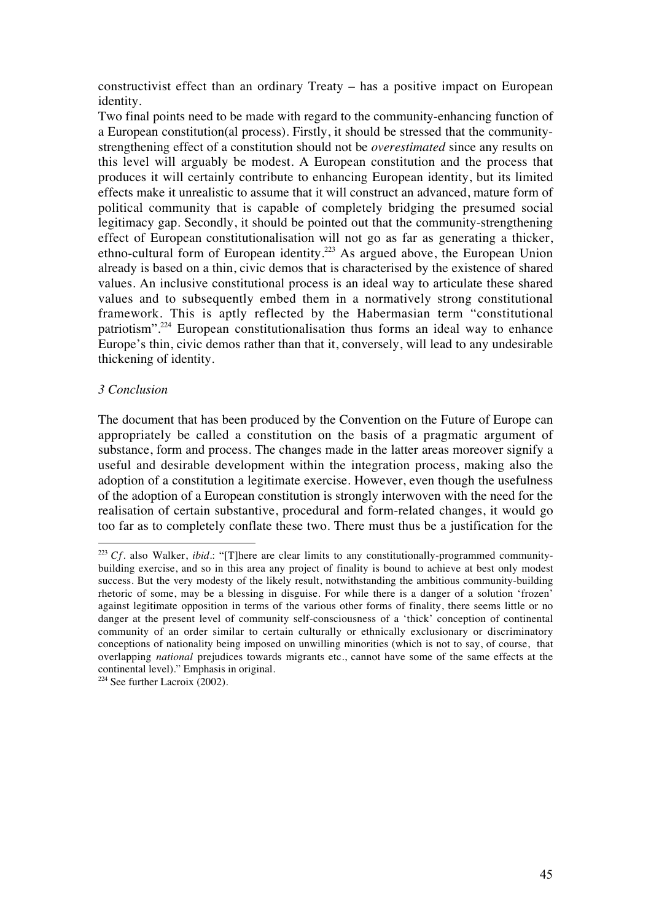constructivist effect than an ordinary Treaty – has a positive impact on European identity.

Two final points need to be made with regard to the community-enhancing function of a European constitution(al process). Firstly, it should be stressed that the communitystrengthening effect of a constitution should not be *overestimated* since any results on this level will arguably be modest. A European constitution and the process that produces it will certainly contribute to enhancing European identity, but its limited effects make it unrealistic to assume that it will construct an advanced, mature form of political community that is capable of completely bridging the presumed social legitimacy gap. Secondly, it should be pointed out that the community-strengthening effect of European constitutionalisation will not go as far as generating a thicker, ethno-cultural form of European identity.<sup>223</sup> As argued above, the European Union already is based on a thin, civic demos that is characterised by the existence of shared values. An inclusive constitutional process is an ideal way to articulate these shared values and to subsequently embed them in a normatively strong constitutional framework. This is aptly reflected by the Habermasian term "constitutional patriotism".224 European constitutionalisation thus forms an ideal way to enhance Europe's thin, civic demos rather than that it, conversely, will lead to any undesirable thickening of identity.

## *3 Conclusion*

 $\overline{a}$ 

The document that has been produced by the Convention on the Future of Europe can appropriately be called a constitution on the basis of a pragmatic argument of substance, form and process. The changes made in the latter areas moreover signify a useful and desirable development within the integration process, making also the adoption of a constitution a legitimate exercise. However, even though the usefulness of the adoption of a European constitution is strongly interwoven with the need for the realisation of certain substantive, procedural and form-related changes, it would go too far as to completely conflate these two. There must thus be a justification for the

<sup>223</sup> *Cf.* also Walker, *ibid.*: "[T]here are clear limits to any constitutionally-programmed communitybuilding exercise, and so in this area any project of finality is bound to achieve at best only modest success. But the very modesty of the likely result, notwithstanding the ambitious community-building rhetoric of some, may be a blessing in disguise. For while there is a danger of a solution 'frozen' against legitimate opposition in terms of the various other forms of finality, there seems little or no danger at the present level of community self-consciousness of a 'thick' conception of continental community of an order similar to certain culturally or ethnically exclusionary or discriminatory conceptions of nationality being imposed on unwilling minorities (which is not to say, of course, that overlapping *national* prejudices towards migrants etc., cannot have some of the same effects at the continental level)." Emphasis in original.

 $224$  See further Lacroix (2002).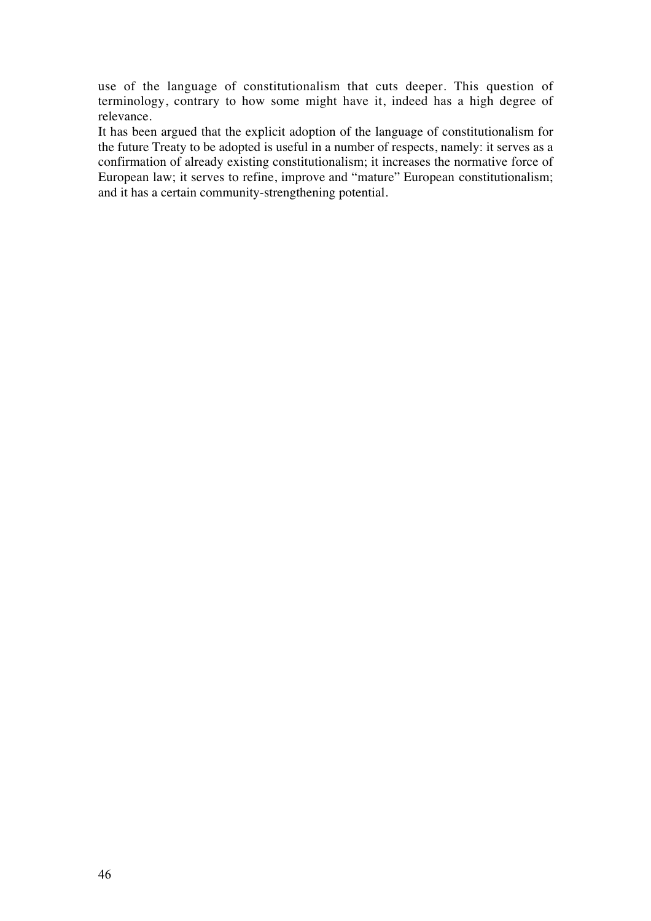use of the language of constitutionalism that cuts deeper. This question of terminology, contrary to how some might have it, indeed has a high degree of relevance.

It has been argued that the explicit adoption of the language of constitutionalism for the future Treaty to be adopted is useful in a number of respects, namely: it serves as a confirmation of already existing constitutionalism; it increases the normative force of European law; it serves to refine, improve and "mature" European constitutionalism; and it has a certain community-strengthening potential.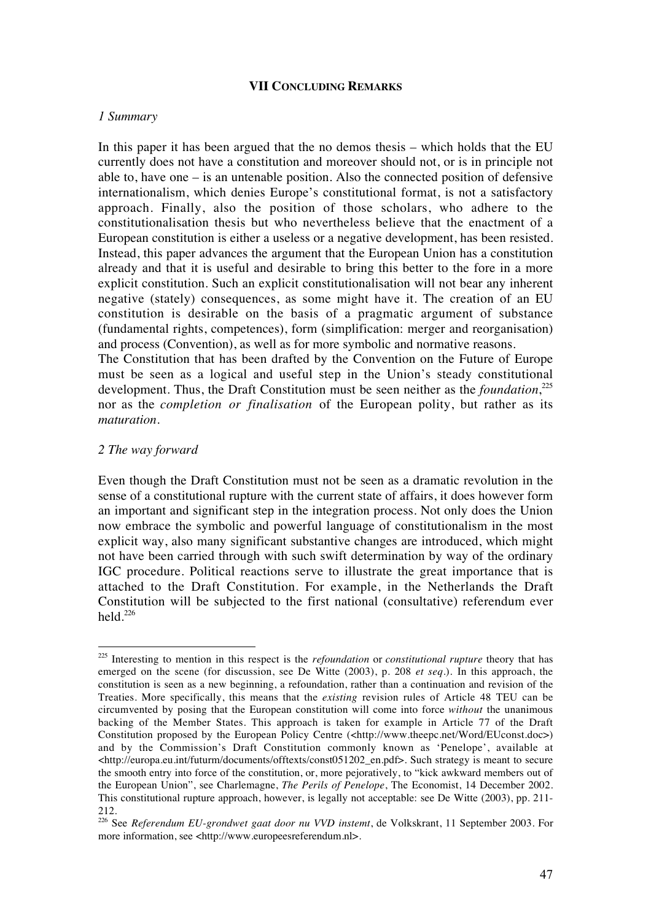#### **VII CONCLUDING REMARKS**

### *1 Summary*

In this paper it has been argued that the no demos thesis – which holds that the EU currently does not have a constitution and moreover should not, or is in principle not able to, have one – is an untenable position. Also the connected position of defensive internationalism, which denies Europe's constitutional format, is not a satisfactory approach. Finally, also the position of those scholars, who adhere to the constitutionalisation thesis but who nevertheless believe that the enactment of a European constitution is either a useless or a negative development, has been resisted. Instead, this paper advances the argument that the European Union has a constitution already and that it is useful and desirable to bring this better to the fore in a more explicit constitution. Such an explicit constitutionalisation will not bear any inherent negative (stately) consequences, as some might have it. The creation of an EU constitution is desirable on the basis of a pragmatic argument of substance (fundamental rights, competences), form (simplification: merger and reorganisation) and process (Convention), as well as for more symbolic and normative reasons.

The Constitution that has been drafted by the Convention on the Future of Europe must be seen as a logical and useful step in the Union's steady constitutional development. Thus, the Draft Constitution must be seen neither as the *foundation*,<sup>225</sup> nor as the *completion or finalisation* of the European polity, but rather as its *maturation*.

#### *2 The way forward*

 $\overline{a}$ 

Even though the Draft Constitution must not be seen as a dramatic revolution in the sense of a constitutional rupture with the current state of affairs, it does however form an important and significant step in the integration process. Not only does the Union now embrace the symbolic and powerful language of constitutionalism in the most explicit way, also many significant substantive changes are introduced, which might not have been carried through with such swift determination by way of the ordinary IGC procedure. Political reactions serve to illustrate the great importance that is attached to the Draft Constitution. For example, in the Netherlands the Draft Constitution will be subjected to the first national (consultative) referendum ever held. $^{226}$ 

<sup>225</sup> Interesting to mention in this respect is the *refoundation* or *constitutional rupture* theory that has emerged on the scene (for discussion, see De Witte (2003), p. 208 *et seq.*). In this approach, the constitution is seen as a new beginning, a refoundation, rather than a continuation and revision of the Treaties. More specifically, this means that the *existing* revision rules of Article 48 TEU can be circumvented by posing that the European constitution will come into force *without* the unanimous backing of the Member States. This approach is taken for example in Article 77 of the Draft Constitution proposed by the European Policy Centre (<http://www.theepc.net/Word/EUconst.doc>) and by the Commission's Draft Constitution commonly known as 'Penelope', available at <http://europa.eu.int/futurm/documents/offtexts/const051202\_en.pdf>. Such strategy is meant to secure the smooth entry into force of the constitution, or, more pejoratively, to "kick awkward members out of the European Union", see Charlemagne, *The Perils of Penelope*, The Economist, 14 December 2002. This constitutional rupture approach, however, is legally not acceptable: see De Witte (2003), pp. 211- 212.

<sup>226</sup> See *Referendum EU-grondwet gaat door nu VVD instemt*, de Volkskrant, 11 September 2003. For more information, see <http://www.europeesreferendum.nl>.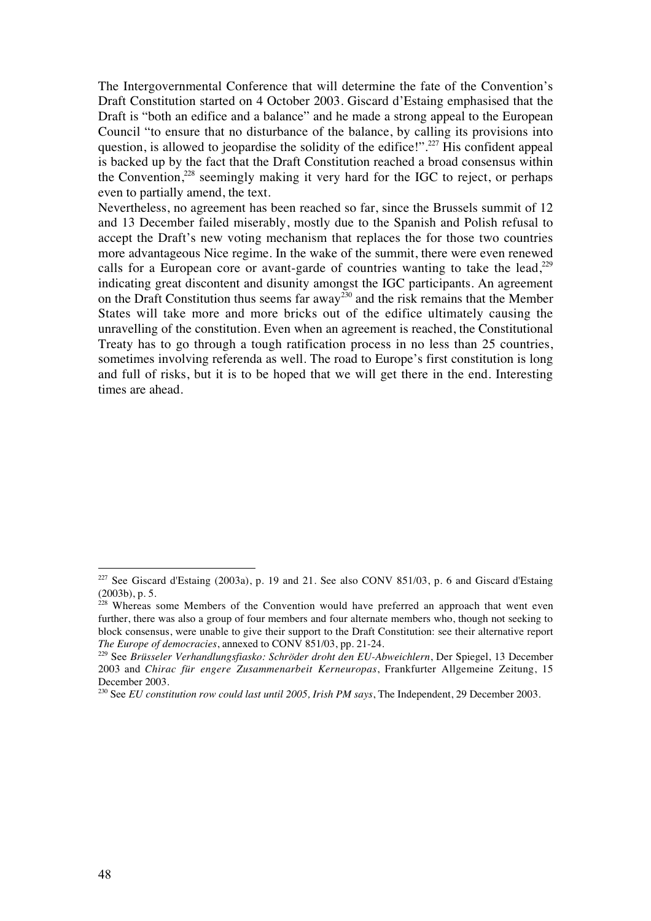The Intergovernmental Conference that will determine the fate of the Convention's Draft Constitution started on 4 October 2003. Giscard d'Estaing emphasised that the Draft is "both an edifice and a balance" and he made a strong appeal to the European Council "to ensure that no disturbance of the balance, by calling its provisions into question, is allowed to jeopardise the solidity of the edifice!".<sup>227</sup> His confident appeal is backed up by the fact that the Draft Constitution reached a broad consensus within the Convention.<sup>228</sup> seemingly making it very hard for the IGC to reject, or perhaps even to partially amend, the text.

Nevertheless, no agreement has been reached so far, since the Brussels summit of 12 and 13 December failed miserably, mostly due to the Spanish and Polish refusal to accept the Draft's new voting mechanism that replaces the for those two countries more advantageous Nice regime. In the wake of the summit, there were even renewed calls for a European core or avant-garde of countries wanting to take the lead,<sup>229</sup> indicating great discontent and disunity amongst the IGC participants. An agreement on the Draft Constitution thus seems far away<sup>230</sup> and the risk remains that the Member States will take more and more bricks out of the edifice ultimately causing the unravelling of the constitution. Even when an agreement is reached, the Constitutional Treaty has to go through a tough ratification process in no less than 25 countries, sometimes involving referenda as well. The road to Europe's first constitution is long and full of risks, but it is to be hoped that we will get there in the end. Interesting times are ahead.

 $227$  See Giscard d'Estaing (2003a), p. 19 and 21. See also CONV 851/03, p. 6 and Giscard d'Estaing (2003b), p. 5.

 $228$  Whereas some Members of the Convention would have preferred an approach that went even further, there was also a group of four members and four alternate members who, though not seeking to block consensus, were unable to give their support to the Draft Constitution: see their alternative report *The Europe of democracies*, annexed to CONV 851/03, pp. 21-24.

<sup>229</sup> See *Brüsseler Verhandlungsfiasko: Schröder droht den EU-Abweichlern*, Der Spiegel, 13 December 2003 and *Chirac für engere Zusammenarbeit Kerneuropas*, Frankfurter Allgemeine Zeitung, 15 December 2003.

<sup>230</sup> See *EU constitution row could last until 2005, Irish PM says*, The Independent, 29 December 2003.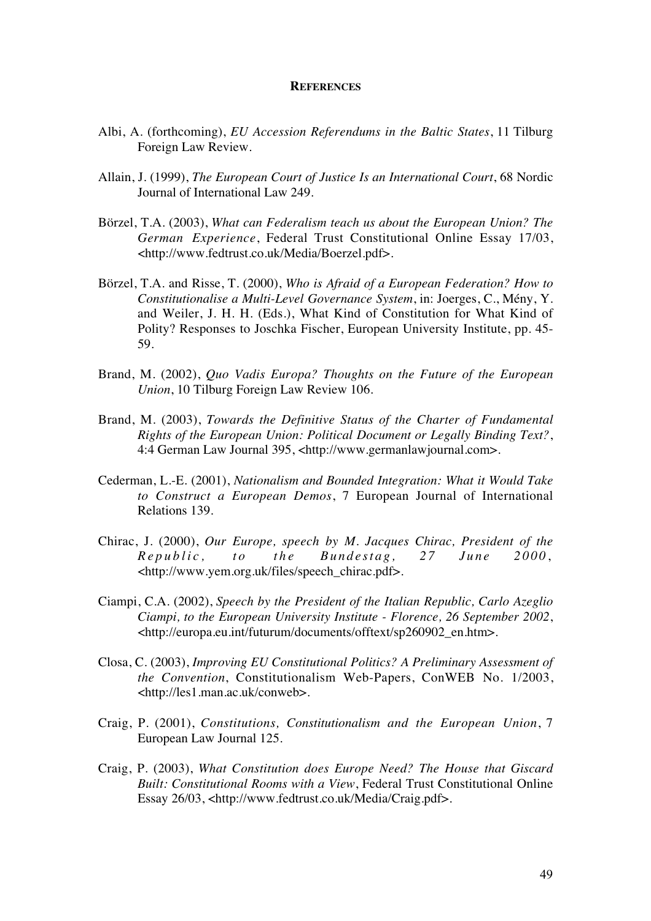#### **REFERENCES**

- Albi, A. (forthcoming), *EU Accession Referendums in the Baltic States*, 11 Tilburg Foreign Law Review.
- Allain, J. (1999), *The European Court of Justice Is an International Court*, 68 Nordic Journal of International Law 249.
- Börzel, T.A. (2003), *What can Federalism teach us about the European Union? The German Experience*, Federal Trust Constitutional Online Essay 17/03, <http://www.fedtrust.co.uk/Media/Boerzel.pdf>.
- Börzel, T.A. and Risse, T. (2000), *Who is Afraid of a European Federation? How to Constitutionalise a Multi-Level Governance System*, in: Joerges, C., Mény, Y. and Weiler, J. H. H. (Eds.), What Kind of Constitution for What Kind of Polity? Responses to Joschka Fischer, European University Institute, pp. 45- 59.
- Brand, M. (2002), *Quo Vadis Europa? Thoughts on the Future of the European Union*, 10 Tilburg Foreign Law Review 106.
- Brand, M. (2003), *Towards the Definitive Status of the Charter of Fundamental Rights of the European Union: Political Document or Legally Binding Text?*, 4:4 German Law Journal 395, <http://www.germanlawjournal.com>.
- Cederman, L.-E. (2001), *Nationalism and Bounded Integration: What it Would Take to Construct a European Demos*, 7 European Journal of International Relations 139.
- Chirac, J. (2000), *Our Europe, speech by M. Jacques Chirac, President of the Republic, to the Bundestag, 27 June 2000* , <http://www.yem.org.uk/files/speech\_chirac.pdf>.
- Ciampi, C.A. (2002), *Speech by the President of the Italian Republic, Carlo Azeglio Ciampi, to the European University Institute - Florence, 26 September 2002*, <http://europa.eu.int/futurum/documents/offtext/sp260902\_en.htm>.
- Closa, C. (2003), *Improving EU Constitutional Politics? A Preliminary Assessment of the Convention*, Constitutionalism Web-Papers, ConWEB No. 1/2003, <http://les1.man.ac.uk/conweb>.
- Craig, P. (2001), *Constitutions, Constitutionalism and the European Union*, 7 European Law Journal 125.
- Craig, P. (2003), *What Constitution does Europe Need? The House that Giscard Built: Constitutional Rooms with a View*, Federal Trust Constitutional Online Essay 26/03, <http://www.fedtrust.co.uk/Media/Craig.pdf>.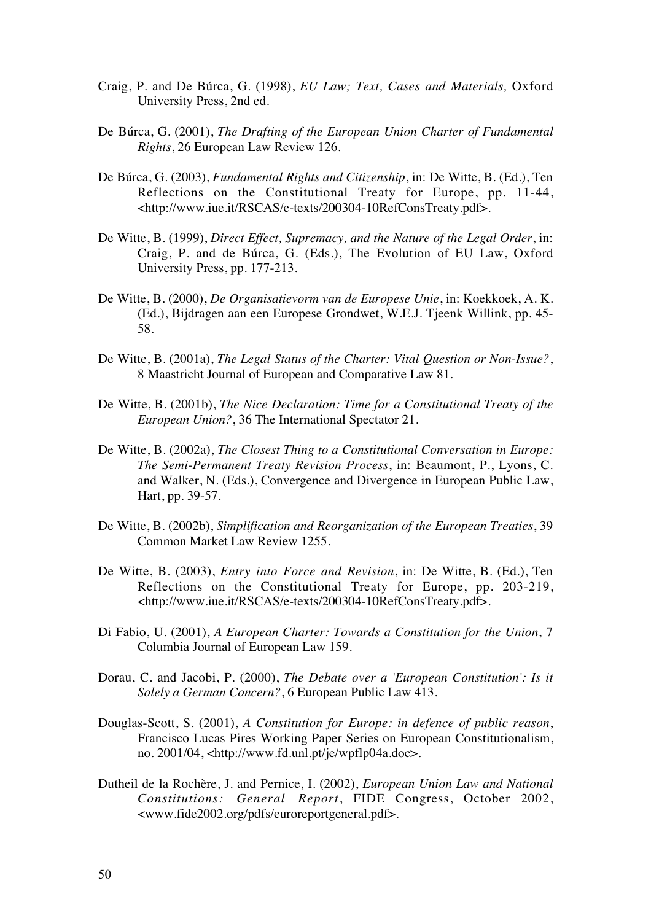- Craig, P. and De Búrca, G. (1998), *EU Law; Text, Cases and Materials,* Oxford University Press, 2nd ed.
- De Búrca, G. (2001), *The Drafting of the European Union Charter of Fundamental Rights*, 26 European Law Review 126.
- De Búrca, G. (2003), *Fundamental Rights and Citizenship*, in: De Witte, B. (Ed.), Ten Reflections on the Constitutional Treaty for Europe, pp. 11-44, <http://www.iue.it/RSCAS/e-texts/200304-10RefConsTreaty.pdf>.
- De Witte, B. (1999), *Direct Effect, Supremacy, and the Nature of the Legal Order*, in: Craig, P. and de Búrca, G. (Eds.), The Evolution of EU Law, Oxford University Press, pp. 177-213.
- De Witte, B. (2000), *De Organisatievorm van de Europese Unie*, in: Koekkoek, A. K. (Ed.), Bijdragen aan een Europese Grondwet, W.E.J. Tjeenk Willink, pp. 45- 58.
- De Witte, B. (2001a), *The Legal Status of the Charter: Vital Question or Non-Issue?*, 8 Maastricht Journal of European and Comparative Law 81.
- De Witte, B. (2001b), *The Nice Declaration: Time for a Constitutional Treaty of the European Union?*, 36 The International Spectator 21.
- De Witte, B. (2002a), *The Closest Thing to a Constitutional Conversation in Europe: The Semi-Permanent Treaty Revision Process*, in: Beaumont, P., Lyons, C. and Walker, N. (Eds.), Convergence and Divergence in European Public Law, Hart, pp. 39-57.
- De Witte, B. (2002b), *Simplification and Reorganization of the European Treaties*, 39 Common Market Law Review 1255.
- De Witte, B. (2003), *Entry into Force and Revision*, in: De Witte, B. (Ed.), Ten Reflections on the Constitutional Treaty for Europe, pp. 203-219, <http://www.iue.it/RSCAS/e-texts/200304-10RefConsTreaty.pdf>.
- Di Fabio, U. (2001), *A European Charter: Towards a Constitution for the Union*, 7 Columbia Journal of European Law 159.
- Dorau, C. and Jacobi, P. (2000), *The Debate over a 'European Constitution': Is it Solely a German Concern?*, 6 European Public Law 413.
- Douglas-Scott, S. (2001), *A Constitution for Europe: in defence of public reason*, Francisco Lucas Pires Working Paper Series on European Constitutionalism, no. 2001/04, <http://www.fd.unl.pt/je/wpflp04a.doc>.
- Dutheil de la Rochère, J. and Pernice, I. (2002), *European Union Law and National Constitutions: General Report*, FIDE Congress, October 2002, <www.fide2002.org/pdfs/euroreportgeneral.pdf>.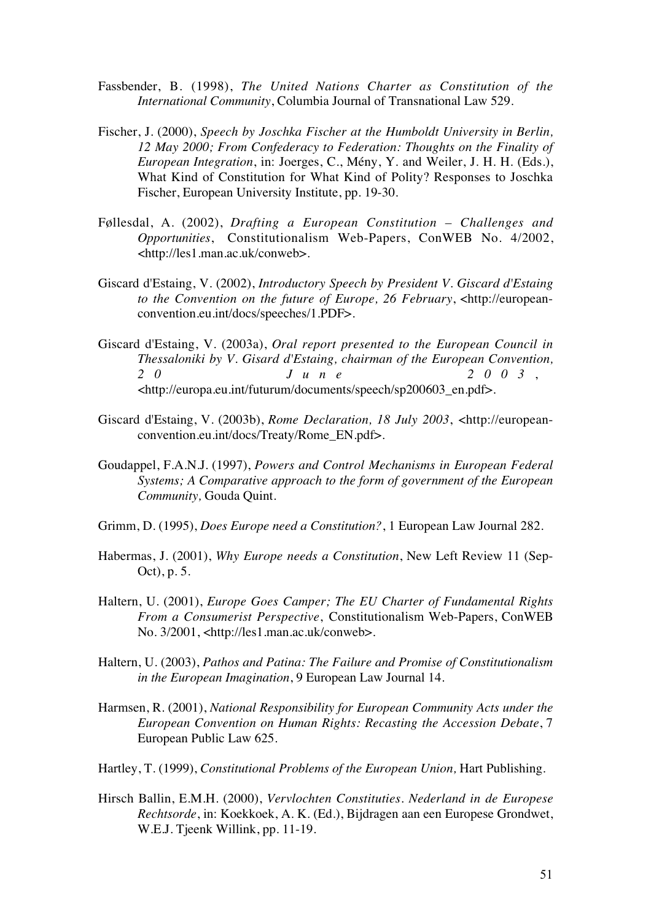- Fassbender, B. (1998), *The United Nations Charter as Constitution of the International Community*, Columbia Journal of Transnational Law 529.
- Fischer, J. (2000), *Speech by Joschka Fischer at the Humboldt University in Berlin, 12 May 2000; From Confederacy to Federation: Thoughts on the Finality of European Integration*, in: Joerges, C., Mény, Y. and Weiler, J. H. H. (Eds.), What Kind of Constitution for What Kind of Polity? Responses to Joschka Fischer, European University Institute, pp. 19-30.
- Føllesdal, A. (2002), *Drafting a European Constitution Challenges and Opportunities*, Constitutionalism Web-Papers, ConWEB No. 4/2002, <http://les1.man.ac.uk/conweb>.
- Giscard d'Estaing, V. (2002), *Introductory Speech by President V. Giscard d'Estaing to the Convention on the future of Europe, 26 February*, <http://europeanconvention.eu.int/docs/speeches/1.PDF>.
- Giscard d'Estaing, V. (2003a), *Oral report presented to the European Council in Thessaloniki by V. Gisard d'Estaing, chairman of the European Convention, 20 June 2003* , <http://europa.eu.int/futurum/documents/speech/sp200603\_en.pdf>.
- Giscard d'Estaing, V. (2003b), *Rome Declaration, 18 July 2003*, <http://europeanconvention.eu.int/docs/Treaty/Rome\_EN.pdf>.
- Goudappel, F.A.N.J. (1997), *Powers and Control Mechanisms in European Federal Systems; A Comparative approach to the form of government of the European Community,* Gouda Quint.
- Grimm, D. (1995), *Does Europe need a Constitution?*, 1 European Law Journal 282.
- Habermas, J. (2001), *Why Europe needs a Constitution*, New Left Review 11 (Sep-Oct), p. 5.
- Haltern, U. (2001), *Europe Goes Camper; The EU Charter of Fundamental Rights From a Consumerist Perspective*, Constitutionalism Web-Papers, ConWEB No. 3/2001, <http://les1.man.ac.uk/conweb>.
- Haltern, U. (2003), *Pathos and Patina: The Failure and Promise of Constitutionalism in the European Imagination*, 9 European Law Journal 14.
- Harmsen, R. (2001), *National Responsibility for European Community Acts under the European Convention on Human Rights: Recasting the Accession Debate*, 7 European Public Law 625.
- Hartley, T. (1999), *Constitutional Problems of the European Union*, Hart Publishing.
- Hirsch Ballin, E.M.H. (2000), *Vervlochten Constituties. Nederland in de Europese Rechtsorde*, in: Koekkoek, A. K. (Ed.), Bijdragen aan een Europese Grondwet, W.E.J. Tjeenk Willink, pp. 11-19.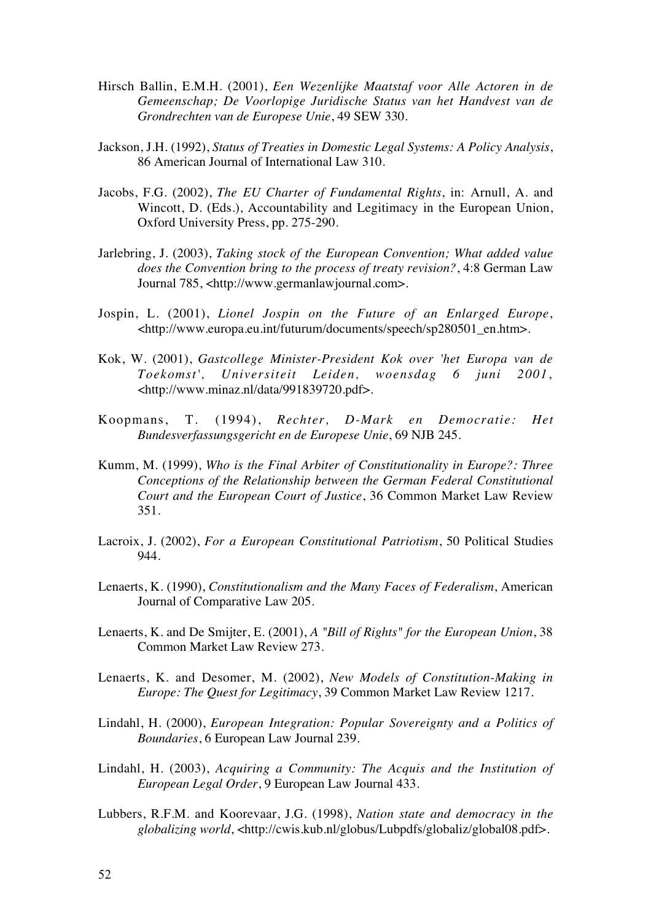- Hirsch Ballin, E.M.H. (2001), *Een Wezenlijke Maatstaf voor Alle Actoren in de Gemeenschap; De Voorlopige Juridische Status van het Handvest van de Grondrechten van de Europese Unie*, 49 SEW 330.
- Jackson, J.H. (1992), *Status of Treaties in Domestic Legal Systems: A Policy Analysis*, 86 American Journal of International Law 310.
- Jacobs, F.G. (2002), *The EU Charter of Fundamental Rights*, in: Arnull, A. and Wincott, D. (Eds.), Accountability and Legitimacy in the European Union, Oxford University Press, pp. 275-290.
- Jarlebring, J. (2003), *Taking stock of the European Convention; What added value does the Convention bring to the process of treaty revision?*, 4:8 German Law Journal 785, <http://www.germanlawjournal.com>.
- Jospin, L. (2001), *Lionel Jospin on the Future of an Enlarged Europe*, <http://www.europa.eu.int/futurum/documents/speech/sp280501\_en.htm>.
- Kok, W. (2001), *Gastcollege Minister-President Kok over 'het Europa van de Toekomst', Universiteit Leiden, woensdag 6 juni 2001*, <http://www.minaz.nl/data/991839720.pdf>.
- Koopmans, T. (1994), *Rechter, D-Mark en Democratie: Het Bundesverfassungsgericht en de Europese Unie*, 69 NJB 245.
- Kumm, M. (1999), *Who is the Final Arbiter of Constitutionality in Europe?: Three Conceptions of the Relationship between the German Federal Constitutional Court and the European Court of Justice*, 36 Common Market Law Review 351.
- Lacroix, J. (2002), *For a European Constitutional Patriotism*, 50 Political Studies 944.
- Lenaerts, K. (1990), *Constitutionalism and the Many Faces of Federalism*, American Journal of Comparative Law 205.
- Lenaerts, K. and De Smijter, E. (2001), *A "Bill of Rights" for the European Union*, 38 Common Market Law Review 273.
- Lenaerts, K. and Desomer, M. (2002), *New Models of Constitution-Making in Europe: The Quest for Legitimacy*, 39 Common Market Law Review 1217.
- Lindahl, H. (2000), *European Integration: Popular Sovereignty and a Politics of Boundaries*, 6 European Law Journal 239.
- Lindahl, H. (2003), *Acquiring a Community: The Acquis and the Institution of European Legal Order*, 9 European Law Journal 433.
- Lubbers, R.F.M. and Koorevaar, J.G. (1998), *Nation state and democracy in the globalizing world*, <http://cwis.kub.nl/globus/Lubpdfs/globaliz/global08.pdf>.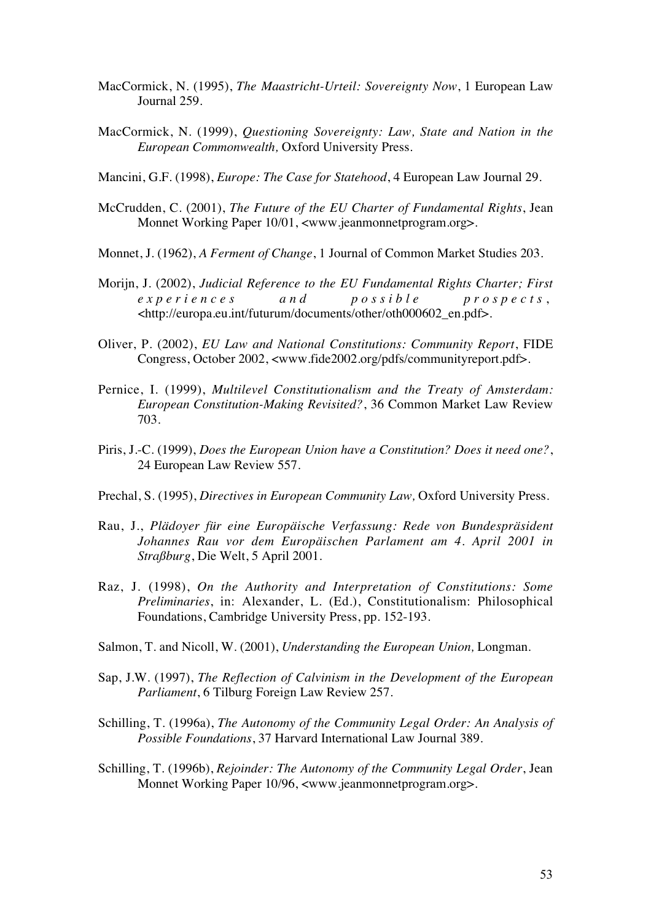- MacCormick, N. (1995), *The Maastricht-Urteil: Sovereignty Now*, 1 European Law Journal 259.
- MacCormick, N. (1999), *Questioning Sovereignty: Law, State and Nation in the European Commonwealth,* Oxford University Press.

Mancini, G.F. (1998), *Europe: The Case for Statehood*, 4 European Law Journal 29.

- McCrudden, C. (2001), *The Future of the EU Charter of Fundamental Rights*, Jean Monnet Working Paper 10/01, <www.jeanmonnetprogram.org>.
- Monnet, J. (1962), *A Ferment of Change*, 1 Journal of Common Market Studies 203.
- Morijn, J. (2002), *Judicial Reference to the EU Fundamental Rights Charter; First experiences and possible prospects* , <http://europa.eu.int/futurum/documents/other/oth000602\_en.pdf>.
- Oliver, P. (2002), *EU Law and National Constitutions: Community Report*, FIDE Congress, October 2002, <www.fide2002.org/pdfs/communityreport.pdf>.
- Pernice, I. (1999), *Multilevel Constitutionalism and the Treaty of Amsterdam: European Constitution-Making Revisited?*, 36 Common Market Law Review 703.
- Piris, J.-C. (1999), *Does the European Union have a Constitution? Does it need one?*, 24 European Law Review 557.
- Prechal, S. (1995), *Directives in European Community Law,* Oxford University Press.
- Rau, J., *Plädoyer für eine Europäische Verfassung: Rede von Bundespräsident Johannes Rau vor dem Europäischen Parlament am 4. April 2001 in Straßburg*, Die Welt, 5 April 2001.
- Raz, J. (1998), *On the Authority and Interpretation of Constitutions: Some Preliminaries*, in: Alexander, L. (Ed.), Constitutionalism: Philosophical Foundations, Cambridge University Press, pp. 152-193.
- Salmon, T. and Nicoll, W. (2001), *Understanding the European Union,* Longman.
- Sap, J.W. (1997), *The Reflection of Calvinism in the Development of the European Parliament*, 6 Tilburg Foreign Law Review 257.
- Schilling, T. (1996a), *The Autonomy of the Community Legal Order: An Analysis of Possible Foundations*, 37 Harvard International Law Journal 389.
- Schilling, T. (1996b), *Rejoinder: The Autonomy of the Community Legal Order*, Jean Monnet Working Paper 10/96, <www.jeanmonnetprogram.org>.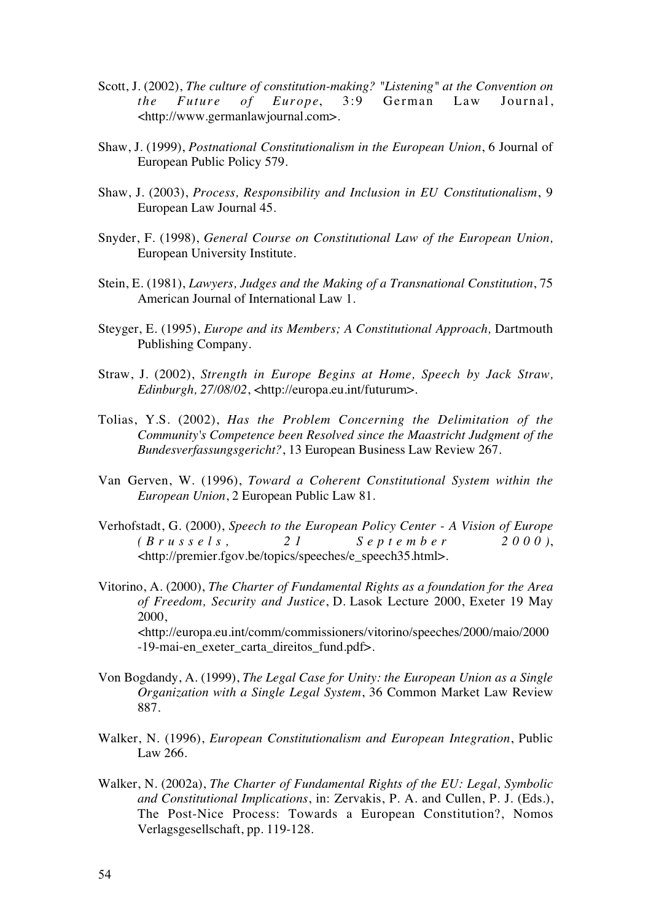- Scott, J. (2002), *The culture of constitution-making? "Listening" at the Convention on the Future of Europe*, 3:9 German Law Journal, <http://www.germanlawjournal.com>.
- Shaw, J. (1999), *Postnational Constitutionalism in the European Union*, 6 Journal of European Public Policy 579.
- Shaw, J. (2003), *Process, Responsibility and Inclusion in EU Constitutionalism*, 9 European Law Journal 45.
- Snyder, F. (1998), *General Course on Constitutional Law of the European Union,* European University Institute.
- Stein, E. (1981), *Lawyers, Judges and the Making of a Transnational Constitution*, 75 American Journal of International Law 1.
- Steyger, E. (1995), *Europe and its Members; A Constitutional Approach,* Dartmouth Publishing Company.
- Straw, J. (2002), *Strength in Europe Begins at Home, Speech by Jack Straw, Edinburgh, 27/08/02*, <http://europa.eu.int/futurum>.
- Tolias, Y.S. (2002), *Has the Problem Concerning the Delimitation of the Community's Competence been Resolved since the Maastricht Judgment of the Bundesverfassungsgericht?*, 13 European Business Law Review 267.
- Van Gerven, W. (1996), *Toward a Coherent Constitutional System within the European Union*, 2 European Public Law 81.
- Verhofstadt, G. (2000), *Speech to the European Policy Center A Vision of Europe (Brussels, 21 September 2000)*, <http://premier.fgov.be/topics/speeches/e\_speech35.html>.
- Vitorino, A. (2000), *The Charter of Fundamental Rights as a foundation for the Area of Freedom, Security and Justice*, D. Lasok Lecture 2000, Exeter 19 May 2000, <http://europa.eu.int/comm/commissioners/vitorino/speeches/2000/maio/2000 -19-mai-en\_exeter\_carta\_direitos\_fund.pdf>.
- Von Bogdandy, A. (1999), *The Legal Case for Unity: the European Union as a Single Organization with a Single Legal System*, 36 Common Market Law Review 887.
- Walker, N. (1996), *European Constitutionalism and European Integration*, Public Law 266.
- Walker, N. (2002a), *The Charter of Fundamental Rights of the EU: Legal, Symbolic and Constitutional Implications*, in: Zervakis, P. A. and Cullen, P. J. (Eds.), The Post-Nice Process: Towards a European Constitution?, Nomos Verlagsgesellschaft, pp. 119-128.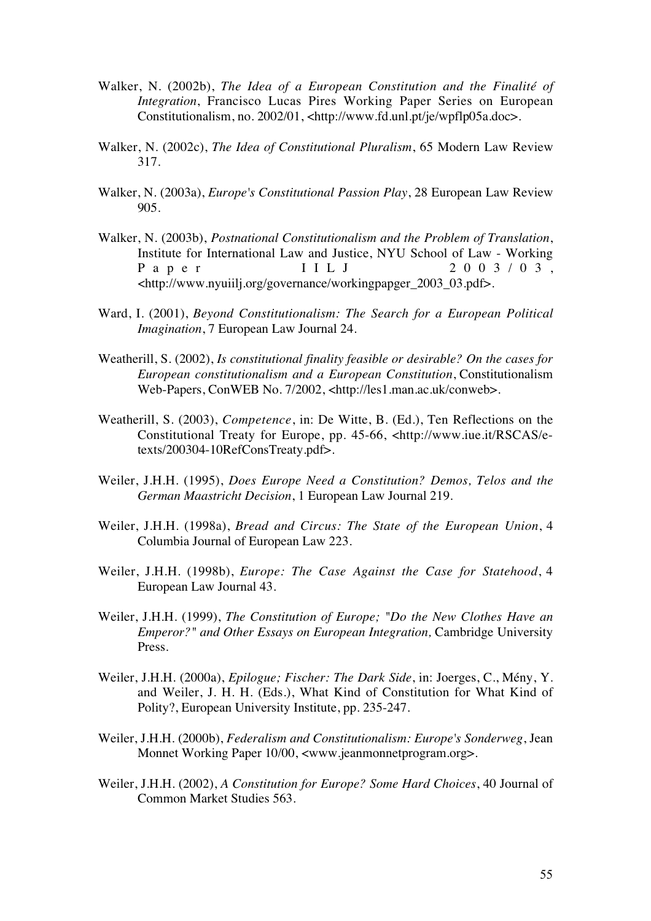- Walker, N. (2002b), *The Idea of a European Constitution and the Finalité of Integration*, Francisco Lucas Pires Working Paper Series on European Constitutionalism, no. 2002/01, <http://www.fd.unl.pt/je/wpflp05a.doc>.
- Walker, N. (2002c), *The Idea of Constitutional Pluralism*, 65 Modern Law Review 317.
- Walker, N. (2003a), *Europe's Constitutional Passion Play*, 28 European Law Review 905.
- Walker, N. (2003b), *Postnational Constitutionalism and the Problem of Translation*, Institute for International Law and Justice, NYU School of Law - Working Paper IILJ 2003/03, <http://www.nyuiilj.org/governance/workingpapger\_2003\_03.pdf>.
- Ward, I. (2001), *Beyond Constitutionalism: The Search for a European Political Imagination*, 7 European Law Journal 24.
- Weatherill, S. (2002), *Is constitutional finality feasible or desirable? On the cases for European constitutionalism and a European Constitution*, Constitutionalism Web-Papers, ConWEB No. 7/2002, <http://les1.man.ac.uk/conweb>.
- Weatherill, S. (2003), *Competence*, in: De Witte, B. (Ed.), Ten Reflections on the Constitutional Treaty for Europe, pp. 45-66, <http://www.iue.it/RSCAS/etexts/200304-10RefConsTreaty.pdf>.
- Weiler, J.H.H. (1995), *Does Europe Need a Constitution? Demos, Telos and the German Maastricht Decision*, 1 European Law Journal 219.
- Weiler, J.H.H. (1998a), *Bread and Circus: The State of the European Union*, 4 Columbia Journal of European Law 223.
- Weiler, J.H.H. (1998b), *Europe: The Case Against the Case for Statehood*, 4 European Law Journal 43.
- Weiler, J.H.H. (1999), *The Constitution of Europe; "Do the New Clothes Have an Emperor?" and Other Essays on European Integration, Cambridge University* Press.
- Weiler, J.H.H. (2000a), *Epilogue; Fischer: The Dark Side*, in: Joerges, C., Mény, Y. and Weiler, J. H. H. (Eds.), What Kind of Constitution for What Kind of Polity?, European University Institute, pp. 235-247.
- Weiler, J.H.H. (2000b), *Federalism and Constitutionalism: Europe's Sonderweg*, Jean Monnet Working Paper 10/00, <www.jeanmonnetprogram.org>.
- Weiler, J.H.H. (2002), *A Constitution for Europe? Some Hard Choices*, 40 Journal of Common Market Studies 563.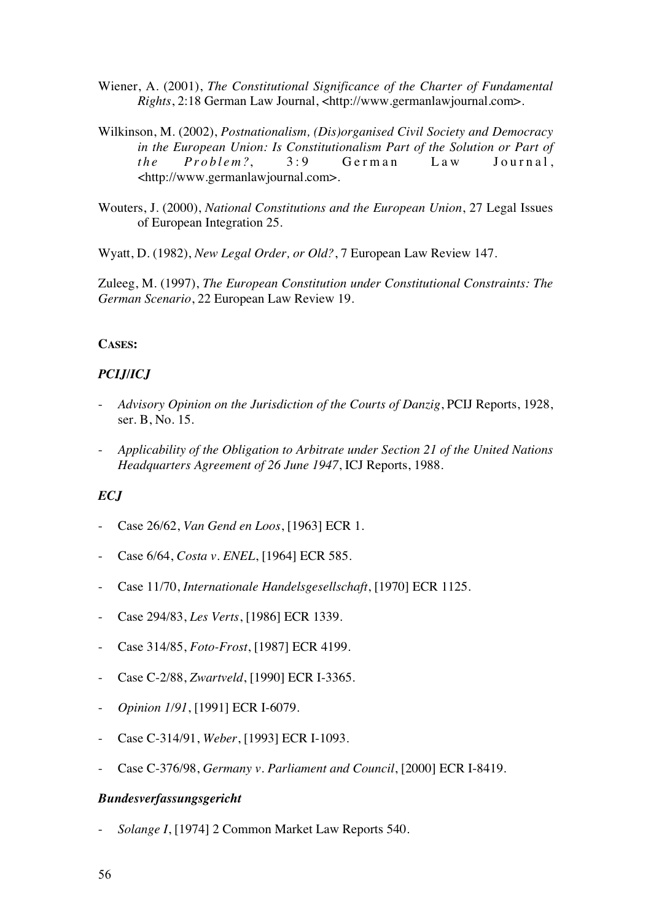- Wiener, A. (2001), *The Constitutional Significance of the Charter of Fundamental Rights*, 2:18 German Law Journal, <http://www.germanlawjournal.com>.
- Wilkinson, M. (2002), *Postnationalism, (Dis)organised Civil Society and Democracy in the European Union: Is Constitutionalism Part of the Solution or Part of the Problem?*, 3:9 German Law Journal, <http://www.germanlawjournal.com>.
- Wouters, J. (2000), *National Constitutions and the European Union*, 27 Legal Issues of European Integration 25.

Wyatt, D. (1982), *New Legal Order, or Old?*, 7 European Law Review 147.

Zuleeg, M. (1997), *The European Constitution under Constitutional Constraints: The German Scenario*, 22 European Law Review 19.

## **CASES:**

# *PCIJ/ICJ*

- *Advisory Opinion on the Jurisdiction of the Courts of Danzig*, PCIJ Reports, 1928, ser. B, No. 15.
- *Applicability of the Obligation to Arbitrate under Section 21 of the United Nations Headquarters Agreement of 26 June 1947*, ICJ Reports, 1988.

# *ECJ*

- Case 26/62, *Van Gend en Loos*, [1963] ECR 1.
- Case 6/64, *Costa v. ENEL*, [1964] ECR 585.
- Case 11/70, *Internationale Handelsgesellschaft*, [1970] ECR 1125.
- Case 294/83, *Les Verts*, [1986] ECR 1339.
- Case 314/85, *Foto-Frost*, [1987] ECR 4199.
- Case C-2/88, *Zwartveld*, [1990] ECR I-3365.
- *Opinion 1/91*, [1991] ECR I-6079.
- Case C-314/91, *Weber*, [1993] ECR I-1093.
- Case C-376/98, *Germany v. Parliament and Council*, [2000] ECR I-8419.

## *Bundesverfassungsgericht*

- *Solange I*, [1974] 2 Common Market Law Reports 540.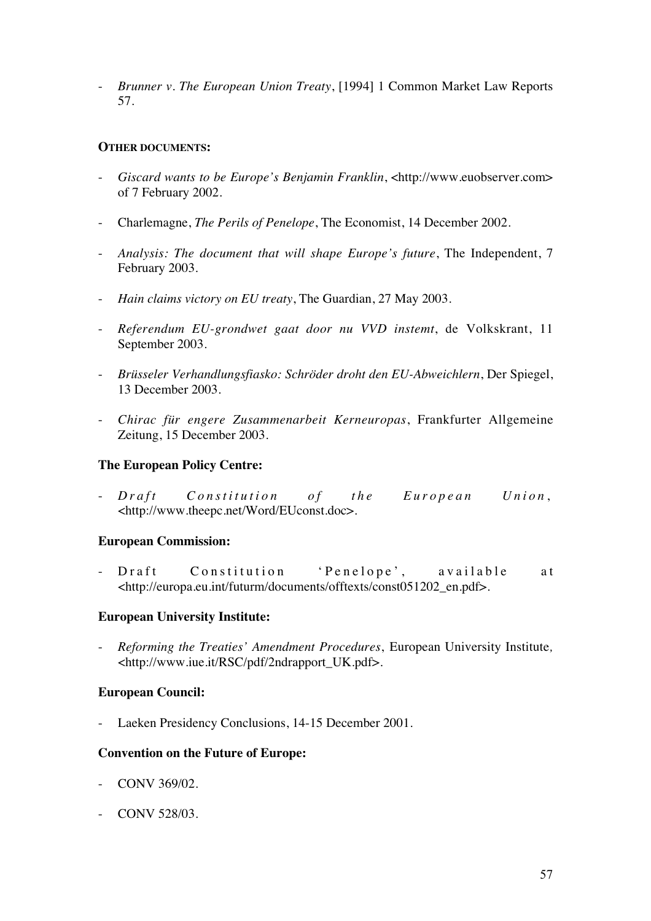- *Brunner v. The European Union Treaty*, [1994] 1 Common Market Law Reports 57.

## **OTHER DOCUMENTS:**

- *Giscard wants to be Europe's Benjamin Franklin*, <http://www.euobserver.com> of 7 February 2002.
- Charlemagne, *The Perils of Penelope*, The Economist, 14 December 2002.
- *Analysis: The document that will shape Europe's future*, The Independent, 7 February 2003.
- *Hain claims victory on EU treaty*, The Guardian, 27 May 2003.
- *Referendum EU-grondwet gaat door nu VVD instemt*, de Volkskrant, 11 September 2003.
- *Brüsseler Verhandlungsfiasko: Schröder droht den EU-Abweichlern*, Der Spiegel, 13 December 2003.
- *Chirac für engere Zusammenarbeit Kerneuropas*, Frankfurter Allgemeine Zeitung, 15 December 2003.

## **The European Policy Centre:**

- *Draft Constitution of the European Union* , <http://www.theepc.net/Word/EUconst.doc>.

## **European Commission:**

- Draft Constitution 'Penelope', available at <http://europa.eu.int/futurm/documents/offtexts/const051202\_en.pdf>.

# **European University Institute:**

- *Reforming the Treaties' Amendment Procedures*, European University Institute*,* <http://www.iue.it/RSC/pdf/2ndrapport\_UK.pdf>.

## **European Council:**

Laeken Presidency Conclusions, 14-15 December 2001.

## **Convention on the Future of Europe:**

- CONV 369/02.
- CONV 528/03.